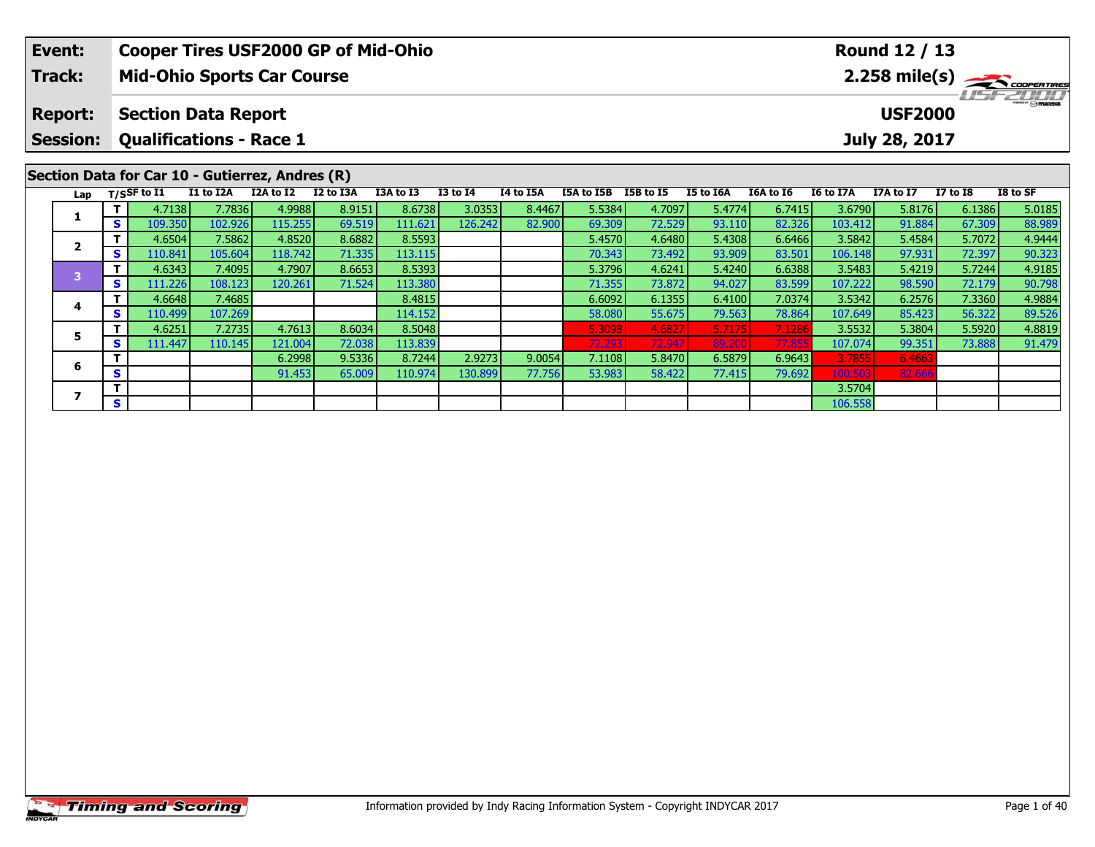| Event:<br><b>Track:</b>           |          |                | <b>Cooper Tires USF2000 GP of Mid-Ohio</b><br><b>Mid-Ohio Sports Car Course</b> |           |           |           |                 |           |            |           |           |           |           | Round 12 / 13                   |                 | 2.258 mile(s) |
|-----------------------------------|----------|----------------|---------------------------------------------------------------------------------|-----------|-----------|-----------|-----------------|-----------|------------|-----------|-----------|-----------|-----------|---------------------------------|-----------------|---------------|
| <b>Report:</b><br><b>Session:</b> |          |                | <b>Section Data Report</b><br><b>Qualifications - Race 1</b>                    |           |           |           |                 |           |            |           |           |           |           | <b>USF2000</b><br>July 28, 2017 |                 | $T = T$       |
| Lap                               |          | $T/S$ SF to I1 | Section Data for Car 10 - Gutierrez, Andres (R)<br>I1 to I2A                    | I2A to I2 | I2 to I3A | I3A to I3 | <b>I3 to I4</b> | I4 to I5A | I5A to I5B | I5B to I5 | I5 to I6A | I6A to I6 | I6 to I7A | I7A to I7                       | <b>I7 to I8</b> | I8 to SF      |
|                                   |          | 4.7138         | 7.7836                                                                          | 4.9988    | 8.9151    | 8.6738    | 3.0353          | 8.4467    | 5.5384     | 4.7097    | 5.4774    | 6.7415    | 3.6790    | 5.8176                          | 6.1386          | 5.0185        |
|                                   | S.       | 109.350        | 102.926                                                                         | 115.255   | 69.519    | 111.621   | 126.2421        | 82.900    | 69.309     | 72.529    | 93.110    | 82.326    | 103.412   | 91.884                          | 67.309          | 88.989        |
| $\overline{2}$                    |          | 4.6504         | 7.5862                                                                          | 4.8520    | 8.6882    | 8.5593    |                 |           | 5.4570     | 4.6480    | 5.4308    | 6.6466    | 3.5842    | 5.4584                          | 5.7072          | 4.9444        |
|                                   | <b>S</b> | 110.841        | 105.604                                                                         | 118.742   | 71.335    | 113.115   |                 |           | 70.343     | 73.492    | 93.909    | 83.501    | 106.148   | 97.931                          | 72.397          | 90.323        |
| 3                                 |          | 4.6343         | 7.4095                                                                          | 4.7907    | 8.6653    | 8.5393    |                 |           | 5.3796     | 4.6241    | 5.4240    | 6.6388    | 3.5483    | 5.4219                          | 5.7244          | 4.9185        |
|                                   | <b>S</b> | 111.226        | 108.123                                                                         | 120.261   | 71.524    | 113.380   |                 |           | 71.355     | 73.872    | 94.027    | 83.599    | 107.222   | 98.590                          | 72.179          | 90.798        |
| 4                                 |          | 4.6648         | 7.4685                                                                          |           |           | 8.4815    |                 |           | 6.6092     | 6.1355    | 6.4100    | 7.0374    | 3.5342    | 6.2576                          | 7.3360          | 4.9884        |
|                                   | s l      | 110.499        | 107.269                                                                         |           |           | 114.152   |                 |           | 58.080     | 55.675    | 79.563    | 78.864    | 107.649   | 85.423                          | 56.322          | 89.526        |
| 5                                 |          | 4.6251         | 7.2735                                                                          | 4.7613    | 8.6034    | 8.5048    |                 |           | 5.3098     | 4.6827    | 5.7175    | 7.1286    | 3.5532    | 5.3804                          | 5.5920          | 4.8819        |
|                                   | S.       | 111.447        | 110.145                                                                         | 121.004   | 72.038    | 113.839   |                 |           | 72.293     | 72.947    | 89.200    | 77.855    | 107.074   | 99.351                          | 73.888          | 91.479        |

**<sup>T</sup>** 6.2998 9.5336 8.7244 2.9273 9.0054 7.1108 5.8470 6.5879 6.9643 3.7855 6.4663 **<sup>S</sup>** 91.453 65.009 110.974 130.899 77.756 53.983 58.422 77.415 79.692 100.503 82.666

**<sup>T</sup>** 3.5704 **<sup>S</sup>** 106.558

**6**

**7**

 $\frac{6.466}{82.660}$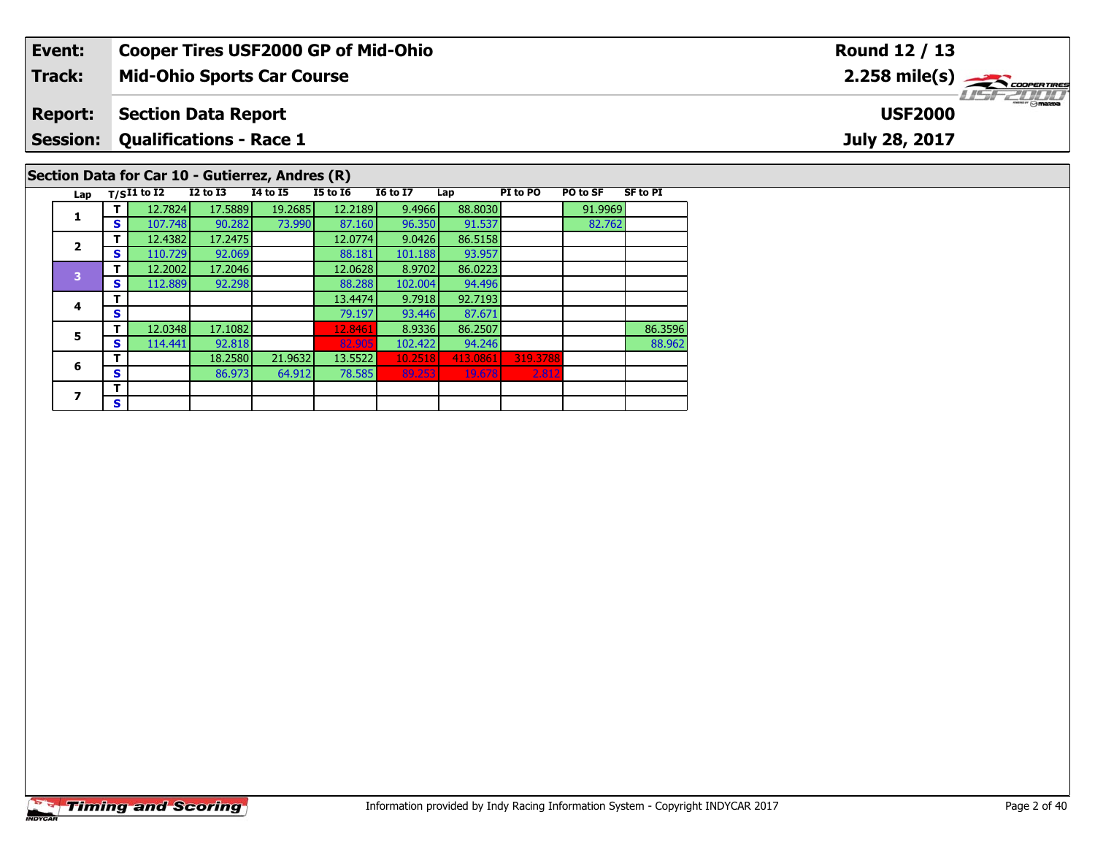| Event:                  |              |                    |                                | <b>Cooper Tires USF2000 GP of Mid-Ohio</b>      |                   |                  |                   |          |          |                 | Round 12 / 13               |
|-------------------------|--------------|--------------------|--------------------------------|-------------------------------------------------|-------------------|------------------|-------------------|----------|----------|-----------------|-----------------------------|
| Track:                  |              |                    |                                | <b>Mid-Ohio Sports Car Course</b>               |                   |                  |                   |          |          |                 | 2.258 mile(s) $\rightarrow$ |
| <b>Report:</b>          |              |                    | <b>Section Data Report</b>     |                                                 |                   |                  |                   |          |          |                 | <b>USF2000</b>              |
| <b>Session:</b>         |              |                    | <b>Qualifications - Race 1</b> |                                                 |                   |                  |                   |          |          |                 | July 28, 2017               |
|                         |              |                    |                                | Section Data for Car 10 - Gutierrez, Andres (R) |                   |                  |                   |          |          |                 |                             |
| Lap                     |              | $T/SI1$ to I2      | <b>I2 to I3</b>                | <b>I4 to I5</b>                                 | <b>I5 to I6</b>   | <b>16 to 17</b>  | Lap               | PI to PO | PO to SF | <b>SF to PI</b> |                             |
|                         |              | 12.7824            | 17.5889                        | 19.2685                                         | 12.2189           | 9.4966           | 88.8030           |          | 91.9969  |                 |                             |
|                         | S            | 107.748<br>12.4382 | 90.282<br>17.2475              | 73.990                                          | 87.160<br>12.0774 | 96.350<br>9.0426 | 91.537<br>86.5158 |          | 82.762   |                 |                             |
| $\overline{\mathbf{2}}$ |              | 110.729            | 92.069                         |                                                 | 88.181            | 101.188          | 93.957            |          |          |                 |                             |
| S                       |              | 12.2002            | 17.2046                        |                                                 | 12.0628           | 8.9702           | 86.0223           |          |          |                 |                             |
| 3                       | <b>S</b>     | 112.889            | 92.298                         |                                                 | 88.288            | 102.004          | 94.496            |          |          |                 |                             |
| 4                       |              |                    |                                |                                                 | 13.4474           | 9.7918           | 92.7193           |          |          |                 |                             |
|                         | S            |                    |                                |                                                 | 79.197            | 93.446           | 87.671            |          |          |                 |                             |
| Ē.                      | $\mathbf{T}$ | 12.0348            | 17.1082                        |                                                 | 12.8461           | 8.9336           | 86.2507           |          |          | 86.3596         |                             |

**T** 12.0348 17.1082 12.8461 8.9336 86.2507 12.2646 86.2507 86.2507 86.2596 86.2596 86.2596 82.902.818 82.902.818 82.902.818 82.902.818 82.902.818 82.902.818 82.902.818 82.902.818 82.902.818 82.902.818 82.902.818 82.962 82.

**6 T** 18.2580 21.9632 13.5522 10.2518 413.0861 319.3788<br>**S** 86.973 64.912 78.585 89.253 19.678 2.812

**5**

**6**

**7**7  $\frac{1}{s}$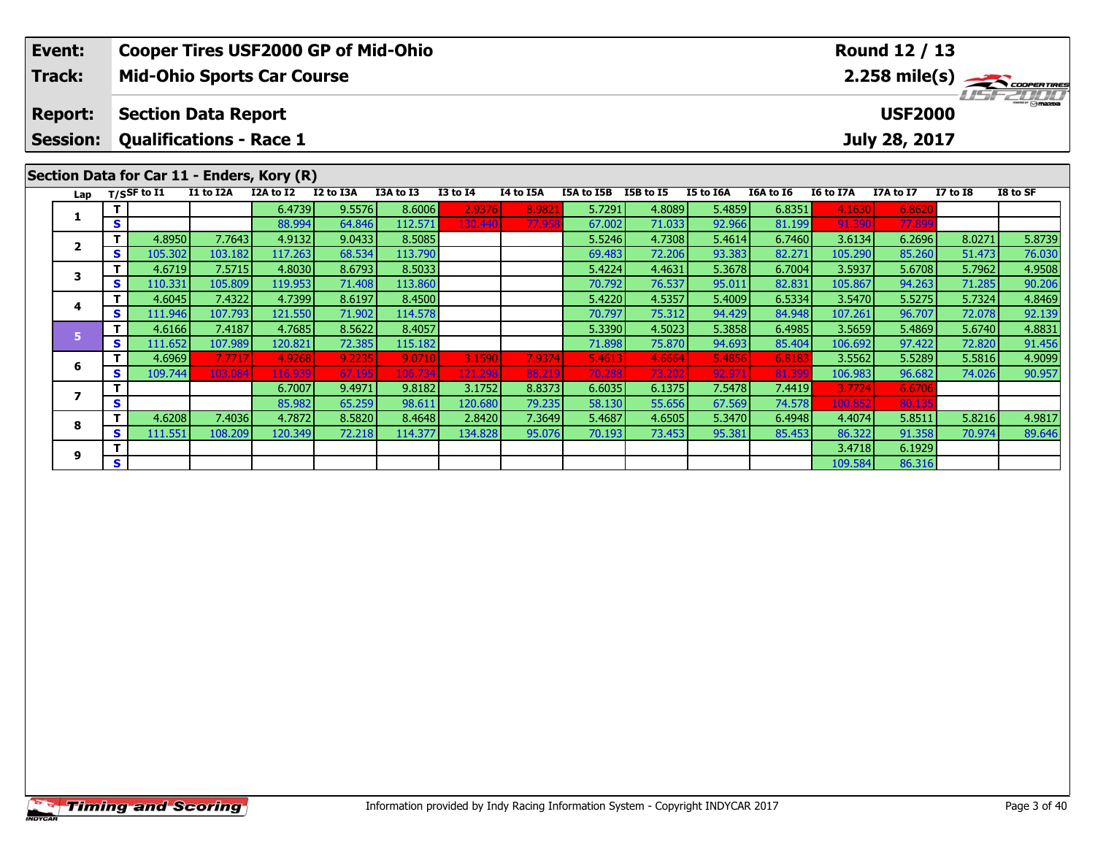| Event:<br><b>Track:</b> |          |                                |                   | <b>Mid-Ohio Sports Car Course</b>          | <b>Cooper Tires USF2000 GP of Mid-Ohio</b> |                   |                 |           |                  |                  |                  |                  |                   | Round 12 / 13    |                  | 2.258 mile(s)            |
|-------------------------|----------|--------------------------------|-------------------|--------------------------------------------|--------------------------------------------|-------------------|-----------------|-----------|------------------|------------------|------------------|------------------|-------------------|------------------|------------------|--------------------------|
| <b>Report:</b>          |          | <b>Section Data Report</b>     |                   |                                            |                                            |                   |                 |           |                  |                  |                  |                  |                   | <b>USF2000</b>   |                  | $\frac{1}{\Theta}$ mazoa |
| <b>Session:</b>         |          | <b>Qualifications - Race 1</b> |                   |                                            |                                            |                   |                 |           |                  |                  |                  |                  |                   | July 28, 2017    |                  |                          |
|                         |          |                                |                   | Section Data for Car 11 - Enders, Kory (R) |                                            |                   |                 |           |                  |                  |                  |                  |                   |                  |                  |                          |
| Lap                     |          | $T/S$ SF to I1                 | I1 to I2A         | I2A to I2                                  | I2 to I3A                                  | I3A to I3         | <b>I3 to I4</b> | I4 to I5A | I5A to I5B       | I5B to I5        | <b>I5 to I6A</b> | I6A to I6        | <b>I6 to I7A</b>  | I7A to I7        | <b>I7 to I8</b>  | I8 to SF                 |
| 1                       |          |                                |                   | 6.4739                                     | 9.5576                                     | 8.6006            | 2.9376          | 8.982     | 5.7291           | 4.8089           | 5.4859           | 6.8351           | 4.1630            | 6.862            |                  |                          |
|                         | S        |                                |                   | 88.994                                     | 64.846                                     | 112.571           | 130.440         | 77.958    | 67.002           | 71.033           | 92.966           | 81.199           | 91.390            | 77.899           |                  |                          |
| $\mathbf{2}$            | T.       | 4.8950                         | 7.7643            | 4.9132                                     | 9.0433                                     | 8.5085            |                 |           | 5.5246           | 4.7308           | 5.4614           | 6.7460           | 3.6134            | 6.2696           | 8.0271           | 5.8739                   |
|                         | S.       | 105.302                        | 103.182           | 117.263                                    | 68.534                                     | 113.790           |                 |           | 69.483           | 72.206           | 93.383           | 82.271           | 105.290           | 85.260           | 51.473           | 76.030                   |
| 3                       | T.       | 4.6719                         | 7.5715            | 4.8030                                     | 8.6793                                     | 8.5033            |                 |           | 5.4224           | 4.4631           | 5.3678           | 6.7004           | 3.5937            | 5.6708           | 5.7962           | 4.9508                   |
|                         | S.       | 110.331                        | 105.809           | 119.953                                    | 71.408                                     | 113.860           |                 |           | 70.792           | 76.537           | 95.011           | 82.831           | 105.867           | 94.263           | 71.285           | 90.206                   |
| 4                       | т        | 4.6045                         | 7.4322            | 4.7399                                     | 8.6197<br>71.902                           | 8.4500            |                 |           | 5.4220           | 4.5357<br>75.312 | 5.4009           | 6.5334           | 3.5470            | 5.5275           | 5.7324<br>72.078 | 4.8469                   |
|                         | <b>S</b> | 111.946<br>4.6166              | 107.793<br>7.4187 | 121.550<br>4.7685                          | 8.5622                                     | 114.578<br>8.4057 |                 |           | 70.797<br>5.3390 | 4.5023           | 94.429<br>5.3858 | 84.948<br>6.4985 | 107.261<br>3.5659 | 96.707<br>5.4869 | 5.6740           | 92.139<br>4.8831         |
| 5                       | <b>S</b> | 111.652                        | 107.989           | 120.821                                    | 72.385                                     | 115.182           |                 |           | 71.898           | 75.870           | 94.693           | 85.404           | 106.692           | 97.422           | 72.820           | 91.456                   |
|                         |          | 4.6969                         | 7.7717            | 4.9268                                     | 9.2235                                     | 9.0710            | 3.1590          | 7.9374    | 5.4613           | 4.6664           | 5.4856           | 6.818            | 3.5562            | 5.5289           | 5.5816           | 4.9099                   |
| 6                       | S.       | 109.744                        | 103.084           | 116.939                                    | 67.195                                     | 106.734           | 121.298         | 88.219    | 70.288           | 73.202           | 92.971           | 81.39            | 106.983           | 96.682           | 74.026           | 90.957                   |
|                         |          |                                |                   | 6.7007                                     | 9.4971                                     | 9.8182            | 3.1752          | 8.8373    | 6.6035           | 6.1375           | 7.5478           | 7.4419           | 3.7724            | 6.6706           |                  |                          |
| $\overline{ }$          | <b>S</b> |                                |                   | 85.982                                     | 65.259                                     | 98.611            | 120.680         | 79.235    | 58.130           | 55.656           | 67.569           | 74.578           | 100.852           | 80.13            |                  |                          |
|                         | т        | 4.6208                         | 7.4036            | 4.7872                                     | 8.5820                                     | 8.4648            | 2.8420          | 7.3649    | 5.4687           | 4.6505           | 5.3470           | 6.4948           | 4.4074            | 5.8511           | 5.8216           | 4.9817                   |
| 8                       | S.       | 111.551                        | 108.209           | 120.349                                    | 72.218                                     | 114.377           | 134.828         | 95.076    | 70.193           | 73.453           | 95.381           | 85.453           | 86.322            | 91.358           | 70.974           | 89.646                   |
|                         | т        |                                |                   |                                            |                                            |                   |                 |           |                  |                  |                  |                  | 3.4718            | 6.1929           |                  |                          |
| 9                       | S        |                                |                   |                                            |                                            |                   |                 |           |                  |                  |                  |                  | 109.584           | 86.316           |                  |                          |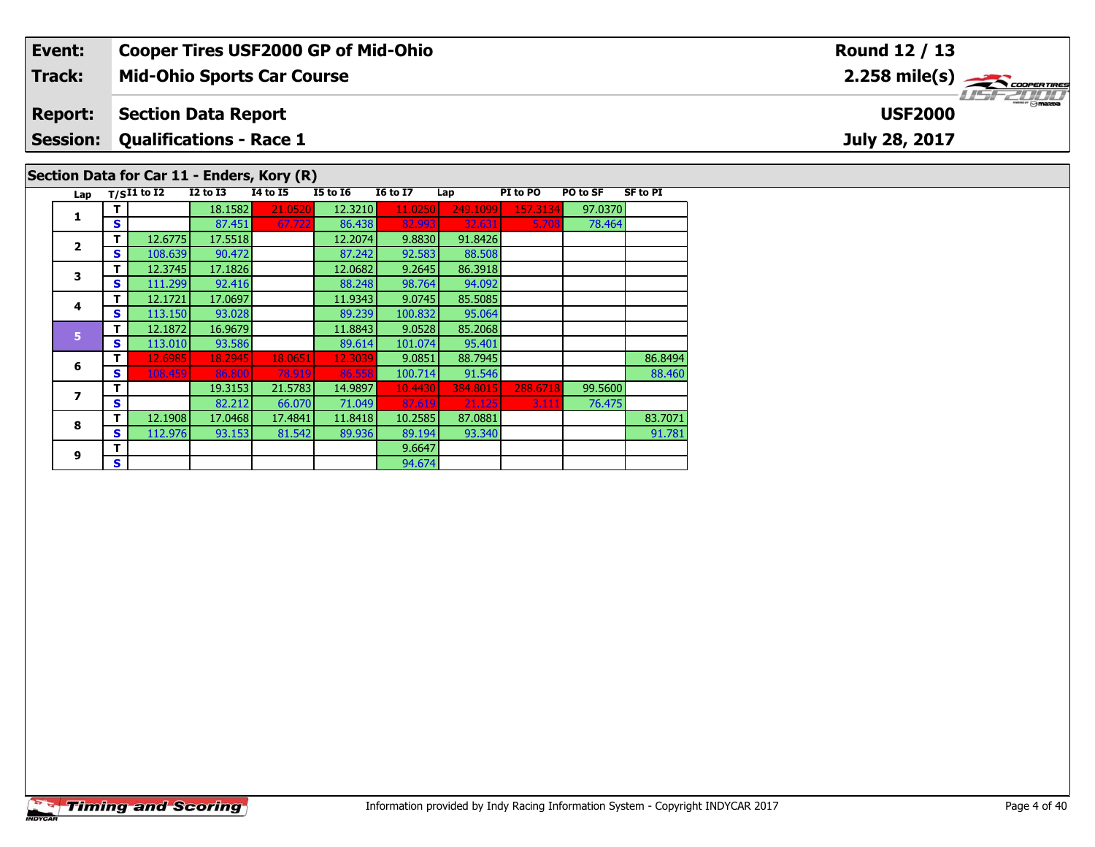| Event:          |                                            |                                | <b>Cooper Tires USF2000 GP of Mid-Ohio</b> |                 |                 |          |          |          |                 | <b>Round 12 / 13</b>                                      |
|-----------------|--------------------------------------------|--------------------------------|--------------------------------------------|-----------------|-----------------|----------|----------|----------|-----------------|-----------------------------------------------------------|
| <b>Track:</b>   |                                            |                                | <b>Mid-Ohio Sports Car Course</b>          |                 |                 |          |          |          |                 | $2.258$ mile(s) $\overbrace{\hspace{2.5cm}}$ coorer TIRES |
| <b>Report:</b>  |                                            | <b>Section Data Report</b>     |                                            |                 |                 |          |          |          | <b>USF2000</b>  |                                                           |
| <b>Session:</b> |                                            | <b>Qualifications - Race 1</b> |                                            |                 |                 |          |          |          |                 | July 28, 2017                                             |
|                 | Section Data for Car 11 - Enders, Kory (R) |                                |                                            |                 |                 |          |          |          |                 |                                                           |
|                 | Lap $T/SI1$ to $\overline{I2}$             | I2 to I3                       | 14 to 15                                   | <b>I5 to 16</b> | <b>16 to 17</b> | Lap      | PI to PO | PO to SF | <b>SF to PI</b> |                                                           |
|                 |                                            | 18.1582                        | 21.0520                                    | 12.3210         | 11.0250         | 249.1099 | 157.3134 | 97.0370  |                 |                                                           |
|                 | s                                          | 87.451                         | 67.722                                     | 86.438          | 82.993          | 32.631   | 5.708    | 78.464   |                 |                                                           |

|                | ◡ |         | $U$ . TJ $I$ | 01.722  | <u>ou. Tuu</u> |         | <u>JZ.UJI</u> | <u>J. JUU 1</u> | 70.707  |         |
|----------------|---|---------|--------------|---------|----------------|---------|---------------|-----------------|---------|---------|
| $\overline{2}$ | т | 12.6775 | 17.5518      |         | 12.2074        | 9.8830  | 91.8426       |                 |         |         |
|                | S | 108.639 | 90.472       |         | 87.242         | 92.583  | 88.508        |                 |         |         |
| 3              | т | 12.3745 | 17.1826      |         | 12.0682        | 9.2645  | 86.3918       |                 |         |         |
|                | S | 111.299 | 92.416       |         | 88.248         | 98.764  | 94.092        |                 |         |         |
| 4              | т | 12.1721 | 17.0697      |         | 11.9343        | 9.0745  | 85.5085       |                 |         |         |
|                | S | 113.150 | 93.028       |         | 89.239         | 100.832 | 95.064        |                 |         |         |
| 5              | т | 12.1872 | 16.9679      |         | 11.8843        | 9.0528  | 85.2068       |                 |         |         |
|                | S | 113,010 | 93.586       |         | 89.614         | 101.074 | 95.401        |                 |         |         |
| 6              | т | 12.6985 | 18.2945      | 18.0651 | 12.3039        | 9.0851  | 88.7945       |                 |         | 86.8494 |
|                | S | 108.459 | 86,800       | 78.919  | 86.558         | 100.714 | 91.546        |                 |         | 88,460  |
| 7              |   |         | 19.3153      | 21.5783 | 14.9897        | 10.4430 | 384.8015      | 288.6718        | 99.5600 |         |
|                | S |         | 82.212       | 66.070  | 71.049         | 87.619  | 21.125        | 3.111           | 76.475  |         |
| 8              | т | 12.1908 | 17.0468      | 17.4841 | 11.8418        | 10.2585 | 87.0881       |                 |         | 83.7071 |
|                | S | 112.976 | 93.153       | 81.542  | 89.936         | 89.194  | 93.340        |                 |         | 91.781  |
| 9              | т |         |              |         |                | 9.6647  |               |                 |         |         |
|                | S |         |              |         |                | 94.674  |               |                 |         |         |
|                |   |         |              |         |                |         |               |                 |         |         |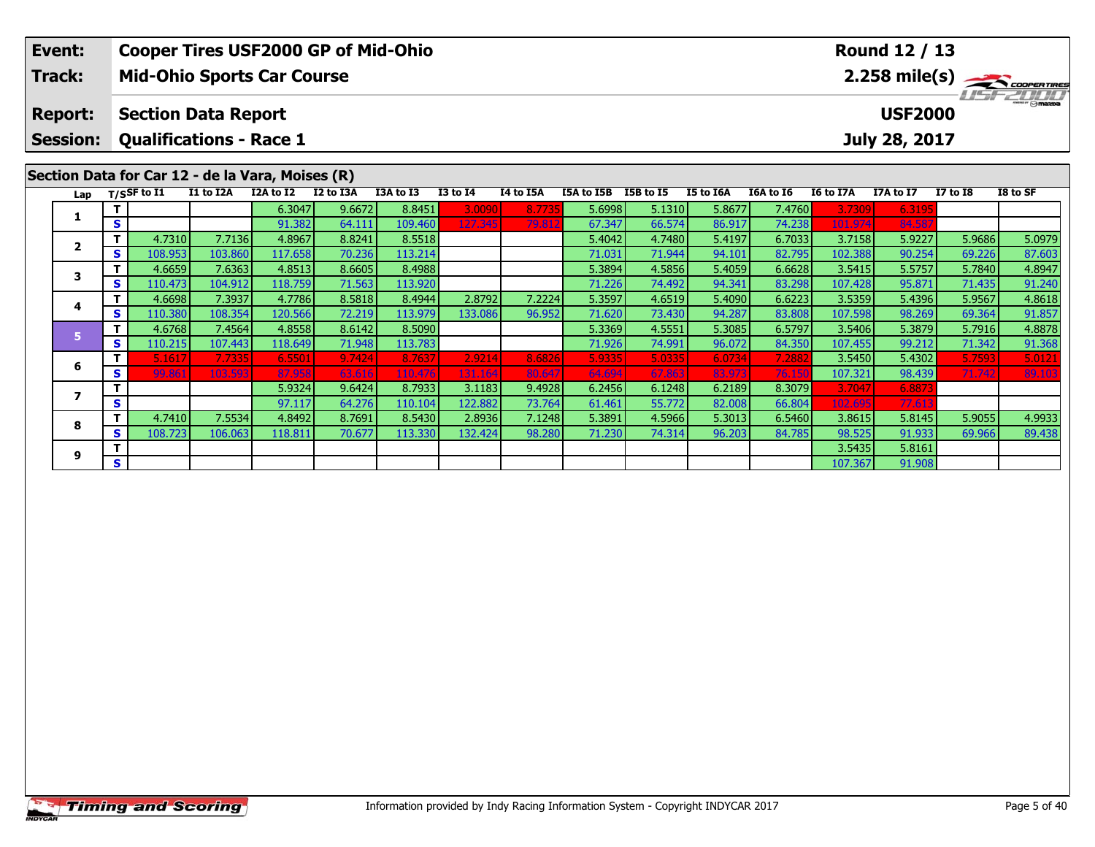|  | Event:<br>Track:                           |    |                |                                | <b>Mid-Ohio Sports Car Course</b>                | <b>Cooper Tires USF2000 GP of Mid-Ohio</b> |           |                 |           |            |           |           |           |           | Round 12 / 13  |                 | $2.258$ mile(s) $\frac{1}{2.258}$ coorer Times |
|--|--------------------------------------------|----|----------------|--------------------------------|--------------------------------------------------|--------------------------------------------|-----------|-----------------|-----------|------------|-----------|-----------|-----------|-----------|----------------|-----------------|------------------------------------------------|
|  | <b>Report:</b>                             |    |                | <b>Section Data Report</b>     |                                                  |                                            |           |                 |           |            |           |           |           |           | <b>USF2000</b> |                 | $\frac{1}{2}$ omazoa                           |
|  | <b>Session:</b>                            |    |                | <b>Qualifications - Race 1</b> |                                                  |                                            |           |                 |           |            |           |           |           |           | July 28, 2017  |                 |                                                |
|  |                                            |    |                |                                | Section Data for Car 12 - de la Vara, Moises (R) |                                            |           |                 |           |            |           |           |           |           |                |                 |                                                |
|  | Lap                                        |    | $T/S$ SF to I1 | I1 to I2A                      | I2A to I2                                        | I2 to I3A                                  | I3A to I3 | <b>I3 to I4</b> | I4 to I5A | I5A to I5B | I5B to I5 | I5 to I6A | I6A to I6 | I6 to I7A | I7A to I7      | <b>I7 to I8</b> | I8 to SF                                       |
|  | 1                                          |    |                |                                | 6.3047                                           | 9.6672                                     | 8.8451    | 3.0090          | 8.7735    | 5.6998     | 5.1310    | 5.8677    | 7.4760    | 3.7309    | 6.319          |                 |                                                |
|  |                                            | S  |                |                                | 91.382                                           | 64.111                                     | 109.460   | 127.345         | 79.812    | 67.347     | 66.574    | 86.917    | 74.238    | 101.974   | 84.58          |                 |                                                |
|  | $\mathbf{2}$                               | т  | 4.7310         | 7.7136                         | 4.8967                                           | 8.8241                                     | 8.5518    |                 |           | 5.4042     | 4.7480    | 5.4197    | 6.7033    | 3.7158    | 5.9227         | 5.9686          | 5.0979                                         |
|  |                                            | S  | 108.953        | 103.860                        | 117.658                                          | 70.236                                     | 113.214   |                 |           | 71.031     | 71.944    | 94.101    | 82.795    | 102.388   | 90.254         | 69.226          | 87.603                                         |
|  | 3                                          | т  | 4.6659         | 7.6363                         | 4.8513                                           | 8.6605                                     | 8.4988    |                 |           | 5.3894     | 4.5856    | 5.4059    | 6.6628    | 3.5415    | 5.5757         | 5.7840          | 4.8947                                         |
|  |                                            | S  | 110.473        | 104.912                        | 118.759                                          | 71.563                                     | 113.920   |                 |           | 71.226     | 74.492    | 94.341    | 83.298    | 107.428   | 95.871         | 71.435          | 91.240                                         |
|  |                                            |    | 4.6698         | 7.3937                         | 4.7786                                           | 8.5818                                     | 8.4944    | 2.8792          | 7.2224    | 5.3597     | 4.6519    | 5.4090    | 6.6223    | 3.5359    | 5.4396         | 5.9567          | 4.8618                                         |
|  |                                            | S  | 110.380        | 108.354                        | 120.566                                          | 72.219                                     | 113.979   | 133.086         | 96.952    | 71.620     | 73.430    | 94.287    | 83.808    | 107.598   | 98.269         | 69.364          | 91.857                                         |
|  | 4<br>5 <sup>1</sup><br>6<br>$\overline{ }$ |    | 4.6768         | 7.4564                         | 4.8558                                           | 8.6142                                     | 8.5090    |                 |           | 5.3369     | 4.5551    | 5.3085    | 6.5797    | 3.5406    | 5.3879         | 5.7916          | 4.8878                                         |
|  |                                            | S  | 110.215        | 107.443                        | 118.649                                          | 71.948                                     | 113.783   |                 |           | 71.926     | 74.991    | 96.072    | 84.350    | 107.455   | 99.212         | 71.342          | 91.368                                         |
|  |                                            |    | 5.1617         | 7.7335                         | 6.5501                                           | 9.7424                                     | 8.7637    | 2.9214          | 8.6826    | 5.9335     | 5.0335    | 6.0734    | 7.288     | 3.5450    | 5.4302         | 5.7593          | 5.0121                                         |
|  |                                            | S. | 99.861         | 103.593                        | 87.958                                           | 63.616                                     | 110.476   | 131.164         | 80.647    | 64.694     | 67.863    | 83.973    | 76.150    | 107.321   | 98.439         | 71.742          | 89.103                                         |
|  |                                            |    |                |                                | 5.9324                                           | 9.6424                                     | 8.7933    | 3.1183          | 9.4928    | 6.2456     | 6.1248    | 6.2189    | 8.3079    | 3.7047    | 6.887          |                 |                                                |
|  |                                            | S  |                |                                | 97.117                                           | 64.276                                     | 110.104   | 122.882         | 73.764    | 61.461     | 55.772    | 82.008    | 66.804    | 102.695   | 77.61          |                 |                                                |
|  | 8                                          | т  | 4.7410         | 7.5534                         | 4.8492                                           | 8.7691                                     | 8.5430    | 2.8936          | 7.1248    | 5.3891     | 4.5966    | 5.3013    | 6.5460    | 3.8615    | 5.8145         | 5.9055          | 4.9933                                         |
|  |                                            | S  | 108.723        | 106.063                        | 118.811                                          | 70.677                                     | 113.330   | 132.424         | 98.280    | 71.230     | 74.314    | 96.203    | 84.785    | 98.525    | 91.933         | 69.966          | 89.438                                         |
|  | 9                                          |    |                |                                |                                                  |                                            |           |                 |           |            |           |           |           | 3.5435    | 5.8161         |                 |                                                |
|  |                                            | S  |                |                                |                                                  |                                            |           |                 |           |            |           |           |           | 107.367   | 91.908         |                 |                                                |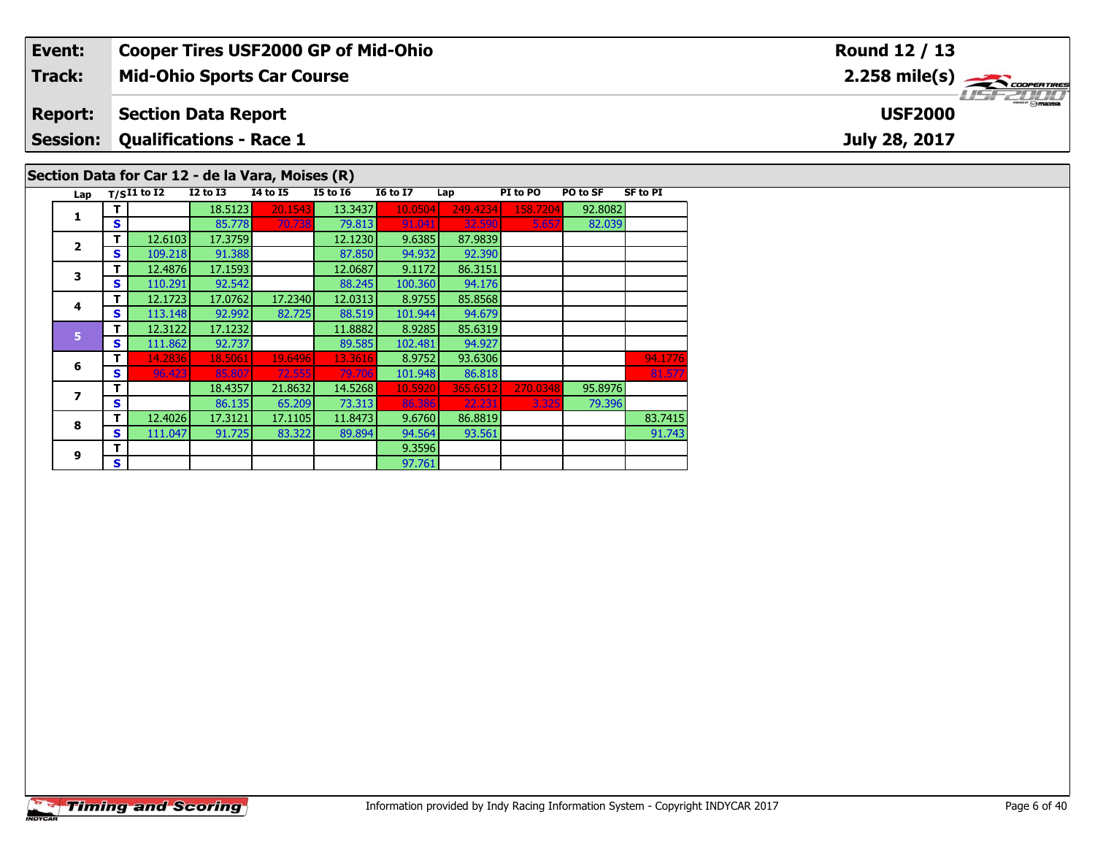| Event:          |    |                     |                                                  |                 |                 | <b>Cooper Tires USF2000 GP of Mid-Ohio</b> |          |          |          |                 | Round 12 / 13                                           |
|-----------------|----|---------------------|--------------------------------------------------|-----------------|-----------------|--------------------------------------------|----------|----------|----------|-----------------|---------------------------------------------------------|
| Track:          |    |                     | <b>Mid-Ohio Sports Car Course</b>                |                 |                 |                                            |          |          |          |                 | $2.258$ mile(s) $\overbrace{\hspace{2cm}}$ coorer Times |
| <b>Report:</b>  |    |                     | <b>Section Data Report</b>                       |                 |                 |                                            |          |          |          |                 | $\frac{1}{2}$ $\frac{1}{2}$<br><b>USF2000</b>           |
| <b>Session:</b> |    |                     | <b>Qualifications - Race 1</b>                   |                 |                 |                                            |          |          |          |                 | July 28, 2017                                           |
|                 |    |                     | Section Data for Car 12 - de la Vara, Moises (R) |                 |                 |                                            |          |          |          |                 |                                                         |
|                 |    | Lap $T/SI1$ to $I2$ | $I2$ to $I3$                                     | <b>I4 to I5</b> | <b>I5 to 16</b> | <b>16 to 17</b>                            | Lap      | PI to PO | PO to SF | <b>SF to PI</b> |                                                         |
|                 |    |                     | 18.5123                                          | 20.1543         | 13.3437         | 10.0504                                    | 249.4234 | 158.7204 | 92.8082  |                 |                                                         |
|                 | S  |                     | 85.778                                           | 70.738          | 79.813          | 91.041                                     | 32.590   | 5.657    | 82.039   |                 |                                                         |
|                 |    | 12.6103             | 17.3759                                          |                 | 12.1230         | 9.6385                                     | 87.9839  |          |          |                 |                                                         |
|                 | S. | 109.218             | 91.388                                           |                 | 87.850          | 94.932                                     | 92.390   |          |          |                 |                                                         |
|                 |    | 12.4876             | 17.1593                                          |                 | 12.0687         | 9.1172                                     | 86.3151  |          |          |                 |                                                         |

| 3 | т | 12.4876 | 17.1593 |         | 12.0687 | 9.1172  | 86.3151  |          |         |         |
|---|---|---------|---------|---------|---------|---------|----------|----------|---------|---------|
|   | S | 110.291 | 92.542  |         | 88.245  | 100.360 | 94.176   |          |         |         |
|   | т | 12.1723 | 17.0762 | 17.2340 | 12.0313 | 8.9755  | 85.8568  |          |         |         |
| 4 | S | 113.148 | 92.992  | 82.725  | 88.519  | 101.944 | 94.679   |          |         |         |
| 5 | т | 12.3122 | 17.1232 |         | 11.8882 | 8.9285  | 85.6319  |          |         |         |
|   | S | 111.862 | 92.737  |         | 89.585  | 102.481 | 94.927   |          |         |         |
| 6 | т | 14.2836 | 18.5061 | 19.6496 | 13.3616 | 8.9752  | 93.6306  |          |         | 94.1776 |
|   | S | 96.423  | 85.807  | 72.555  | 79.706  | 101.948 | 86.818   |          |         | 81.577  |
|   | т |         | 18.4357 | 21.8632 | 14.5268 | 10.5920 | 365.6512 | 270.0348 | 95.8976 |         |
|   | S |         | 86.135  | 65.209  | 73.313  | 86.386  | 22.231   | 3.325    | 79.396  |         |
| 8 | т | 12.4026 | 17.3121 | 17.1105 | 11.8473 | 9.6760  | 86.8819  |          |         | 83.7415 |
|   | S | 111.047 | 91.725  | 83.322  | 89.894  | 94.564  | 93.561   |          |         | 91.743  |
| 9 | T |         |         |         |         | 9.3596  |          |          |         |         |
|   | s |         |         |         |         | 97.761  |          |          |         |         |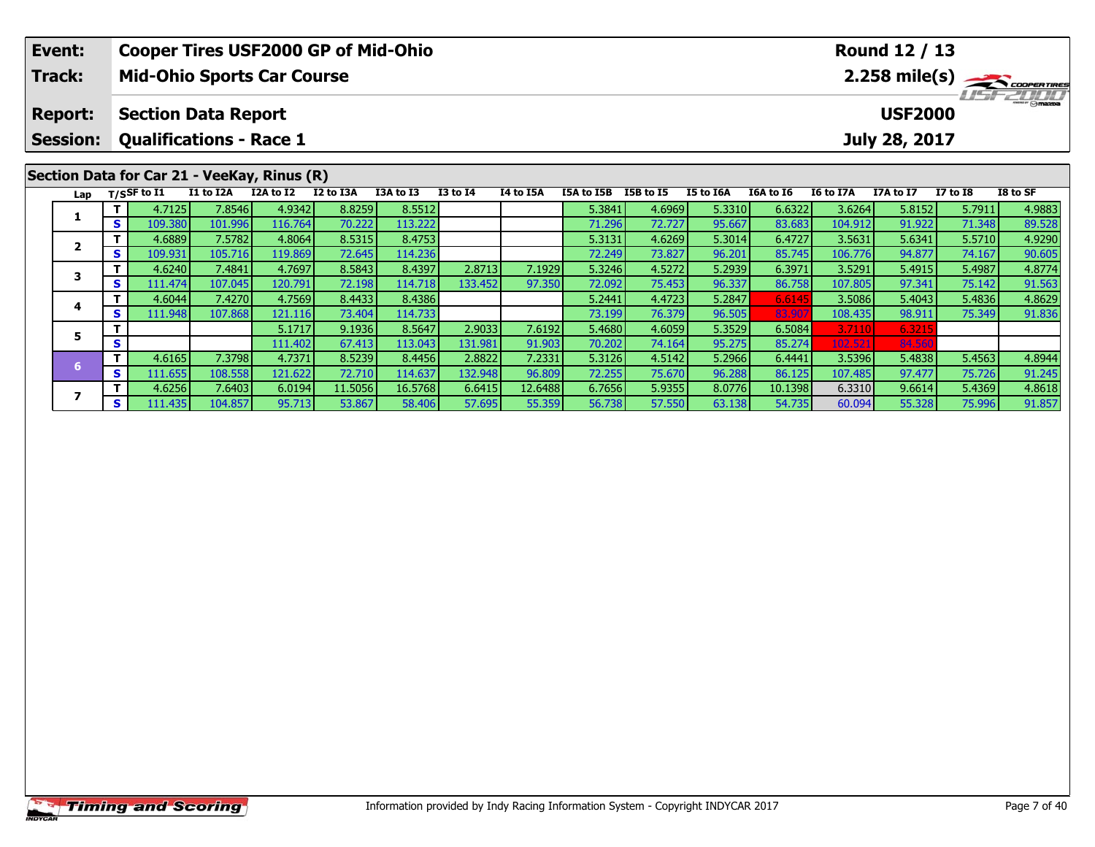| Event:<br>Track:                  |     |               | <b>Cooper Tires USF2000 GP of Mid-Ohio</b><br><b>Mid-Ohio Sports Car Course</b> |           |           |           |                 |           |            |           |           |           |           | Round 12 / 13                   |              | $2.258$ mile(s) $\rightarrow$ COOPERTIRES |
|-----------------------------------|-----|---------------|---------------------------------------------------------------------------------|-----------|-----------|-----------|-----------------|-----------|------------|-----------|-----------|-----------|-----------|---------------------------------|--------------|-------------------------------------------|
| <b>Report:</b><br><b>Session:</b> |     |               | <b>Section Data Report</b><br><b>Qualifications - Race 1</b>                    |           |           |           |                 |           |            |           |           |           |           | <b>USF2000</b><br>July 28, 2017 |              | $T = T/T$                                 |
| Lap                               |     | T/SSF to $I1$ | Section Data for Car 21 - VeeKay, Rinus (R)<br>I1 to I2A                        | I2A to I2 | I2 to I3A | I3A to I3 | <b>I3 to I4</b> | I4 to I5A | I5A to I5B | I5B to I5 | I5 to I6A | I6A to I6 | I6 to I7A | I7A to I7                       | $I7$ to $I8$ | I8 to SF                                  |
|                                   |     | 4.7125        | 7.8546                                                                          | 4.9342    | 8.8259    | 8.5512    |                 |           | 5.3841     | 4.6969    | 5.3310    | 6.6322    | 3.6264    | 5.8152                          | 5.7911       | 4.9883                                    |
|                                   | S.  | 109.380       | 101.996                                                                         | 116.764   | 70.222    | 113.222   |                 |           | 71.296     | 72.727    | 95.667    | 83.683    | 104.912   | 91.922                          | 71.348       | 89.528                                    |
|                                   |     | 4.6889        | 7.5782                                                                          | 4.8064    | 8.5315    | 8.4753    |                 |           | 5.3131     | 4.6269    | 5.3014    | 6.4727    | 3.5631    | 5.6341                          | 5.5710       | 4.9290                                    |
| $\mathbf{2}$                      | s l | 109.931       | 105.716                                                                         | 119.869   | 72.645    | 114.236   |                 |           | 72.249     | 73.827    | 96.201    | 85.745    | 106.776   | 94.877                          | 74.167       | 90.605                                    |
| 3                                 |     | 4.6240        | 7.4841                                                                          | 4.7697    | 8.5843    | 8.4397    | 2.8713          | 7.1929    | 5.3246     | 4.5272    | 5.2939    | 6.3971    | 3.5291    | 5.4915                          | 5.4987       | 4.8774                                    |
|                                   | S.  | 111.474       | 107.045                                                                         | 120.791   | 72.198    | 114.718   | 133.452         | 97.350    | 72.092     | 75.453    | 96.337    | 86.758    | 107.805   | 97.341                          | 75.142       | 91.563                                    |
| 4                                 |     | 4.6044        | 7.4270                                                                          | 4.7569    | 8.4433    | 8.4386    |                 |           | 5.2441     | 4.4723    | 5.2847    | 6.614     | 3.5086    | 5.4043                          | 5.4836       | 4.8629                                    |
|                                   | S.  | 111.948       | 107.868                                                                         | 121.116   | 73.404    | 114.733   |                 |           | 73.199     | 76.379    | 96.505    | 83.90     | 108.435   | 98.911                          | 75.349       | 91.836                                    |
| 5                                 |     |               |                                                                                 | 5.1717    | 9.1936    | 8.5647    | 2.9033          | 7.6192    | 5.4680     | 4.6059    | 5.3529    | 6.5084    | 3.7110    | 6.3215                          |              |                                           |
|                                   | S   |               |                                                                                 | 111.402   | 67.413    | 113.043   | 131.981         | 91.903    | 70.202     | 74.164    | 95.275    | 85.274    | 102.521   | 84.560                          |              |                                           |

6 T 4.6165 7.3798 4.7371 8.5239 8.4456 2.8822 7.2331 5.3126 4.5142 5.2966 6.4441 3.5396 5.4838 5.4563 4.8944<br>S 111.655 108.558 121.622 72.710 114.637 132.948 96.809 72.255 75.670 96.288 86.125 107.485 97.477 75.726 91.245

7 | T | 4.6256| 7.6403| 6.0194| 11.5056| 16.5768| 6.6415| 12.6488| 6.7656| 5.9355| 8.0776| 10.1398| 6.3310| 9.6614| 5.4369| 4.8618<br>7 | S | 111.435| 104.857| 95.713| 53.867| 58.406| 57.695| 55.359| 56.738| 57.550| 63.138| 5

**7**

91.245<br>4.8618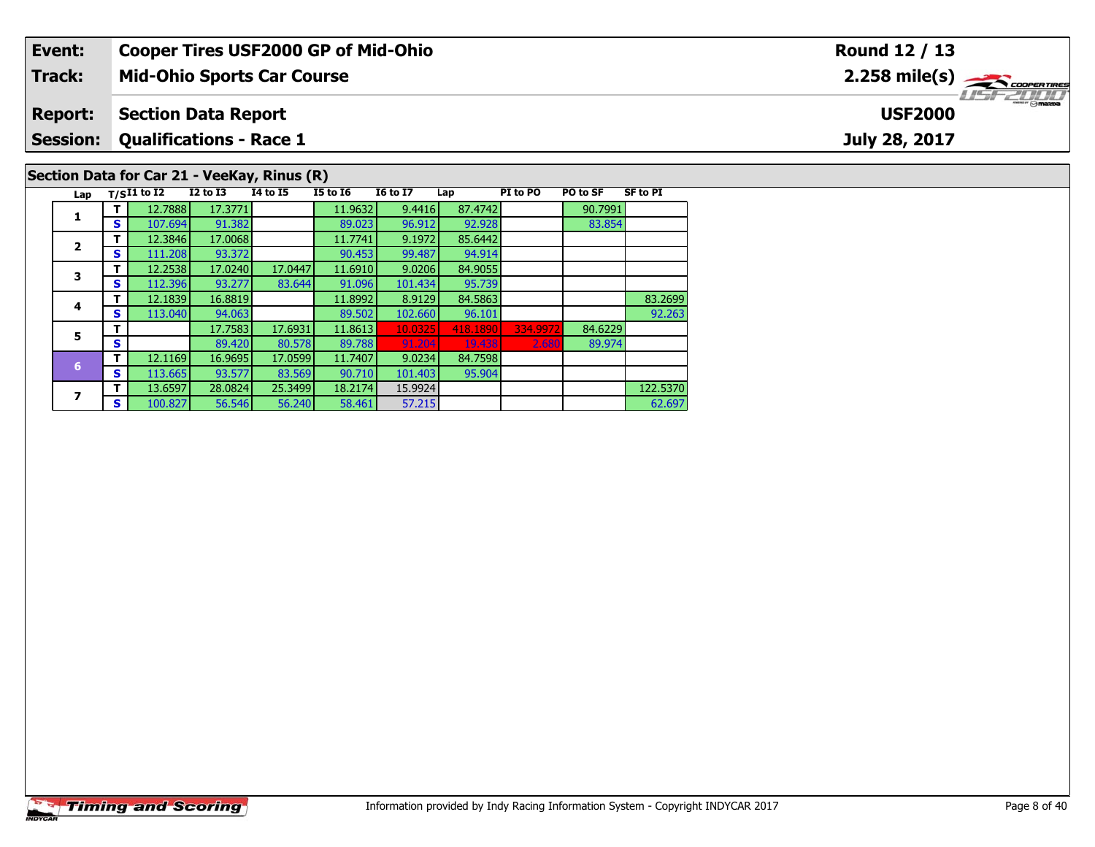| Event:          |    |                   |                                | <b>Cooper Tires USF2000 GP of Mid-Ohio</b>  |                 |                 |         |          |          |                 | Round 12 / 13                                            |
|-----------------|----|-------------------|--------------------------------|---------------------------------------------|-----------------|-----------------|---------|----------|----------|-----------------|----------------------------------------------------------|
| <b>Track:</b>   |    |                   |                                | <b>Mid-Ohio Sports Car Course</b>           |                 |                 |         |          |          |                 | $2.258$ mile(s) $\sum$ coorentines                       |
| <b>Report:</b>  |    |                   | <b>Section Data Report</b>     |                                             |                 |                 |         |          |          |                 | $\overline{\phantom{a}}$ $\odot$ mazpa<br><b>USF2000</b> |
| <b>Session:</b> |    |                   | <b>Qualifications - Race 1</b> |                                             |                 |                 |         |          |          |                 | July 28, 2017                                            |
|                 |    |                   |                                | Section Data for Car 21 - VeeKay, Rinus (R) |                 |                 |         |          |          |                 |                                                          |
|                 |    | Lap $T/SI1$ to I2 | <b>I2 to I3</b>                | <b>I4 to I5</b>                             | <b>I5 to 16</b> | <b>16 to 17</b> | Lap     | PI to PO | PO to SF | <b>SF to PI</b> |                                                          |
|                 |    | 12.7888           | 17.3771                        |                                             | 11.9632         | 9.4416          | 87.4742 |          | 90.7991  |                 |                                                          |
|                 | S. | 107.694           | 91.382                         |                                             | 89.023          | 96.912          | 92.928  |          | 83.854   |                 |                                                          |
|                 |    | 12.3846           | 17.0068                        |                                             | 11.7741         | 9.1972          | 85.6442 |          |          |                 |                                                          |
|                 | S. | 111.208           | 93.372                         |                                             | 90.453          | 99.487          | 94.914  |          |          |                 |                                                          |
|                 |    | 12.2538           | 17.0240                        | 17.0447                                     | 11.6910         | 9.0206          | 84.9055 |          |          |                 |                                                          |

| ◢ | S | 111.208 | 93.372  |         | 90.453  | 99.487  | 94.914   |          |         |          |
|---|---|---------|---------|---------|---------|---------|----------|----------|---------|----------|
| 3 | т | 12.2538 | 17.0240 | 17.0447 | 11.6910 | 9.0206  | 84.9055  |          |         |          |
|   | S | 112.396 | 93.277  | 83.644  | 91.096  | 101.434 | 95.739   |          |         |          |
|   | т | 12.1839 | 16.8819 |         | 11.8992 | 8.9129  | 84.5863  |          |         | 83.2699  |
| 4 | S | 113.040 | 94.063  |         | 89.502  | 102.660 | 96.101   |          |         | 92.263   |
| 5 | т |         | 17.7583 | 17.6931 | 11.8613 | 10.0325 | 418.1890 | 334.9972 | 84.6229 |          |
|   | S |         | 89.420  | 80.578  | 89.788  | 91.204  | 19.438   | 2.680    | 89.974  |          |
| 6 | т | 12.1169 | 16.9695 | 17.0599 | 11.7407 | 9.0234  | 84.7598  |          |         |          |
|   | S | 113.665 | 93.577  | 83.569  | 90.710  | 101.403 | 95.904   |          |         |          |
|   | т | 13.6597 | 28.0824 | 25.3499 | 18.2174 | 15.9924 |          |          |         | 122.5370 |
|   | S | 100.827 | 56.546  | 56.240  | 58.461  | 57.215  |          |          |         | 62.697   |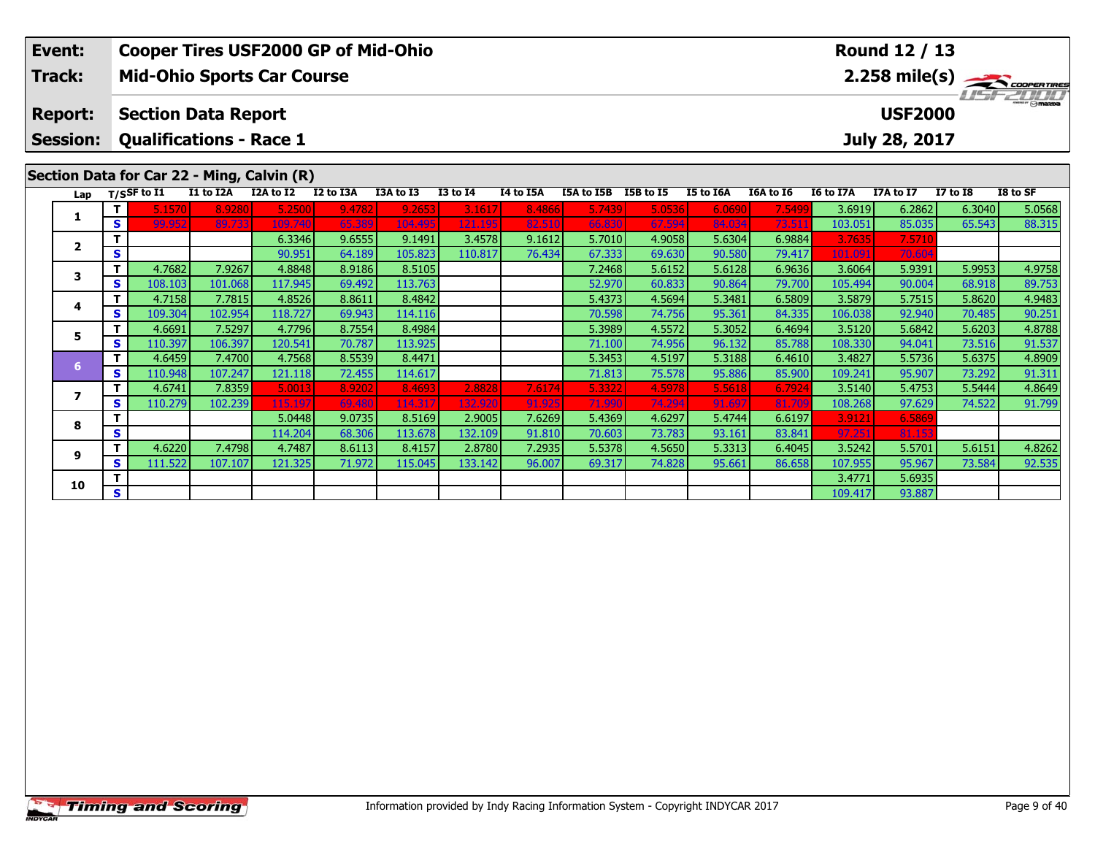| Event:                            |    |                |                                                              |                                            |           | <b>Cooper Tires USF2000 GP of Mid-Ohio</b> |              |                  |            |           |           |           |                  | Round 12 / 13                   |                 |                                                        |
|-----------------------------------|----|----------------|--------------------------------------------------------------|--------------------------------------------|-----------|--------------------------------------------|--------------|------------------|------------|-----------|-----------|-----------|------------------|---------------------------------|-----------------|--------------------------------------------------------|
| Track:                            |    |                |                                                              | <b>Mid-Ohio Sports Car Course</b>          |           |                                            |              |                  |            |           |           |           |                  |                                 |                 | $2.258$ mile(s) $\overbrace{\hspace{2cm}}$ coorer Time |
| <b>Report:</b><br><b>Session:</b> |    |                | <b>Section Data Report</b><br><b>Qualifications - Race 1</b> |                                            |           |                                            |              |                  |            |           |           |           |                  | <b>USF2000</b><br>July 28, 2017 |                 | $\frac{2\pi}{2}$ omazoa                                |
|                                   |    |                |                                                              | Section Data for Car 22 - Ming, Calvin (R) |           |                                            |              |                  |            |           |           |           |                  |                                 |                 |                                                        |
| Lap                               |    | $T/S$ SF to I1 | I1 to I2A                                                    | I2A to I2                                  | I2 to I3A | I3A to I3                                  | $I3$ to $I4$ | <b>I4 to I5A</b> | I5A to I5B | I5B to I5 | I5 to I6A | I6A to I6 | <b>I6 to I7A</b> | I7A to I7                       | <b>I7 to I8</b> | I8 to SF                                               |
|                                   |    | 5.1570         | 8.9280                                                       | 5.2500                                     | 9.4782    | 9.2653                                     | 3.1617       | 8.4866           | 5.7439     | 5.0536    | 6.0690    | 7.5499    | 3.6919           | 6.2862                          | 6.3040          | 5.0568                                                 |
| л.                                | S. | 99.952         | 89.733                                                       | 109,740                                    | 65.389    | 104.495                                    | 121.195      | 82.510           | 66.830     | 67.594    | 84.034    | 73.51     | 103.051          | 85.035                          | 65.543          | 88.315                                                 |
| $\mathbf{2}$                      |    |                |                                                              | 6.3346                                     | 9.6555    | 9.1491                                     | 3.4578       | 9.1612           | 5.7010     | 4.9058    | 5.6304    | 6.9884    | 3.7635           | 7.5710                          |                 |                                                        |
|                                   | S. |                |                                                              | 90.951                                     | 64.189    | 105.823                                    | 110.817      | 76.434           | 67.333     | 69.630    | 90.580    | 79.417    | 101.091          | 70.60                           |                 |                                                        |

**<sup>T</sup>** 4.7682 7.9267 4.8848 8.9186 8.5105 7.2468 5.6152 5.6128 6.9636 3.6064 5.9391 5.9953 4.9758 **<sup>S</sup>** 108.103 101.068 117.945 69.492 113.763 52.970 60.833 90.864 79.700 105.494 90.004 68.918 89.753

**<sup>T</sup>** 4.7158 7.7815 4.8526 8.8611 8.4842 5.4373 4.5694 5.3481 6.5809 3.5879 5.7515 5.8620 4.9483 **<sup>S</sup>** 109.304 102.954 118.727 69.943 114.116 70.598 74.756 95.361 84.335 106.038 92.940 70.485 90.251

**<sup>T</sup>** 4.6691 7.5297 4.7796 8.7554 8.4984 5.3989 4.5572 5.3052 6.4694 3.5120 5.6842 5.6203 4.8788 **<sup>S</sup>** 110.397 106.397 120.541 70.787 113.925 71.100 74.956 96.132 85.788 108.330 94.041 73.516 91.537

**<sup>T</sup>** 4.6459 7.4700 4.7568 8.5539 8.4471 5.3453 4.5197 5.3188 6.4610 3.4827 5.5736 5.6375 4.8909 **<sup>S</sup>** 110.948 107.247 121.118 72.455 114.617 71.813 75.578 95.886 85.900 109.241 95.907 73.292 91.311

7 | T | 4.6741 | 7.8359 | 5.0013 | 8.9202 | 8.4693 | 2.8828 | 7.6174 | 5.3322 | 4.5978 | 5.5618 | 6.7924 | 3.5140 | 5.4753 | 5.5444 | 4.8649<br>7 | S | 110.279 | 102.239 | 115.197 | 69.480 | 114.317 | 132.920 | 91.925 | 71.99

5.5701| 5.6151| 7.4798| 4.7487| 8.6113| 8.4157| 2.8780| 7.2935| 5.5378| 4.5650| 5.3313| 6.4045| 3.5242| 5.5701| 5.6151| 4.8262<br>S | 111.522 107.107| 121.325| 71.972| 115.045| 133.142| 96.007| 69.317| 74.828| 95.661| 86.658

**<sup>T</sup>** 5.0448 9.0735 8.5169 2.9005 7.6269 5.4369 4.6297 5.4744 6.6197 3.9121 6.5869 **<sup>S</sup>** 114.204 68.306 113.678 132.109 91.810 70.603 73.783 93.161 83.841 97.251 81.153

**O T** 1 3.4771 5.6935<br> **S** 109.417 93.887

**3**

**4**

**5**

**6**

**7**

**8**

**9**

**10**

90.251

91.799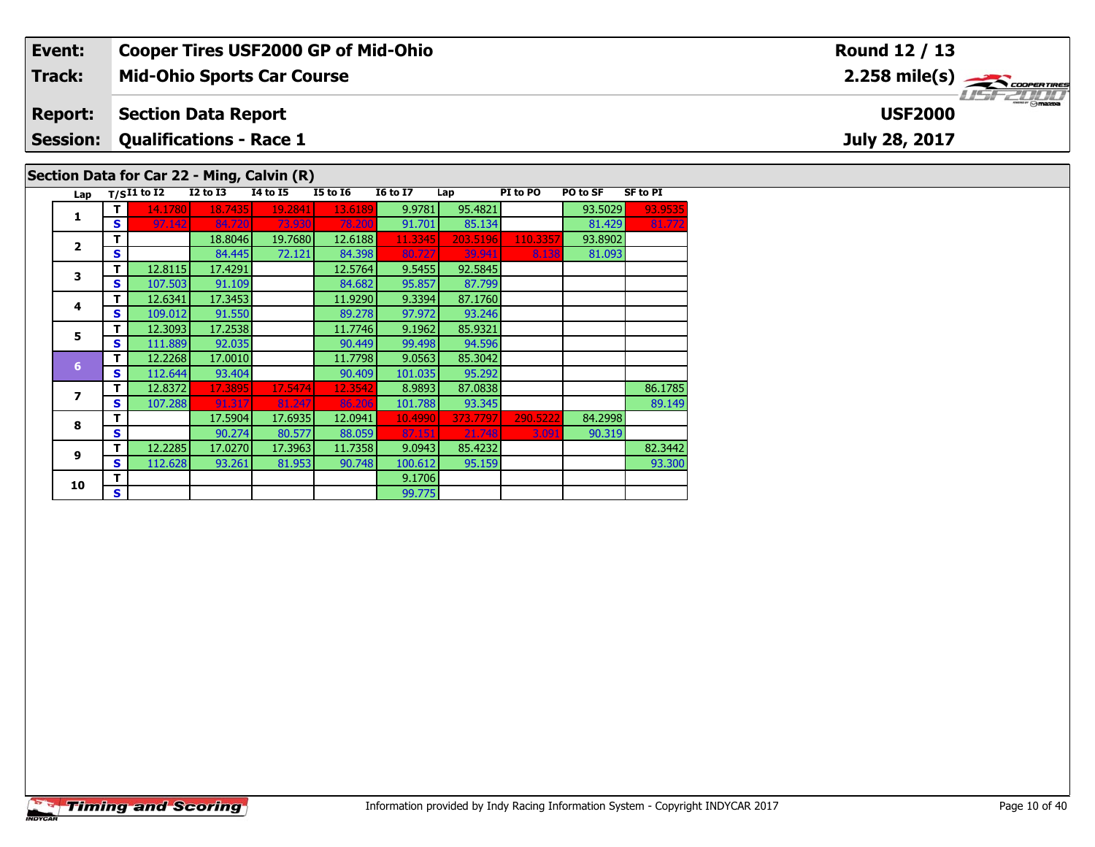## **Event: Cooper Tires USF2000 GP of Mid-Ohio Round 12 / 13**2.258 mile(s) **2.258 miles Mid-Ohio Sports Car Course Track:** USF 2000 **Section Data Report Report: USF2000 Qualifications - Race 1 Session:July 28, 2017 Section Data for Car 22 - Ming, Calvin (R)**

| Lap            |    | $T/SI1$ to $\overline{I2}$ | <b>I2 to I3</b> | <b>14 to 15</b> | <b>I5 to 16</b> | <b>16 to 17</b> | Lap      | PI to PO | PO to SF | <b>SF to PI</b> |
|----------------|----|----------------------------|-----------------|-----------------|-----------------|-----------------|----------|----------|----------|-----------------|
|                |    | 14.1780                    | 18.7435         | 19.2841         | 13.6189         | 9.9781          | 95.4821  |          | 93.5029  | 93.9535         |
| 1              | s  | 97.142                     | 84.720          | 73.930          | 78.200          | 91.701          | 85.134   |          | 81.429   | 81.772          |
| $\overline{2}$ |    |                            | 18.8046         | 19.7680         | 12.6188         | 11.3345         | 203.5196 | 110.3357 | 93.8902  |                 |
|                | S  |                            | 84.445          | 72.121          | 84.398          | 80.727          | 39.941   | 8.138    | 81.093   |                 |
| 3              | т  | 12.8115                    | 17.4291         |                 | 12.5764         | 9.5455          | 92.5845  |          |          |                 |
|                | S  | 107.503                    | 91.109          |                 | 84.682          | 95.857          | 87.799   |          |          |                 |
| 4              | т  | 12.6341                    | 17.3453         |                 | 11.9290         | 9.3394          | 87.1760  |          |          |                 |
|                | S  | 109.012                    | 91.550          |                 | 89.278          | 97.972          | 93.246   |          |          |                 |
| 5              | т  | 12.3093                    | 17.2538         |                 | 11.7746         | 9.1962          | 85.9321  |          |          |                 |
|                | S  | 111.889                    | 92.035          |                 | 90.449          | 99.498          | 94.596   |          |          |                 |
| 6              | т  | 12.2268                    | 17.0010         |                 | 11.7798         | 9.0563          | 85.3042  |          |          |                 |
|                | S  | 112.644                    | 93.404          |                 | 90.409          | 101.035         | 95.292   |          |          |                 |
| 7              | т  | 12.8372                    | 17.3895         | 17.5474         | 12.3542         | 8.9893          | 87.0838  |          |          | 86.1785         |
|                | s  | 107.288                    | 91.317          | 81.247          | 86.206          | 101.788         | 93.345   |          |          | 89.149          |
| 8              | т  |                            | 17.5904         | 17.6935         | 12.0941         | 10.4990         | 373.7797 | 290.5222 | 84.2998  |                 |
|                | S  |                            | 90.274          | 80.577          | 88.059          | 87.151          | 21.748   | 3.091    | 90.319   |                 |
| 9              | т  | 12.2285                    | 17.0270         | 17.3963         | 11.7358         | 9.0943          | 85.4232  |          |          | 82.3442         |
|                | s  | 112.628                    | 93.261          | 81.953          | 90.748          | 100.612         | 95.159   |          |          | 93.300          |
| 10             | т  |                            |                 |                 |                 | 9.1706          |          |          |          |                 |
|                | S. |                            |                 |                 |                 | 99.775          |          |          |          |                 |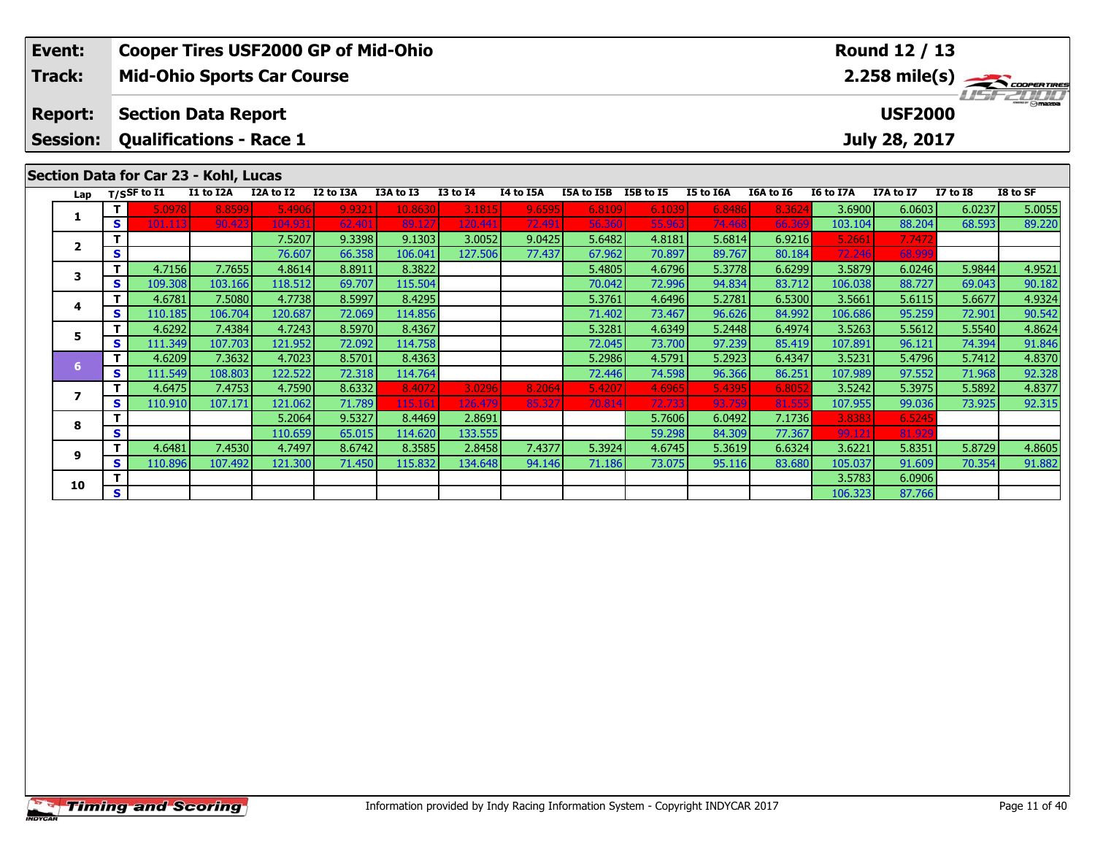| Event:                                | <b>Cooper Tires USF2000 GP of Mid-Ohio</b>      |                                              |           |           |           |                 |           |            |           |           |                  |                  | Round 12 / 13 |                 |                               |
|---------------------------------------|-------------------------------------------------|----------------------------------------------|-----------|-----------|-----------|-----------------|-----------|------------|-----------|-----------|------------------|------------------|---------------|-----------------|-------------------------------|
| Track:                                | <b>Mid-Ohio Sports Car Course</b>               |                                              |           |           |           |                 |           |            |           |           |                  |                  |               |                 | $2.258$ mile(s) $\rightarrow$ |
| <b>Report:</b>                        |                                                 | <b>USF2000</b><br><b>Section Data Report</b> |           |           |           |                 |           |            |           |           |                  |                  |               |                 | <i><b>ISFED ON</b></i>        |
| <b>Session:</b>                       | <b>Qualifications - Race 1</b><br>July 28, 2017 |                                              |           |           |           |                 |           |            |           |           |                  |                  |               |                 |                               |
|                                       |                                                 |                                              |           |           |           |                 |           |            |           |           |                  |                  |               |                 |                               |
| Section Data for Car 23 - Kohl, Lucas |                                                 |                                              |           |           |           |                 |           |            |           |           |                  |                  |               |                 |                               |
| Lap                                   | T/SSF to I1                                     | I1 to I2A                                    | I2A to I2 | I2 to I3A | I3A to I3 | <b>I3 to I4</b> | I4 to I5A | I5A to I5B | I5B to I5 | I5 to I6A | <b>I6A to I6</b> | <b>I6 to I7A</b> | I7A to I7     | <b>I7 to I8</b> | I8 to SF                      |

| Lap |          | 11531 1011 | ** W *** | <br>$\bf\ddot{\bf v}$<br> | 14 W 19M | --      |         |        |        |        |        | .      | 1001177 | 1170011 | 17 W 19 | 10 W JI |
|-----|----------|------------|----------|---------------------------|----------|---------|---------|--------|--------|--------|--------|--------|---------|---------|---------|---------|
|     | Τ.       | 5.0978     | 8.8599   | 5.4906                    | 9.9321   | 10.8630 | 3.1815  | 9.6595 | 6.8109 | 6.1039 | 6.8486 | 8.3624 | 3.6900  | 6.0603  | 6.0237  | 5.0055  |
|     | S        | 101.113    | 90.423   | 104.931                   | 62.401   | 89.127  | 120.441 | 72.491 | 56.360 | 55.963 | 74.468 | 66.369 | 103.104 | 88.204  | 68.593  | 89.220  |
|     | т        |            |          | 7.5207                    | 9.3398   | 9.1303  | 3.0052  | 9.0425 | 5.6482 | 4.8181 | 5.6814 | 6.9216 | 5.2661  | 7.7472  |         |         |
|     | S        |            |          | 76.607                    | 66.358   | 106.041 | 127.506 | 77.437 | 67.962 | 70.897 | 89.767 | 80.184 | 72.246  | 68.999  |         |         |
|     |          | 4.7156     | 7.7655   | 4.8614                    | 8.8911   | 8.3822  |         |        | 5.4805 | 4.6796 | 5.3778 | 6.6299 | 3.5879  | 6.0246  | 5.9844  | 4.9521  |
|     | <b>S</b> | 109.308    | 103.166  | 118.512                   | 69.707   | 115.504 |         |        | 70.042 | 72.996 | 94.834 | 83.712 | 106.038 | 88.727  | 69.043  | 90.182  |
|     | т.       | 4.6781     | 7.5080   | 4.7738                    | 8.5997   | 8.4295  |         |        | 5.3761 | 4.6496 | 5.2781 | 6.5300 | 3.5661  | 5.6115  | 5.6677  | 4.9324  |
|     | S.       | 110.185    | 106.704  | 120.687                   | 72.069   | 114.856 |         |        | 71.402 | 73.467 | 96.626 | 84.992 | 106.686 | 95.259  | 72.901  | 90.542  |
|     |          | 4.6292     | 7.4384   | 4.7243                    | 8.5970   | 8.4367  |         |        | 5.3281 | 4.6349 | 5.2448 | 6.4974 | 3.5263  | 5.5612  | 5.5540  | 4.8624  |
|     | S.       | 111.349    | 107.703  | 121.952                   | 72.092   | 114.758 |         |        | 72.045 | 73.700 | 97.239 | 85.419 | 107.891 | 96.121  | 74.394  | 91.846  |
| 6   |          | 4.6209     | 7.3632   | 4.7023                    | 8.5701   | 8.4363  |         |        | 5.2986 | 4.5791 | 5.2923 | 6.4347 | 3.5231  | 5.4796  | 5.7412  | 4.8370  |
|     | S.       | 111.549    | 108.803  | 122.522                   | 72.318   | 114.764 |         |        | 72.446 | 74.598 | 96.366 | 86.251 | 107.989 | 97.552  | 71.968  | 92.328  |
|     |          | 4.6475     | 7.4753   | 4.7590                    | 8.6332   | 8.4072  | 3.0296  | 8.2064 | 5.4207 | 4.6965 | 5.4395 | 6.8052 | 3.5242  | 5.3975  | 5.5892  | 4.8377  |
|     | S.       | 110.910    | 107.171  | 121.062                   | 71.789   | 115.161 | 126,479 | 85.327 | 70.814 | 72.733 | 93.759 | 81.555 | 107.955 | 99.036  | 73.925  | 92.315  |
| 8   | т        |            |          | 5.2064                    | 9.5327   | 8.4469  | 2.8691  |        |        | 5.7606 | 6.0492 | 7.1736 | 3.8383  | 6.5245  |         |         |
|     | S        |            |          | 110.659                   | 65.015   | 114.620 | 133.555 |        |        | 59.298 | 84.309 | 77.367 | 99.121  | 81.929  |         |         |
| q   | т        | 4.6481     | 7.4530   | 4.7497                    | 8.6742   | 8.3585  | 2.8458  | 7.4377 | 5.3924 | 4.6745 | 5.3619 | 6.6324 | 3.6221  | 5.8351  | 5.8729  | 4.8605  |
|     | S.       | 110.896    | 107.492  | 121.300                   | 71.450   | 115.832 | 134.648 | 94.146 | 71.186 | 73.075 | 95.116 | 83.680 | 105.037 | 91.609  | 70.354  | 91.882  |
| 10  |          |            |          |                           |          |         |         |        |        |        |        |        | 3.5783  | 6.0906  |         |         |
|     | S.       |            |          |                           |          |         |         |        |        |        |        |        | 106.323 | 87.766  |         |         |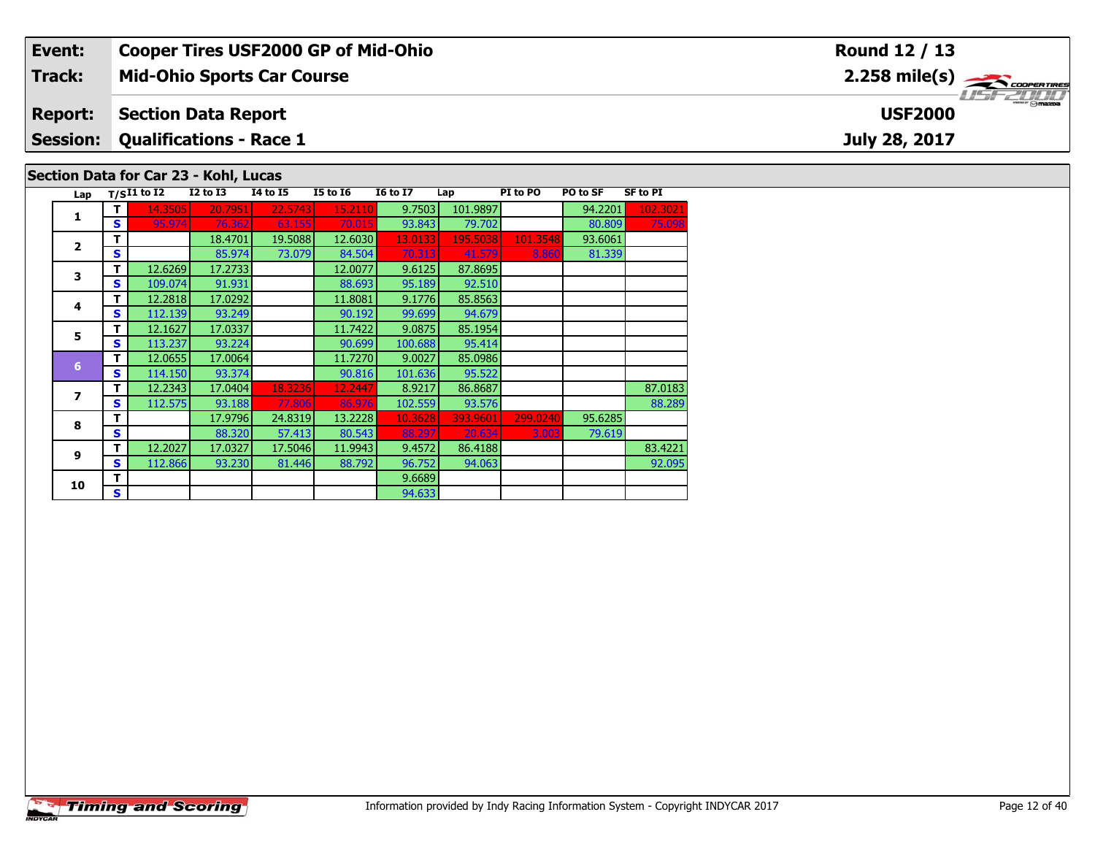## **Event: Cooper Tires USF2000 GP of Mid-Ohio Round 12 / 13**2.258 mile(s) **2.258 miles Mid-Ohio Sports Car Course Track:** USF 2000 **Report: Section Data Report USF2000 Qualifications - Race 1 Session:July 28, 2017 Section Data for Car 23 - Kohl, Lucas**

| Lap |              | $T/SI1$ to I2 | <b>I2 to I3</b> | <b>I4 to I5</b> | <b>I5 to 16</b> | <b>16 to 17</b> | Lap      | PI to PO | PO to SF | <b>SF to PI</b> |
|-----|--------------|---------------|-----------------|-----------------|-----------------|-----------------|----------|----------|----------|-----------------|
| 1   | т            | 14.3505       | 20.7951         | 22.5743         | 15.2110         | 9.7503          | 101.9897 |          | 94.2201  | 102.3021        |
|     | $\mathbf{s}$ | 95.974        | 76.362          | 63.155          | 70.015          | 93.843          | 79.702   |          | 80.809   | 75.098          |
|     | т            |               | 18.4701         | 19.5088         | 12.6030         | 13.0133         | 195.5038 | 101.3548 | 93.6061  |                 |
| 2   | $\mathbf{s}$ |               | 85.974          | 73.079          | 84.504          | 70.313          | 41.579   | 8.860    | 81.339   |                 |
| 3   | т            | 12.6269       | 17.2733         |                 | 12.0077         | 9.6125          | 87.8695  |          |          |                 |
|     | S            | 109.074       | 91.931          |                 | 88.693          | 95.189          | 92.510   |          |          |                 |
| 4   | т            | 12.2818       | 17.0292         |                 | 11.8081         | 9.1776          | 85.8563  |          |          |                 |
|     | $\mathbf{s}$ | 112.139       | 93.249          |                 | 90.192          | 99.699          | 94.679   |          |          |                 |
| 5   | т            | 12.1627       | 17.0337         |                 | 11.7422         | 9.0875          | 85.1954  |          |          |                 |
|     | S            | 113.237       | 93.224          |                 | 90.699          | 100.688         | 95.414   |          |          |                 |
| 6   | т            | 12.0655       | 17.0064         |                 | 11.7270         | 9.0027          | 85.0986  |          |          |                 |
|     | $\mathbf{s}$ | 114.150       | 93.374          |                 | 90.816          | 101.636         | 95.522   |          |          |                 |
| 7   | т            | 12.2343       | 17.0404         | 18.3236         | 12.2447         | 8.9217          | 86.8687  |          |          | 87.0183         |
|     | S            | 112.575       | 93.188          | 77.806          | 86.976          | 102.559         | 93.576   |          |          | 88.289          |
| 8   | т            |               | 17.9796         | 24.8319         | 13.2228         | 10.3628         | 393.9601 | 299.0240 | 95.6285  |                 |
|     | $\mathbf{s}$ |               | 88.320          | 57.413          | 80.543          | 88.297          | 20.634   | 3.003    | 79.619   |                 |
| 9   | т            | 12.2027       | 17.0327         | 17.5046         | 11.9943         | 9.4572          | 86.4188  |          |          | 83.4221         |
|     | S            | 112.866       | 93.230          | 81.446          | 88.792          | 96.752          | 94.063   |          |          | 92.095          |
| 10  | т            |               |                 |                 |                 | 9.6689          |          |          |          |                 |
|     | S            |               |                 |                 |                 | 94.633          |          |          |          |                 |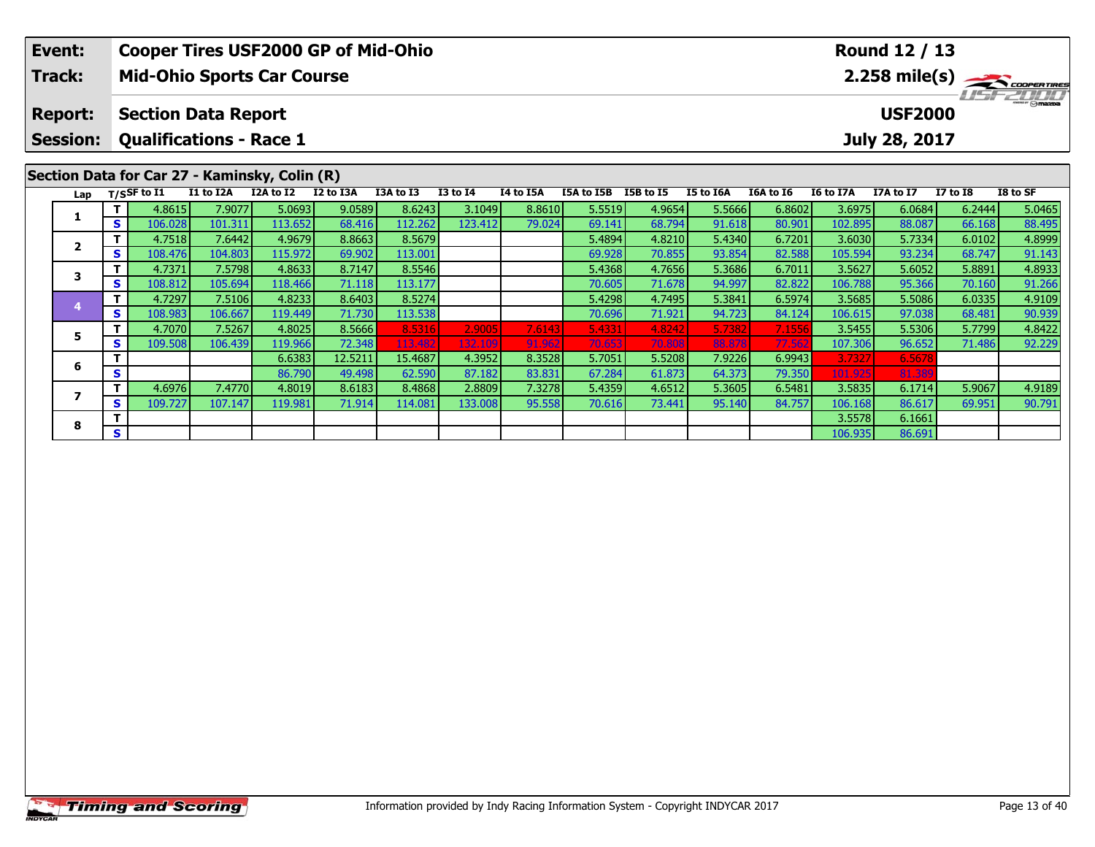| <b>USF2000</b>                                                                                                       |
|----------------------------------------------------------------------------------------------------------------------|
|                                                                                                                      |
| July 28, 2017                                                                                                        |
|                                                                                                                      |
| <b>I7 to I8</b><br>I8 to SF                                                                                          |
| 6.2444<br>5.0465<br>88.495<br>66.168                                                                                 |
| 6.0102<br>4.8999                                                                                                     |
| 91.143<br>68.747                                                                                                     |
| 5.8891<br>4.8933                                                                                                     |
| 91.266<br>70.160                                                                                                     |
| 4.9109<br>6.0335                                                                                                     |
| 90.939<br>68.481                                                                                                     |
| 5.7799<br>4.8422                                                                                                     |
| 92.229<br>71.486                                                                                                     |
|                                                                                                                      |
| 6.0684<br>88.087<br>5.7334<br>93.234<br>5.6052<br>95.366<br>5.5086<br>97.038<br>5.5306<br>96.652<br>6.5678<br>81.389 |

7 | T | 4.6976| 7.4770| 4.8019| 8.6183| 8.4868| 2.8809| 7.3278| 5.4359| 4.6512| 5.3605| 6.5481| 3.5835| 6.1714| 5.9067| 4.9189<br>7 | S | 109.727| 107.147| 119.981| 71.914| 114.081| 133.008| 95.558| 70.616| 73.441| 95.140| 84

**<sup>T</sup>** 3.5578 6.1661 **<sup>S</sup>** 106.935 86.691

**7**

**8**

90.791

 $6.1714$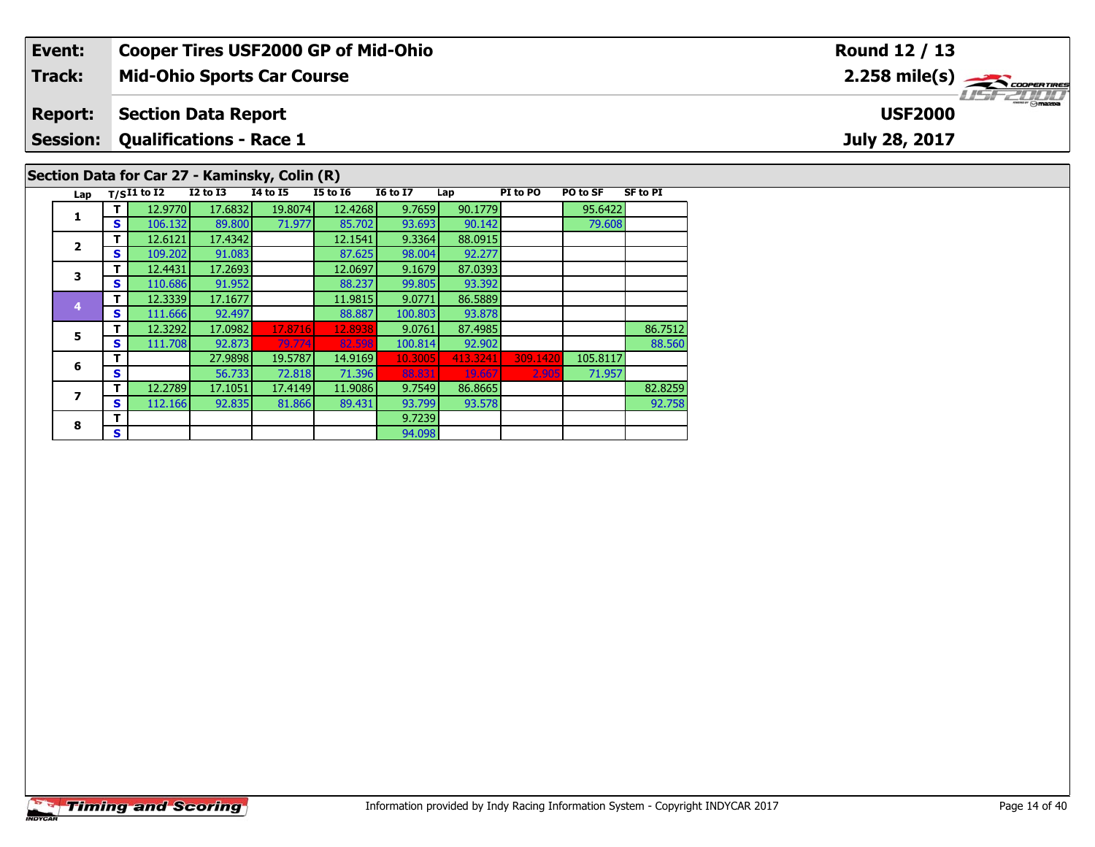| Event:         |    |                   |                            | <b>Cooper Tires USF2000 GP of Mid-Ohio</b>    |                 |                 |         |          |          |                 | Round 12 / 13                                                      |
|----------------|----|-------------------|----------------------------|-----------------------------------------------|-----------------|-----------------|---------|----------|----------|-----------------|--------------------------------------------------------------------|
| Track:         |    |                   |                            | <b>Mid-Ohio Sports Car Course</b>             |                 |                 |         |          |          |                 | $2.258$ mile(s) $\overbrace{\hspace{2.5cm}}^{\text{cooren times}}$ |
| <b>Report:</b> |    |                   | <b>Section Data Report</b> |                                               |                 |                 |         |          |          |                 | $m = \bigcap_{i=1}^{n}$<br><b>USF2000</b>                          |
|                |    |                   |                            | <b>Session: Qualifications - Race 1</b>       |                 |                 |         |          |          |                 | July 28, 2017                                                      |
|                |    |                   |                            | Section Data for Car 27 - Kaminsky, Colin (R) |                 |                 |         |          |          |                 |                                                                    |
|                |    | Lap $T/SI1$ to I2 | <b>I2 to I3</b>            | I4 to I5                                      | <b>I5 to I6</b> | <b>16 to 17</b> | Lap     | PI to PO | PO to SF | <b>SF to PI</b> |                                                                    |
|                |    | 12.9770           | 17.6832                    | 19.8074                                       | 12.4268         | 9.7659          | 90.1779 |          | 95.6422  |                 |                                                                    |
| л.             | S  | 106.132           | 89.800                     | 71.977                                        | 85.702          | 93.693          | 90.142  |          | 79.608   |                 |                                                                    |
| $\mathbf{2}$   |    | 12.6121           | 17.4342                    |                                               | 12.1541         | 9.3364          | 88.0915 |          |          |                 |                                                                    |
|                | S. | 109.202           | 91.083                     |                                               | 87.625          | 98.004          | 92.277  |          |          |                 |                                                                    |

| Lap            |   | $T/SI1$ to I2 | $I2$ to $I3$ | 14 to 15 | <b>I5 to 16</b> | <b>16 to 17</b> | Lap      | PI to PO | PO to SF | <b>SF to PI</b> |
|----------------|---|---------------|--------------|----------|-----------------|-----------------|----------|----------|----------|-----------------|
|                | т | 12.9770       | 17.6832      | 19.8074  | 12.4268         | 9.7659          | 90.1779  |          | 95.6422  |                 |
| 1              | S | 106.132       | 89,800       | 71.977   | 85.702          | 93.693          | 90.142   |          | 79.608   |                 |
| $\overline{2}$ | т | 12.6121       | 17.4342      |          | 12.1541         | 9.3364          | 88.0915  |          |          |                 |
|                | S | 109.202       | 91.083       |          | 87.625          | 98.004          | 92.277   |          |          |                 |
| 3              | т | 12.4431       | 17.2693      |          | 12.0697         | 9.1679          | 87.0393  |          |          |                 |
|                | S | 110.686       | 91.952       |          | 88.237          | 99.805          | 93.392   |          |          |                 |
| 4              | т | 12.3339       | 17.1677      |          | 11.9815         | 9.0771          | 86.5889  |          |          |                 |
|                | S | 111.666       | 92.497       |          | 88.887          | 100.803         | 93.878   |          |          |                 |
| 5              | т | 12.3292       | 17.0982      | 17.8716  | 12.8938         | 9.0761          | 87.4985  |          |          | 86.7512         |
|                | S | 111.708       | 92.873       | 79.774   | 82.598          | 100.814         | 92.902   |          |          | 88.560          |
| 6              | т |               | 27.9898      | 19.5787  | 14.9169         | 10.3005         | 413.3241 | 309.1420 | 105.8117 |                 |
|                | S |               | 56.733       | 72.818   | 71.396          | 88.831          | 19.667   | 2.905    | 71.957   |                 |
| 7              | т | 12.2789       | 17.1051      | 17.4149  | 11.9086         | 9.7549          | 86.8665  |          |          | 82.8259         |
|                | S | 112.166       | 92.835       | 81.866   | 89.431          | 93.799          | 93.578   |          |          | 92.758          |
| 8              | т |               |              |          |                 | 9.7239          |          |          |          |                 |
|                | S |               |              |          |                 | 94.098          |          |          |          |                 |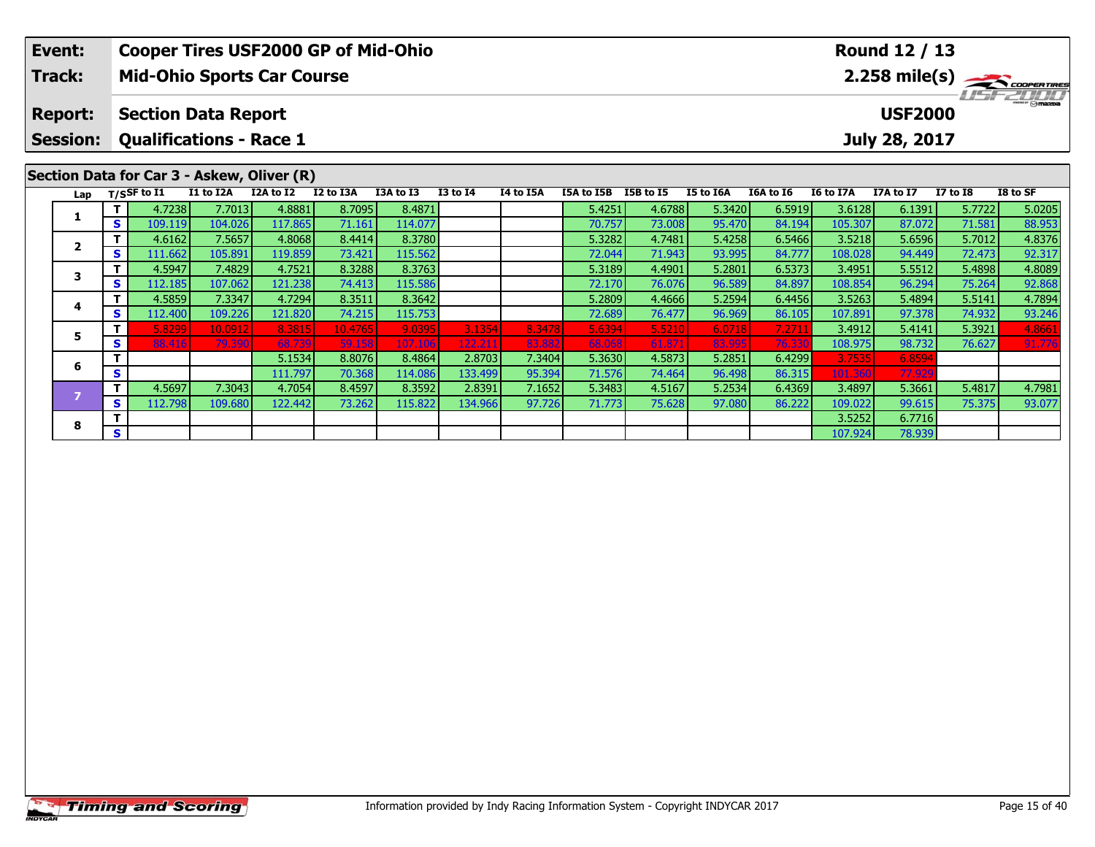| Event:<br>Track:                  |               | <b>Mid-Ohio Sports Car Course</b>                              |                    |                             | <b>Cooper Tires USF2000 GP of Mid-Ohio</b> |                              |                              |                            |                            |                            |                            |                           |                              | Round 12 / 13                   |                  | $2.258$ mile(s) $\rightarrow$ coorenames |
|-----------------------------------|---------------|----------------------------------------------------------------|--------------------|-----------------------------|--------------------------------------------|------------------------------|------------------------------|----------------------------|----------------------------|----------------------------|----------------------------|---------------------------|------------------------------|---------------------------------|------------------|------------------------------------------|
| <b>Report:</b><br><b>Session:</b> |               | <b>Section Data Report</b><br><b>Qualifications - Race 1</b>   |                    |                             |                                            |                              |                              |                            |                            |                            |                            |                           |                              | <b>USF2000</b><br>July 28, 2017 |                  |                                          |
| Lap                               |               | Section Data for Car 3 - Askew, Oliver (R)<br>$T/S$ SF to $I1$ | I1 to I2A          | I2A to I2                   | I2 to I3A                                  | I3A to I3                    | <b>I3 to I4</b>              | I4 to I5A                  | I5A to I5B                 | I5B to I5                  | I5 to I6A                  | I6A to I6                 | I6 to I7A                    | I7A to I7                       | <b>I7 to I8</b>  | I8 to SF                                 |
|                                   | S.            | 4.7238<br>109.119                                              | 7.7013<br>104.026  | 4.8881<br>117.865           | 8.7095<br>71.161                           | 8.4871<br>114.077            |                              |                            | 5.4251<br>70.757           | 4.6788<br>73.008           | 5.3420<br>95.470           | 6.5919<br>84.194          | 3.6128<br>105.307            | 6.1391<br>87.072                | 5.7722<br>71.581 | 5.0205<br>88.953                         |
| $\mathbf{2}$                      | <b>S</b>      | 4.6162<br>111.662                                              | 7.5657<br>105.891  | 4.8068<br>119.859           | 8.4414<br>73.421                           | 8.3780<br>115.562            |                              |                            | 5.3282<br>72.044           | 4.7481<br>71.943           | 5.4258<br>93.995           | 6.5466<br>84.777          | 3.5218<br>108.028            | 5.6596<br>94.449                | 5.7012<br>72.473 | 4.8376<br>92.317                         |
| 3                                 |               | 4.5947                                                         | 7.4829             | 4.7521                      | 8.3288                                     | 8.3763                       |                              |                            | 5.3189                     | 4.4901                     | 5.2801                     | 6.5373                    | 3.4951                       | 5.5512                          | 5.4898           | 4.8089                                   |
| 4                                 | S.            | 112.185<br>4.5859                                              | 107.062<br>7.3347  | 121.238<br>4.7294           | 74.413<br>8.3511                           | 115.586<br>8.3642            |                              |                            | 72.170<br>5.2809           | 76.076<br>4.4666           | 96.589<br>5.2594           | 84.897<br>6.4456          | 108.854<br>3.5263            | 96.294<br>5.4894                | 75.264<br>5.5141 | 92.868<br>4.7894                         |
| 5.                                | S.            | 112.400<br>5.8299                                              | 109.226<br>10.0912 | 121.820<br>8.3815           | 74.215<br>10.4765                          | 115.753<br>9.0395            | 3.1354                       | 8.3478                     | 72.689<br>5.6394           | 76.477<br>5.5210           | 96.969<br>6.0718           | 86.105<br>7.2711          | 107.891<br>3.4912            | 97.378<br>5.4141                | 74.932<br>5.3921 | 93.246<br>4.8661                         |
| 6                                 | S<br><b>S</b> | 88.416                                                         | 79.390             | 68.739<br>5.1534<br>111.797 | 59.158<br>8.8076<br>70.368                 | 107.106<br>8.4864<br>114.086 | 122.211<br>2.8703<br>133.499 | 83.882<br>7.3404<br>95.394 | 68.068<br>5.3630<br>71.576 | 61.871<br>4.5873<br>74.464 | 83.995<br>5.2851<br>96.498 | 76.33<br>6.4299<br>86.315 | 108.975<br>3.7535<br>101.360 | 98.732<br>6.8594<br>77.929      | 76.627           | 91.776                                   |

**<sup>T</sup>** 4.5697 7.3043 4.7054 8.4597 8.3592 2.8391 7.1652 5.3483 4.5167 5.2534 6.4369 3.4897 5.3661 5.4817 4.7981 **<sup>S</sup>** 112.798 109.680 122.442 73.262 115.822 134.966 97.726 71.773 75.628 97.080 86.222 109.022 99.615 75.375 93.077

**8 T** 3.5252 6.7716 **S** 107.924 78.939

**8**

93.077

5.3661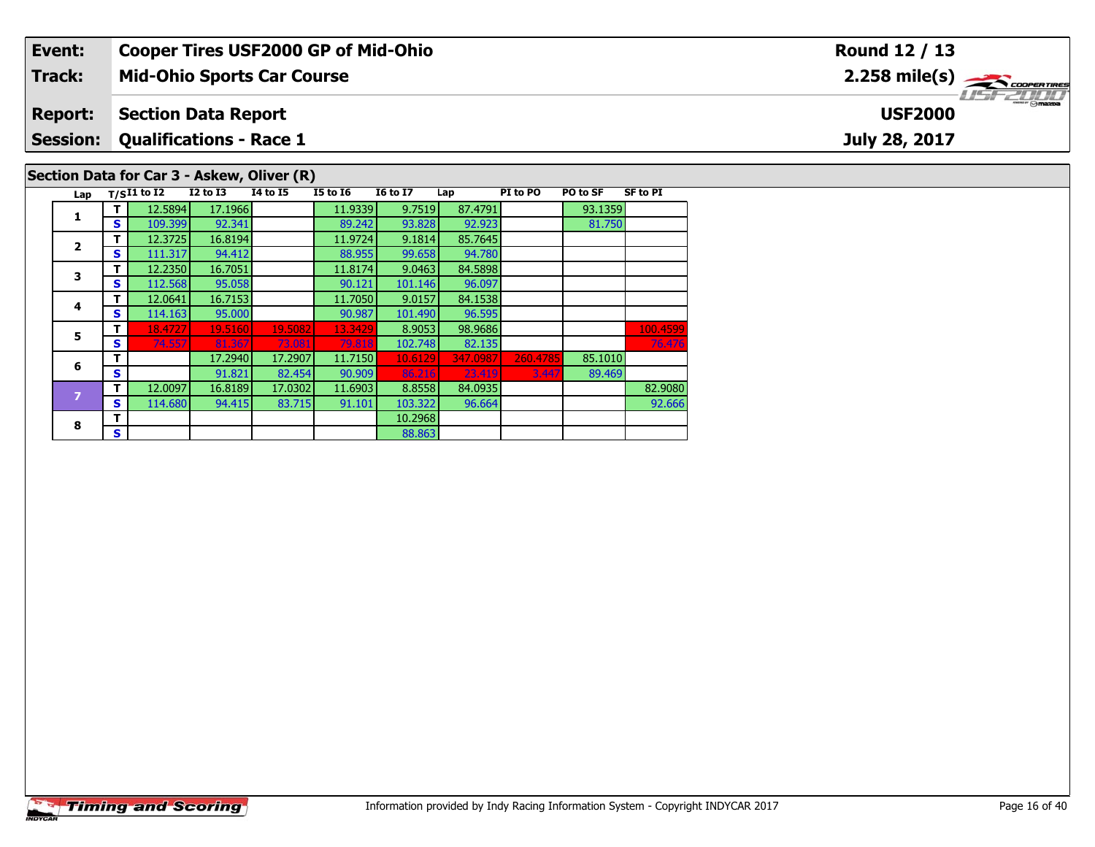| Event:          |          |                                            |                 |          | <b>Cooper Tires USF2000 GP of Mid-Ohio</b> |                 |           |          |          |                 | <b>Round 12 / 13</b>                                      |
|-----------------|----------|--------------------------------------------|-----------------|----------|--------------------------------------------|-----------------|-----------|----------|----------|-----------------|-----------------------------------------------------------|
| Track:          |          | <b>Mid-Ohio Sports Car Course</b>          |                 |          |                                            |                 |           |          |          |                 | $2.258$ mile(s) $\overbrace{\hspace{2.5cm}}$ coorer TIRES |
| <b>Report:</b>  |          | <b>Section Data Report</b>                 |                 |          |                                            |                 |           |          |          |                 | <b>USF2000</b>                                            |
| <b>Session:</b> |          | <b>Qualifications - Race 1</b>             |                 |          |                                            |                 |           |          |          |                 | July 28, 2017                                             |
|                 |          | Section Data for Car 3 - Askew, Oliver (R) |                 |          |                                            |                 |           |          |          |                 |                                                           |
| Lap             |          | $T/SI1$ to I2                              | <b>I2 to I3</b> | I4 to I5 | <b>I5 to I6</b>                            | <b>16 to 17</b> | Lap       | PI to PO | PO to SF | <b>SF to PI</b> |                                                           |
|                 |          | 12.5894                                    | 17.1966         |          | 11.9339                                    | 9.7519          | 87.4791   |          | 93.1359  |                 |                                                           |
|                 | S I      | 109.399                                    | 92.341          |          | 89.242                                     | 93.828          | 92.923    |          | 81.750   |                 |                                                           |
|                 |          | 12.3725                                    | 16.8194         |          | 11.9724                                    | 9.1814          | 85.7645   |          |          |                 |                                                           |
| $\overline{2}$  | <b>S</b> | 111.317                                    | 94.412          |          | 88.955                                     | 99.658          | 94.780    |          |          |                 |                                                           |
|                 | . The U  | 12225                                      | $AC$ 70E1       |          | 11.0174                                    | n nacol         | $0A$ FOOD |          |          |                 |                                                           |

| 1 | т | 12.5894 | 17.1966 |         | 11.9339 | 9.7519  | 87.4791  |          | 93.1359 |          |
|---|---|---------|---------|---------|---------|---------|----------|----------|---------|----------|
|   | S | 109.399 | 92.341  |         | 89.242  | 93.828  | 92.923   |          | 81.750  |          |
| 2 | т | 12.3725 | 16.8194 |         | 11.9724 | 9.1814  | 85.7645  |          |         |          |
|   | S | 111.317 | 94.412  |         | 88.955  | 99.658  | 94.780   |          |         |          |
| 3 | т | 12.2350 | 16.7051 |         | 11.8174 | 9.0463  | 84.5898  |          |         |          |
|   | S | 112.568 | 95.058  |         | 90.121  | 101.146 | 96.097   |          |         |          |
| 4 | т | 12.0641 | 16.7153 |         | 11.7050 | 9.0157  | 84.1538  |          |         |          |
|   | S | 114.163 | 95.000  |         | 90.987  | 101.490 | 96.595   |          |         |          |
| 5 | т | 18.4727 | 19.5160 | 19.5082 | 13.3429 | 8.9053  | 98.9686  |          |         | 100.4599 |
|   | S | 74.557  | 81.367  | 73.081  | 79.818  | 102.748 | 82.135   |          |         | 76.476   |
| 6 | т |         | 17.2940 | 17.2907 | 11.7150 | 10.6129 | 347.0987 | 260.4785 | 85.1010 |          |
|   | S |         | 91.821  | 82.454  | 90.909  | 86.216  | 23.419   | 3.447    | 89.469  |          |
| 7 | т | 12.0097 | 16.8189 | 17.0302 | 11.6903 | 8.8558  | 84.0935  |          |         | 82.9080  |
|   | S | 114.680 | 94.415  | 83.715  | 91.101  | 103.322 | 96.664   |          |         | 92.666   |
| 8 | Т |         |         |         |         | 10.2968 |          |          |         |          |
|   | S |         |         |         |         | 88.863  |          |          |         |          |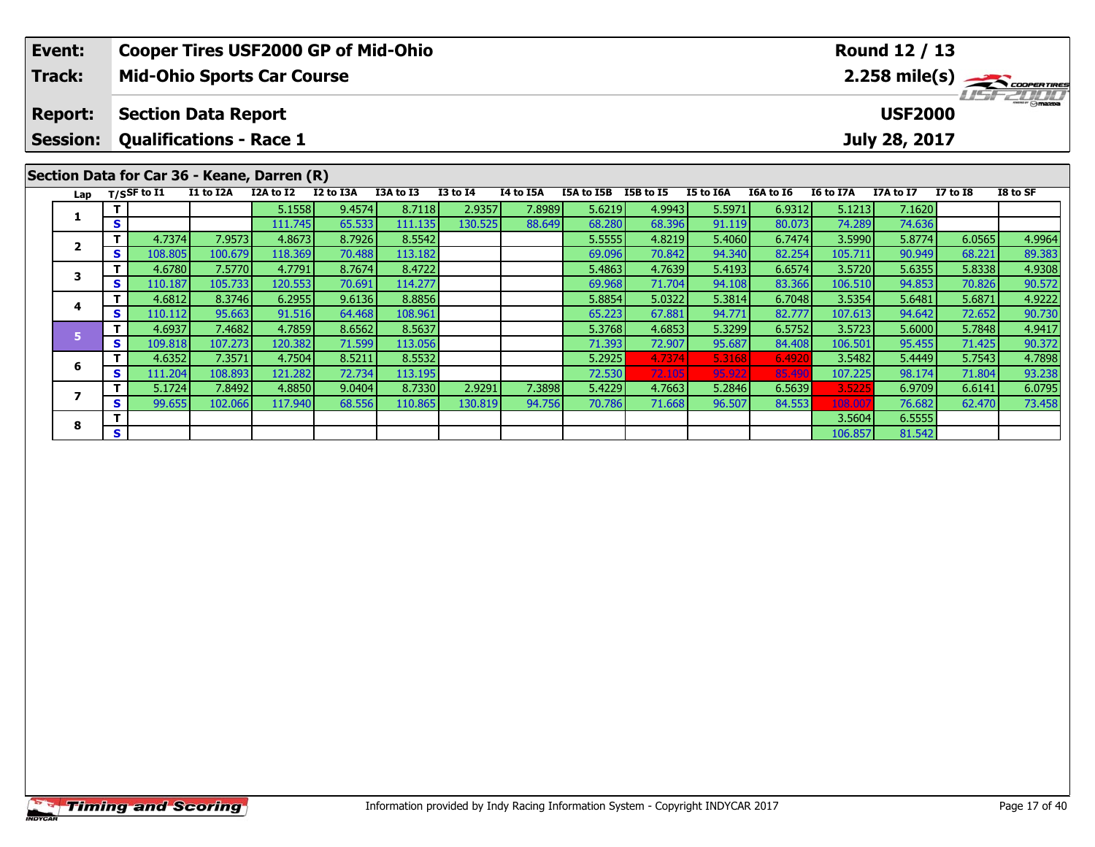| Event:<br>Track:                  |    | <b>Mid-Ohio Sports Car Course</b>                            |           |           | <b>Cooper Tires USF2000 GP of Mid-Ohio</b> |           |                 |           |            |           |           |           |           | Round 12 / 13                   |                 | $2.258$ mile(s) $\frac{1}{2}\sqrt{1000^{\circ}}$ |
|-----------------------------------|----|--------------------------------------------------------------|-----------|-----------|--------------------------------------------|-----------|-----------------|-----------|------------|-----------|-----------|-----------|-----------|---------------------------------|-----------------|--------------------------------------------------|
| <b>Report:</b><br><b>Session:</b> |    | <b>Section Data Report</b><br><b>Qualifications - Race 1</b> |           |           |                                            |           |                 |           |            |           |           |           |           | <b>USF2000</b><br>July 28, 2017 |                 | 1151721111                                       |
|                                   |    | Section Data for Car 36 - Keane, Darren (R)                  |           |           |                                            |           |                 |           |            |           |           |           |           |                                 |                 |                                                  |
| Lap                               |    | $T/S$ SF to $I1$                                             | I1 to I2A | I2A to I2 | I2 to I3A                                  | I3A to I3 | <b>I3 to I4</b> | I4 to I5A | I5A to I5B | I5B to I5 | I5 to I6A | I6A to I6 | I6 to I7A | I7A to I7                       | <b>I7 to I8</b> | I8 to SF                                         |
|                                   |    |                                                              |           | 5.1558    | 9.4574                                     | 8.7118    | 2.9357          | 7.8989    | 5.6219     | 4.9943    | 5.5971    | 6.9312    | 5.1213    | 7.1620                          |                 |                                                  |
|                                   | S  |                                                              |           | 111.745   | 65.533                                     | 111.135   | 130.525         | 88.649    | 68.280     | 68.396    | 91.119    | 80.073    | 74.289    | 74.636                          |                 |                                                  |
| $\mathbf{2}$                      |    | 4.7374                                                       | 7.9573    | 4.8673    | 8.7926                                     | 8.5542    |                 |           | 5.5555     | 4.8219    | 5.4060    | 6.7474    | 3.5990    | 5.8774                          | 6.0565          | 4.9964                                           |
|                                   | S. | 108.805                                                      | 100.679   | 118.369   | 70.488                                     | 113.182   |                 |           | 69.096     | 70.842    | 94.340    | 82.254    | 105.711   | 90.949                          | 68.221          | 89.383                                           |
| 3                                 |    | 4.6780                                                       | 7.5770    | 4.7791    | 8.7674                                     | 8.4722    |                 |           | 5.4863     | 4.7639    | 5.4193    | 6.6574    | 3.5720    | 5.6355                          | 5.8338          | 4.9308                                           |
|                                   | S. | 110.187                                                      | 105.733   | 120.553   | 70.691                                     | 114.277   |                 |           | 69.968     | 71.704    | 94.108    | 83.366    | 106.510   | 94.853                          | 70.826          | 90.572                                           |
|                                   |    | 4.6812                                                       | 8.3746    | 6.2955    | 9.6136                                     | 8.8856    |                 |           | 5.8854     | 5.0322    | 5.3814    | 6.7048    | 3.5354    | 5.6481                          | 5.6871          | 4.9222                                           |
| 4                                 | S. | 110.112                                                      | 95.663    | 91.516    | 64.468                                     | 108.961   |                 |           | 65.223     | 67.881    | 94.771    | 82.777    | 107.613   | 94.642                          | 72.652          | 90.730                                           |
| 5.                                |    | 4.6937                                                       | 7.4682    | 4.7859    | 8.6562                                     | 8.5637    |                 |           | 5.3768     | 4.6853    | 5.3299    | 6.5752    | 3.5723    | 5.6000                          | 5.7848          | 4.9417                                           |
|                                   | S. | 109.818                                                      | 107.273   | 120.382   | 71.599                                     | 113.056   |                 |           | 71.393     | 72.907    | 95.687    | 84.408    | 106.501   | 95.455                          | 71.425          | 90.372                                           |
|                                   |    | 4.6352                                                       | 7.3571    | 4.7504    | 8.5211                                     | 8.5532    |                 |           | 5.2925     | 4.7374    | 5.3168    | 6.4920    | 3.5482    | 5.4449                          | 5.7543          | 4.7898                                           |
| 6                                 | S  | 111.204                                                      | 108.893   | 121.282   | 72.734                                     | 113.195   |                 |           | 72.530     | 72.105    | 95.922    | 85.490    | 107.225   | 98.174                          | 71.804          | 93.238                                           |
| -                                 |    | 5.1724                                                       | 7.8492    | 4.8850    | 9.0404                                     | 8.7330    | 2.9291          | 7.3898    | 5.4229     | 4.7663    | 5.2846    | 6.5639    | 3.5225    | 6.9709                          | 6.6141          | 6.0795                                           |

7 | T | 5.1724 | 7.8492 | 4.8850 | 9.0404 | 8.7330 | 2.9291 | 7.3898 | 5.4229 | 4.7663 | 5.2846 | 6.5639 | 3.5225 | 6.9709 | 6.6141 | 6.0795<br>7 | S | 99.655 | 102.066 | 117.940 | 68.556 | 110.865 | 130.819 | 94.756 | 70.786

**8 T** 3.5604 6.5555<br> **S** 106.857 81.542

**7**

**8**

73.458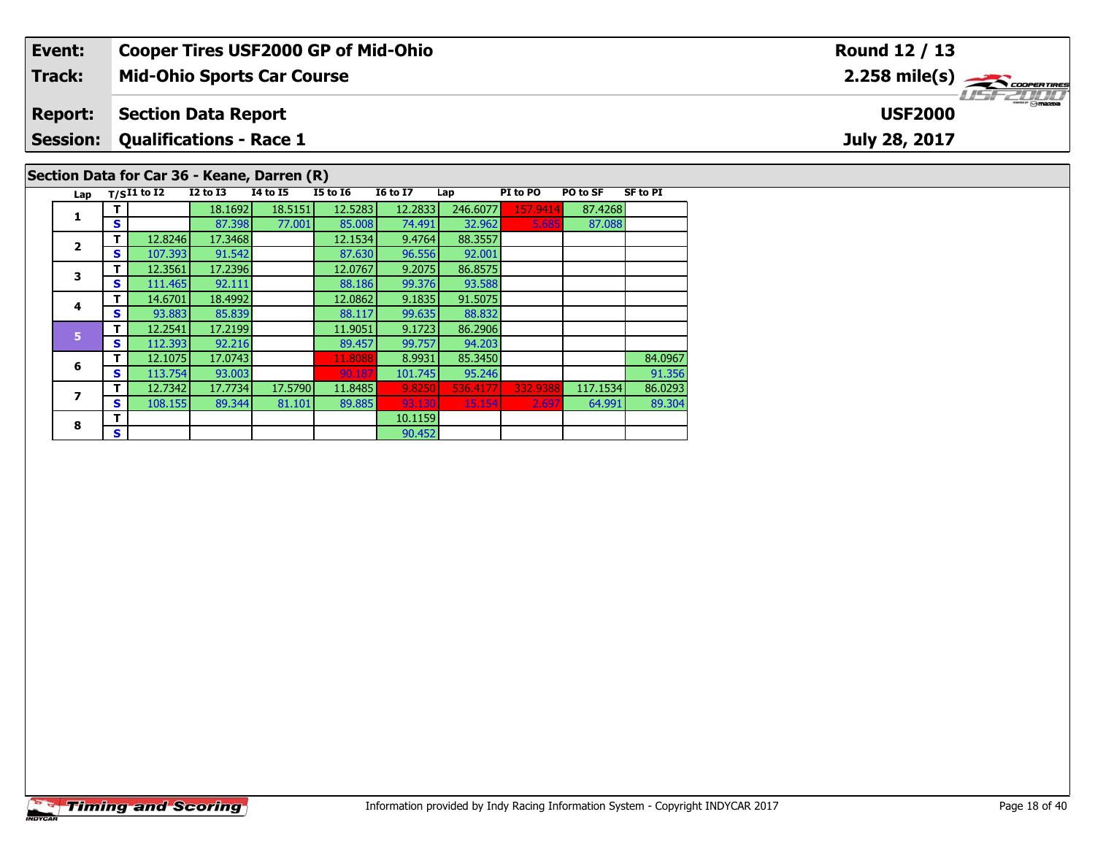| Event:          |   |               |                                | <b>Cooper Tires USF2000 GP of Mid-Ohio</b>  |                 |                 |          |          |          |                 | <b>Round 12 / 13</b>                                      |
|-----------------|---|---------------|--------------------------------|---------------------------------------------|-----------------|-----------------|----------|----------|----------|-----------------|-----------------------------------------------------------|
| Track:          |   |               |                                | <b>Mid-Ohio Sports Car Course</b>           |                 |                 |          |          |          |                 | $2.258$ mile(s) $\overbrace{\hspace{2.5cm}}$ coorer TIRES |
| <b>Report:</b>  |   |               | <b>Section Data Report</b>     |                                             |                 |                 |          |          |          |                 | <b>USF2000</b>                                            |
| <b>Session:</b> |   |               | <b>Qualifications - Race 1</b> |                                             |                 |                 |          |          |          |                 | July 28, 2017                                             |
|                 |   |               |                                | Section Data for Car 36 - Keane, Darren (R) |                 |                 |          |          |          |                 |                                                           |
| Lap             |   | $T/SI1$ to I2 | $I2$ to $I3$                   | <b>I4 to I5</b>                             | <b>I5 to 16</b> | <b>I6 to I7</b> | Lap      | PI to PO | PO to SF | <b>SF to PI</b> |                                                           |
|                 |   |               | 18.1692                        | 18.5151                                     | 12.5283         | 12.2833         | 246.6077 | 157.9414 | 87.4268  |                 |                                                           |
|                 | S |               | 87.398                         | 77.001                                      | 85.008          | 74.491          | 32.962   | 5.685    | 87.088   |                 |                                                           |
| $\overline{2}$  |   | 12.8246       | 17.3468                        |                                             | 12.1534         | 9.4764          | 88.3557  |          |          |                 |                                                           |
|                 | S | 107.393       | 91.542                         |                                             | 87.630          | 96.556          | 92.001   |          |          |                 |                                                           |

 $\frac{91.356}{86.0293}$ 

89.304

 $\frac{92.001}{86.8575}$ 

93.588<br>91.5075

88.832

94.203<br>85.3450

**T** 12.3561 17.2396 12.0767 9.2075 86.8575<br>**S** 111.465 92.111 88.186 99.376 93.588

**4 T** 14.6701 18.4992 12.0862 9.1835 91.5075<br>**S** 93.883 85.839 88.117 99.635 88.832

**<sup>T</sup>** 12.2541 17.2199 11.9051 9.1723 86.2906 **<sup>S</sup>** 112.393 92.216 89.457 99.757 94.203

**R T** 10.1159 **S S** 1

**T** 12.1075 17.0743 11.8088 8.9931 85.3450 8.3450 84.0967<br> **S** 113.754 93.003 90.187 101.745 95.246

**<sup>T</sup>** 12.7342 17.7734 17.5790 11.8485 9.8250 536.4177 332.9388 117.1534 86.0293 **<sup>S</sup>** 108.155 89.344 81.101 89.885 93.130 15.154 2.697 64.991 89.304

90.452

**3**

**4**

**5**

**6**

**7**

**8**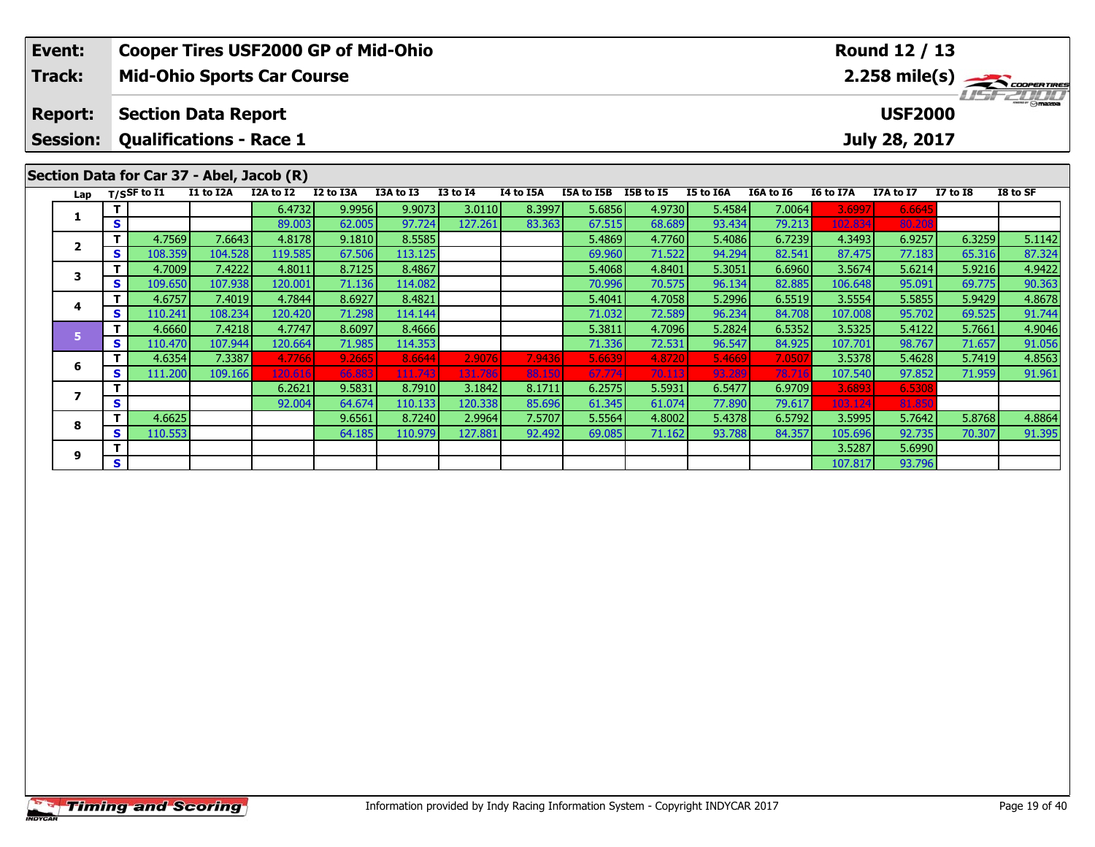|                                                                                                                                                                                                                                                    | Event:          |        |                                                 |                   | <b>Cooper Tires USF2000 GP of Mid-Ohio</b> |                  |                   |         |        | Round 12 / 13    |                  |                  |                                                  |                  |                  |                  |                  |  |
|----------------------------------------------------------------------------------------------------------------------------------------------------------------------------------------------------------------------------------------------------|-----------------|--------|-------------------------------------------------|-------------------|--------------------------------------------|------------------|-------------------|---------|--------|------------------|------------------|------------------|--------------------------------------------------|------------------|------------------|------------------|------------------|--|
|                                                                                                                                                                                                                                                    | Track:          |        |                                                 |                   | <b>Mid-Ohio Sports Car Course</b>          |                  |                   |         |        |                  |                  |                  | $2.258$ mile(s) $\frac{1}{2}\sqrt{1000^{\circ}}$ |                  |                  |                  |                  |  |
|                                                                                                                                                                                                                                                    | <b>Report:</b>  |        | <b>Section Data Report</b>                      |                   |                                            |                  |                   |         |        |                  |                  |                  | $\overline{\odot}$ mazpa<br><b>USF2000</b>       |                  |                  |                  |                  |  |
|                                                                                                                                                                                                                                                    | <b>Session:</b> |        | <b>Qualifications - Race 1</b><br>July 28, 2017 |                   |                                            |                  |                   |         |        |                  |                  |                  |                                                  |                  |                  |                  |                  |  |
| Section Data for Car 37 - Abel, Jacob (R)<br>I1 to I2A<br>I2A to I2<br>I2 to I3A<br>I3A to I3<br><b>I3 to I4</b><br>I4 to I5A<br>I5A to I5B<br>I5B to I5<br>I5 to I6A<br>I6A to I6<br>I6 to I7A<br>Lap T/SSF to I1<br>I7A to I7<br><b>I7 to I8</b> |                 |        |                                                 |                   |                                            |                  |                   |         |        |                  |                  |                  |                                                  |                  |                  |                  |                  |  |
|                                                                                                                                                                                                                                                    |                 |        |                                                 |                   |                                            |                  |                   |         |        |                  |                  |                  |                                                  |                  |                  |                  | I8 to SF         |  |
|                                                                                                                                                                                                                                                    | 1               |        |                                                 |                   | 6.4732                                     | 9.9956           | 9.9073            | 3.0110  | 8.3997 | 5.6856           | 4.9730           | 5.4584           | 7.0064                                           | 3.6997           | 6.664            |                  |                  |  |
|                                                                                                                                                                                                                                                    |                 | S      |                                                 |                   | 89.003                                     | 62.005           | 97.724            | 127.261 | 83.363 | 67.515           | 68.689           | 93.434           | 79.213                                           | 102.834          | 80.20            |                  |                  |  |
|                                                                                                                                                                                                                                                    | $\mathbf{2}$    | т      | 4.7569                                          | 7.6643            | 4.8178                                     | 9.1810           | 8.5585            |         |        | 5.4869           | 4.7760           | 5.4086           | 6.7239                                           | 4.3493           | 6.9257           | 6.3259           | 5.1142           |  |
|                                                                                                                                                                                                                                                    |                 | S<br>т | 108.359<br>4.7009                               | 104.528<br>7.4222 | 119.585<br>4.8011                          | 67.506<br>8.7125 | 113.125<br>8.4867 |         |        | 69.960<br>5.4068 | 71.522<br>4.8401 | 94.294<br>5.3051 | 82.541<br>6.6960                                 | 87.475<br>3.5674 | 77.183<br>5.6214 | 65.316<br>5.9216 | 87.324           |  |
|                                                                                                                                                                                                                                                    | 3               | S      | 109.650                                         | 107.938           | 120.001                                    | 71.136           | 114.082           |         |        | 70.996           | 70.575           | 96.134           | 82.885                                           | 106.648          | 95.091           | 69.775           | 4.9422<br>90.363 |  |
|                                                                                                                                                                                                                                                    |                 |        | 4.6757                                          | 7.4019            | 4.7844                                     | 8.6927           | 8.4821            |         |        | 5.4041           | 4.7058           | 5.2996           | 6.5519                                           | 3.5554           | 5.5855           | 5.9429           | 4.8678           |  |
|                                                                                                                                                                                                                                                    | 4               | S      | 110.241                                         | 108.234           | 120.420                                    | 71.298           | 114.144           |         |        | 71.032           | 72.589           | 96.234           | 84.708                                           | 107.008          | 95.702           | 69.525           | 91.744           |  |
|                                                                                                                                                                                                                                                    |                 | т      | 4.6660                                          | 7.4218            | 4.7747                                     | 8.6097           | 8.4666            |         |        | 5.3811           | 4.7096           | 5.2824           | 6.5352                                           | 3.5325           | 5.4122           | 5.7661           | 4.9046           |  |
|                                                                                                                                                                                                                                                    | 5 <sup>1</sup>  | S      | 110.470                                         | 107.944           | 120.664                                    | 71.985           | 114.353           |         |        | 71.336           | 72.531           | 96.547           | 84.925                                           | 107.701          | 98.767           | 71.657           | 91.056           |  |
|                                                                                                                                                                                                                                                    |                 |        | 4.6354                                          | 7.3387            | 4.7766                                     | 9.2665           | 8.6644            | 2.9076  | 7.9436 | 5.6639           | 4.8720           | 5.4669           | 7.050                                            | 3.5378           | 5.4628           | 5.7419           | 4.8563           |  |
|                                                                                                                                                                                                                                                    | 6               | S      | 111.200                                         | 109.166           | 120.616                                    | 66.883           | 111.743           | 131.786 | 88.150 | 67.774           | 70.113           | 93.289           | 78.71                                            | 107.540          | 97.852           | 71.959           | 91.961           |  |
|                                                                                                                                                                                                                                                    |                 |        |                                                 |                   | 6.2621                                     | 9.5831           | 8.7910            | 3.1842  | 8.1711 | 6.2575           | 5.5931           | 6.5477           | 6.9709                                           | 3.6893           | 6.5308           |                  |                  |  |
|                                                                                                                                                                                                                                                    | $\overline{ }$  | S      |                                                 |                   | 92.004                                     | 64.674           | 110.133           | 120.338 | 85.696 | 61.345           | 61.074           | 77.890           | 79.617                                           | 103.124          | 81.85            |                  |                  |  |
|                                                                                                                                                                                                                                                    |                 | т      | 4.6625                                          |                   |                                            | 9.6561           | 8.7240            | 2.9964  | 7.5707 | 5.5564           | 4.8002           | 5.4378           | 6.5792                                           | 3.5995           | 5.7642           | 5.8768           | 4.8864           |  |
|                                                                                                                                                                                                                                                    |                 | S      | 110.553                                         |                   |                                            | 64.185           | 110.979           | 127.881 | 92.492 | 69.085           | 71.162           | 93.788           | 84.357                                           | 105.696          | 92.735           | 70.307           | 91.395           |  |
|                                                                                                                                                                                                                                                    |                 |        |                                                 |                   |                                            |                  |                   |         |        |                  |                  |                  |                                                  | 3.5287           | 5.6990           |                  |                  |  |
|                                                                                                                                                                                                                                                    | 8<br>9          | S      |                                                 |                   |                                            |                  |                   |         |        |                  |                  |                  |                                                  | 107.817          | 93.796           |                  |                  |  |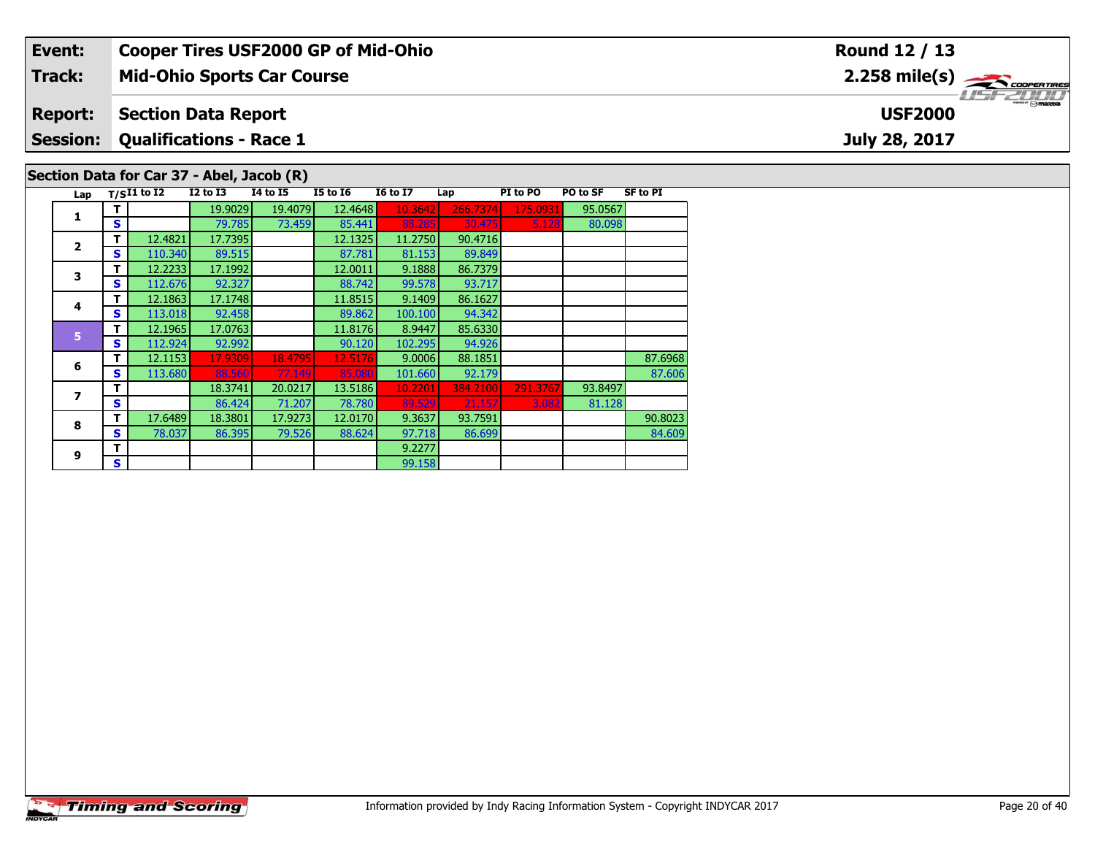|                                           | Event:          |               | <b>Cooper Tires USF2000 GP of Mid-Ohio</b> |                 |                 |                 | <b>Round 12 / 13</b> |          |          |                 |  |                                                                             |  |  |
|-------------------------------------------|-----------------|---------------|--------------------------------------------|-----------------|-----------------|-----------------|----------------------|----------|----------|-----------------|--|-----------------------------------------------------------------------------|--|--|
|                                           | <b>Track:</b>   |               | <b>Mid-Ohio Sports Car Course</b>          |                 |                 |                 |                      |          |          |                 |  | $2.258$ mile(s) $\overbrace{\hspace{2.5cm}}$ coorentines<br><b>LISFZDDD</b> |  |  |
|                                           | <b>Report:</b>  |               | <b>Section Data Report</b>                 |                 |                 |                 | <b>USF2000</b>       |          |          |                 |  |                                                                             |  |  |
|                                           | <b>Session:</b> |               | <b>Qualifications - Race 1</b>             |                 |                 | July 28, 2017   |                      |          |          |                 |  |                                                                             |  |  |
| Section Data for Car 37 - Abel, Jacob (R) |                 |               |                                            |                 |                 |                 |                      |          |          |                 |  |                                                                             |  |  |
|                                           | Lap             | $T/SI1$ to I2 | $I2$ to $I3$                               | <b>I4 to I5</b> | <b>I5 to 16</b> | <b>16 to 17</b> | Lap                  | PI to PO | PO to SF | <b>SF to PI</b> |  |                                                                             |  |  |
|                                           |                 |               | 19.9029                                    | 19.4079         | 12.4648         | 10.3642         | 266.7374             | 175.0931 | 95.0567  |                 |  |                                                                             |  |  |
|                                           |                 | S.            | 79.785                                     | 73.459          | 85.441          | 88.285          | 30.475               | 5.128    | 80.098   |                 |  |                                                                             |  |  |

84.609

89.849

93.717

94.342

94.926

**2**

**3**

**4**

**5**

**6**

**7**

**8**

**9**

**T** 12.4821 17.7395 12.1325 11.2750 90.4716<br>**S** 110.340 89.515 87.781 81.153 89.849

**T** 12.2233 17.1992 12.0011 9.1888 86.7379<br>**S** 112.676 92.327 88.742 99.578 93.717

**T** 12.1863 17.1748 11.8515 9.1409 86.1627<br>**S** 113.018 92.458 89.862 100.100 94.342

**<sup>T</sup>** 12.1965 17.0763 11.8176 8.9447 85.6330 **<sup>S</sup>** 112.924 92.992 90.120 102.295 94.926

**<sup>T</sup>** 9.2277 **<sup>S</sup>** 99.158

**<sup>T</sup>** 12.1153 17.9309 18.4795 12.5176 9.0006 88.1851 87.6968 **<sup>S</sup>** 113.680 88.560 77.149 85.080 101.660 92.179 87.606

**<sup>T</sup>** 17.6489 18.3801 17.9273 12.0170 9.3637 93.7591 90.8023 **<sup>S</sup>** 78.037 86.395 79.526 88.624 97.718 86.699 84.609

99.158

**T** 18.3741 20.0217 13.5186 10.2201 384.2100 291.3767 93.8497<br>S 86.424 71.207 78.780 89.529 21.157 3.082 81.128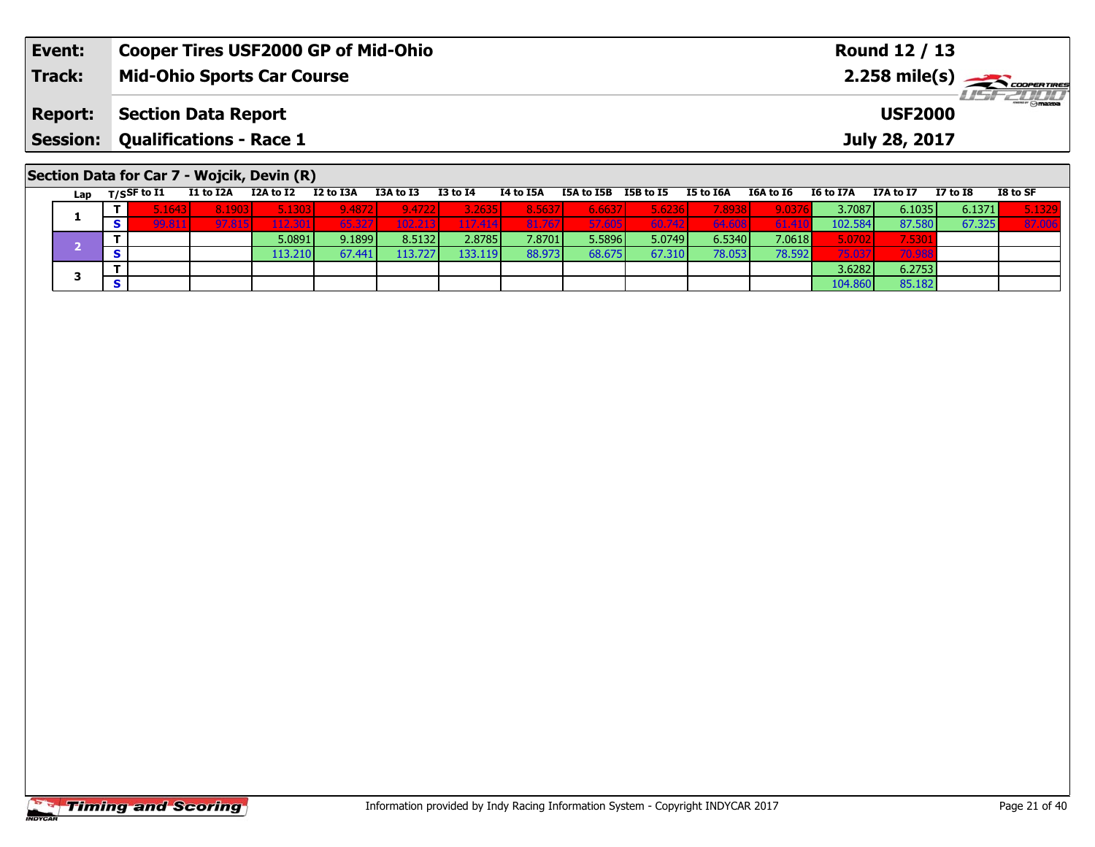| Event:         | <b>Cooper Tires USF2000 GP of Mid-Ohio</b> | Round 12 / 13                             |
|----------------|--------------------------------------------|-------------------------------------------|
| Track:         | <b>Mid-Ohio Sports Car Course</b>          | $2.258$ mile(s) $\rightarrow$ Coorentment |
| <b>Report:</b> | Section Data Report                        | <b>USF2000</b>                            |
|                | <b>Session: Qualifications - Race 1</b>    | July 28, 2017                             |
|                | Section Data for Car 7 - Wojcik, Devin (R) |                                           |

Lap T/S<sup>SF</sup> to I1 I1 to I2A I2A to I2 I2 to I3A I3A to I3 I3 to I4 I4 to I5A I5A to I5B I5B to I5 I5 to I6A to I6 I6 to I7A I7A to I7 I7 to I8 I8 to SF

**<sup>T</sup>** 5.0891 9.1899 8.5132 2.8785 7.8701 5.5896 5.0749 6.5340 7.0618 5.0702 7.5301 **<sup>S</sup>** 113.210 67.441 113.727 133.119 88.973 68.675 67.310 78.053 78.592 75.037 70.988

**T** 3.6282 6.2753<br>**S** 104.860 85.182

1 | T | 5.1643| 8.1903| 5.1303| 9.4872| 9.4722| 3.2635| 8.5637| 6.6637| 5.6236| 7.8938| 9.0376| 3.7087| 6.1035| 6.1371| 5.1329<br>1 | S | 99.811| 97.815| 112.301| 65.327| 102.213| 117.414| 81.767| 57.605| 60.742| 64.608| 61.4

|                       | <b>Timing and Scoring</b> |
|-----------------------|---------------------------|
| <i><b>INDYCAR</b></i> |                           |

**1**

**3**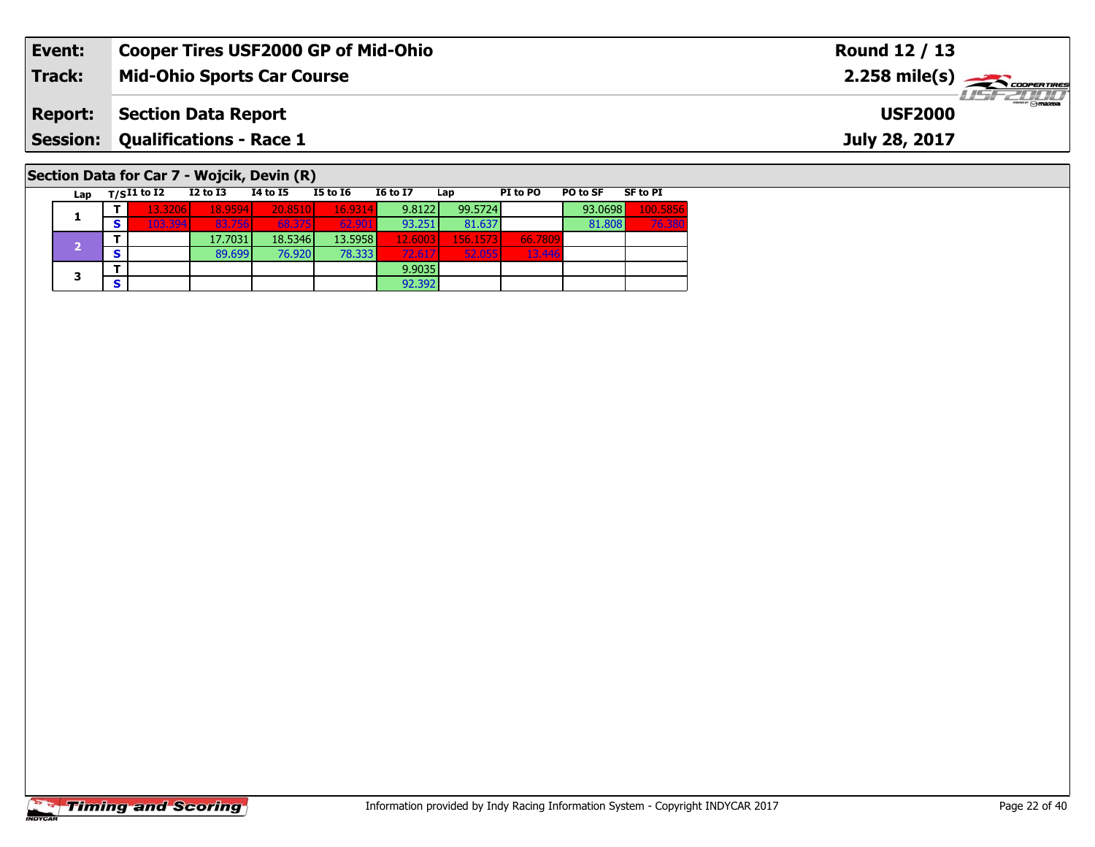| Event:                                     | <b>Cooper Tires USF2000 GP of Mid-Ohio</b> |          |          |          | Round 12 / 13                              |     |          |          |                 |                                    |
|--------------------------------------------|--------------------------------------------|----------|----------|----------|--------------------------------------------|-----|----------|----------|-----------------|------------------------------------|
| Track:                                     | <b>Mid-Ohio Sports Car Course</b>          |          |          |          | $2.258$ mile(s) $\rightarrow$ COOPER TIRES |     |          |          |                 |                                    |
| <b>Report:</b>                             | <b>Section Data Report</b>                 |          |          |          |                                            |     |          |          |                 | <b>LISF 2000</b><br><b>USF2000</b> |
| <b>Session: Qualifications - Race 1</b>    |                                            |          |          |          |                                            |     |          |          |                 | July 28, 2017                      |
| Section Data for Car 7 - Wojcik, Devin (R) | Lap $T/SI1$ to $\overline{I2}$             | I2 to I3 | 14 to 15 | I5 to I6 | <b>16 to 17</b>                            | Lap | PI to PO | PO to SF | <b>SF to PI</b> |                                    |

 $\frac{66.7809}{13.446}$ 

**<sup>T</sup>** 13.3206 18.9594 20.8510 16.9314 9.8122 99.5724 93.0698 100.5856 **<sup>S</sup>** 103.394 83.756 68.375 62.901 93.251 81.637 81.808 76.380

92.392

**T** 17.7031 18.5346 13.5958 12.6003 156.1573 66.7809<br>S 89.699 76.920 78.333 72.617 52.055 13.446

**T** 9.9035<br> **S** 92.392

|                | <b>Timing and Scoring</b> |
|----------------|---------------------------|
| <b>INDYCAR</b> |                           |

**1**

**3**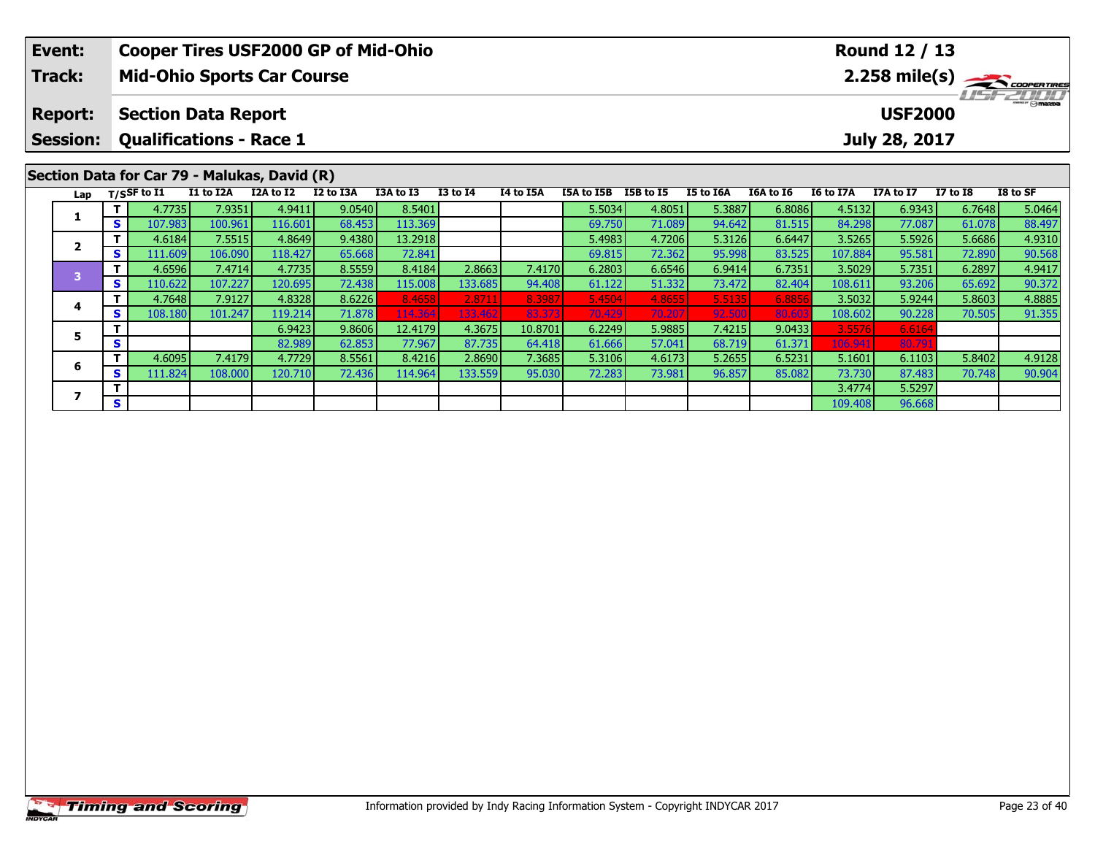|  | Event:<br><b>Track:</b>           |          |                                                                                                 | <b>Cooper Tires USF2000 GP of Mid-Ohio</b><br><b>Mid-Ohio Sports Car Course</b> |           |           |           | Round 12 / 13<br>$2.258$ mile(s) $\rightarrow$ coorgained |           |            |           |           |           |           |           |                 |           |
|--|-----------------------------------|----------|-------------------------------------------------------------------------------------------------|---------------------------------------------------------------------------------|-----------|-----------|-----------|-----------------------------------------------------------|-----------|------------|-----------|-----------|-----------|-----------|-----------|-----------------|-----------|
|  | <b>Report:</b><br><b>Session:</b> |          | <b>Section Data Report</b><br><b>USF2000</b><br><b>Qualifications - Race 1</b><br>July 28, 2017 |                                                                                 |           |           |           |                                                           |           |            |           |           |           |           |           |                 | $H = - 1$ |
|  |                                   |          | $T/S$ SF to I1                                                                                  | Section Data for Car 79 - Malukas, David (R)<br>I1 to I2A                       | I2A to I2 | I2 to I3A | I3A to I3 | <b>I3 to I4</b>                                           | I4 to I5A | I5A to I5B | I5B to I5 | I5 to I6A | I6A to I6 | I6 to I7A | I7A to I7 | <b>I7 to I8</b> | I8 to SF  |
|  | Lap                               |          | 4.7735                                                                                          | 7.9351                                                                          | 4.9411    | 9.0540    | 8.5401    |                                                           |           | 5.5034     | 4.8051    | 5.3887    | 6.8086    | 4.5132    | 6.9343    | 6.7648          | 5.0464    |
|  |                                   | S.       | 107.983                                                                                         | 100.961                                                                         | 116.601   | 68.453    | 113.369   |                                                           |           | 69.750     | 71.089    | 94.642    | 81.515    | 84.298    | 77.087    | 61.078          | 88.497    |
|  | 2                                 |          | 4.6184                                                                                          | 7.5515                                                                          | 4.8649    | 9.4380    | 13.2918   |                                                           |           | 5.4983     | 4.7206    | 5.3126    | 6.6447    | 3.5265    | 5.5926    | 5.6686          | 4.9310    |
|  |                                   | <b>S</b> | 111.609                                                                                         | 106.090                                                                         | 118.427   | 65.668    | 72.841    |                                                           |           | 69.815     | 72.362    | 95.998    | 83.525    | 107.884   | 95.581    | 72.890          | 90.568    |
|  | 3                                 |          | 4.6596                                                                                          | 7.4714                                                                          | 4.7735    | 8.5559    | 8.4184    | 2.8663                                                    | 7.4170    | 6.2803     | 6.6546    | 6.9414    | 6.7351    | 3.5029    | 5.7351    | 6.2897          | 4.9417    |
|  |                                   | <b>S</b> | 110.622                                                                                         | 107.227                                                                         | 120.695   | 72.438    | 115.008   | 133.685                                                   | 94.408    | 61.122     | 51.332    | 73.472    | 82.404    | 108.611   | 93.206    | 65.692          | 90.372    |
|  | 4<br>S.<br>5<br>S                 |          | 4.7648                                                                                          | 7.9127                                                                          | 4.8328    | 8.6226    | 8.4658    | 2.8711                                                    | 8.3987    | 5.4504     | 4.8655    | 5.5135    | 6.8856    | 3.5032    | 5.9244    | 5.8603          | 4.8885    |
|  |                                   |          | 108.180                                                                                         | 101.247                                                                         | 119.214   | 71.878    | 114.364   | 133.462                                                   | 83.373    | 70.429     | 70.207    | 92.500    | 80.60     | 108.602   | 90.228    | 70.505          | 91.355    |
|  |                                   |          |                                                                                                 |                                                                                 | 6.9423    | 9.8606    | 12.4179   | 4.3675                                                    | 10.8701   | 6.2249     | 5.9885    | 7.4215    | 9.0433    | 3.5576    | 6.6164    |                 |           |
|  |                                   |          |                                                                                                 | 82.989                                                                          | 62.853    | 77.967    | 87.735    | 64.418                                                    | 61.666    | 57.041     | 68.719    | 61.371    | 106.941   | 80.791    |           |                 |           |

**<sup>T</sup>** 4.6095 7.4179 4.7729 8.5561 8.4216 2.8690 7.3685 5.3106 4.6173 5.2655 6.5231 5.1601 6.1103 5.8402 4.9128 **<sup>S</sup>** 111.824 108.000 120.710 72.436 114.964 133.559 95.030 72.283 73.981 96.857 85.082 73.730 87.483 70.748 90.904

**<sup>T</sup>** 3.4774 5.5297 **<sup>S</sup>** 109.408 96.668

**6**

**7**

 $6.1103$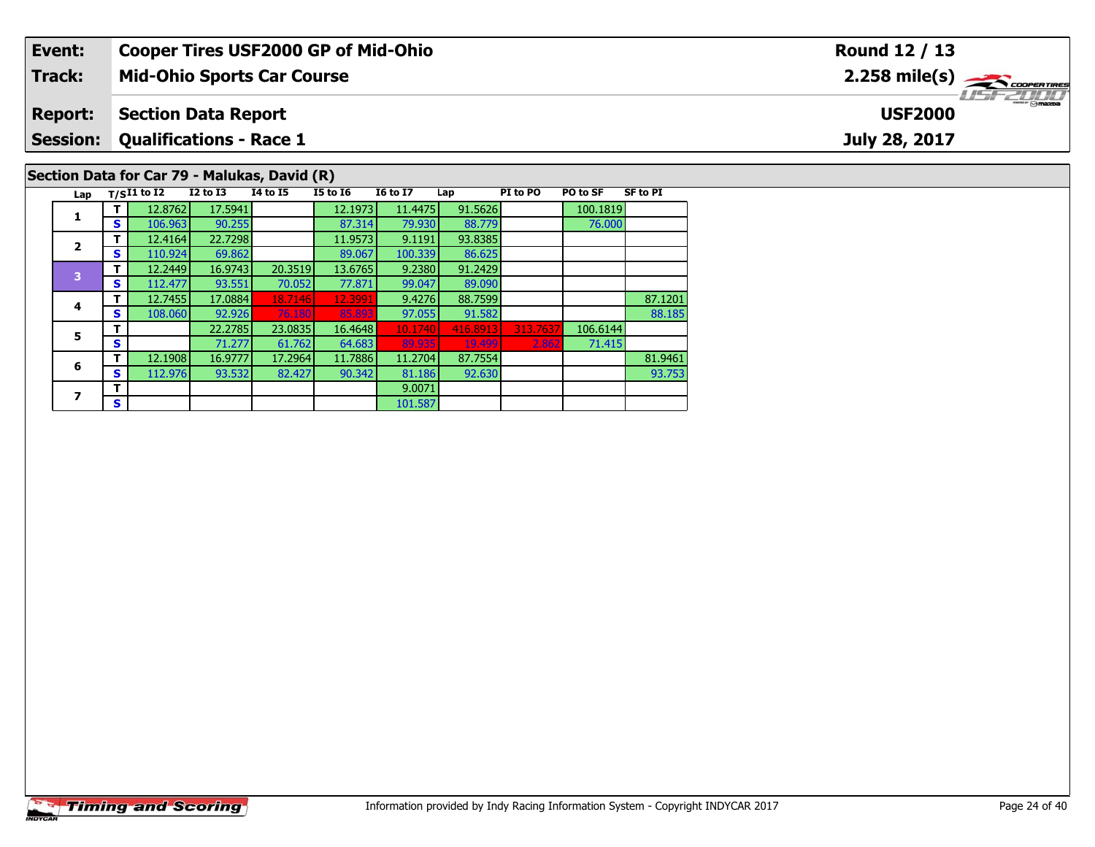| Event:                                       |    |               |                                | <b>Cooper Tires USF2000 GP of Mid-Ohio</b> |                 |                 |         |          |          | Round 12 / 13   |                                                                                                                                                                                                                                                                                                                                                                                                                                                                                                   |  |  |  |  |  |
|----------------------------------------------|----|---------------|--------------------------------|--------------------------------------------|-----------------|-----------------|---------|----------|----------|-----------------|---------------------------------------------------------------------------------------------------------------------------------------------------------------------------------------------------------------------------------------------------------------------------------------------------------------------------------------------------------------------------------------------------------------------------------------------------------------------------------------------------|--|--|--|--|--|
| <b>Track:</b>                                |    |               |                                | <b>Mid-Ohio Sports Car Course</b>          |                 |                 |         |          |          |                 | $2.258$ mile(s) $\sum$ coorentmen                                                                                                                                                                                                                                                                                                                                                                                                                                                                 |  |  |  |  |  |
| <b>Report:</b>                               |    |               | <b>Section Data Report</b>     |                                            |                 |                 |         |          |          |                 | $\overline{\phantom{a}}$ $\overline{\phantom{a}}$ $\overline{\phantom{a}}$ $\overline{\phantom{a}}$ $\overline{\phantom{a}}$ $\overline{\phantom{a}}$ $\overline{\phantom{a}}$ $\overline{\phantom{a}}$ $\overline{\phantom{a}}$ $\overline{\phantom{a}}$ $\overline{\phantom{a}}$ $\overline{\phantom{a}}$ $\overline{\phantom{a}}$ $\overline{\phantom{a}}$ $\overline{\phantom{a}}$ $\overline{\phantom{a}}$ $\overline{\phantom{a}}$ $\overline{\phantom{a}}$ $\overline{\$<br><b>USF2000</b> |  |  |  |  |  |
| <b>Session:</b>                              |    |               | <b>Qualifications - Race 1</b> |                                            | July 28, 2017   |                 |         |          |          |                 |                                                                                                                                                                                                                                                                                                                                                                                                                                                                                                   |  |  |  |  |  |
| Section Data for Car 79 - Malukas, David (R) |    |               |                                |                                            |                 |                 |         |          |          |                 |                                                                                                                                                                                                                                                                                                                                                                                                                                                                                                   |  |  |  |  |  |
| Lap                                          |    | $T/SI1$ to I2 | $I2$ to $I3$                   | 14 to 15                                   | <b>I5 to I6</b> | <b>16 to 17</b> | Lap     | PI to PO | PO to SF | <b>SF to PI</b> |                                                                                                                                                                                                                                                                                                                                                                                                                                                                                                   |  |  |  |  |  |
|                                              |    | 12.8762       | 17.5941                        |                                            | 12.1973         | 11.4475         | 91.5626 |          | 100.1819 |                 |                                                                                                                                                                                                                                                                                                                                                                                                                                                                                                   |  |  |  |  |  |
|                                              |    | 106.963       | 90.255                         |                                            | 87.314          | 79.930          | 88.779  |          | 76.000   |                 |                                                                                                                                                                                                                                                                                                                                                                                                                                                                                                   |  |  |  |  |  |
|                                              |    | 12.4164       | 22.7298                        |                                            | 11.9573         | 9.1191          | 93.8385 |          |          |                 |                                                                                                                                                                                                                                                                                                                                                                                                                                                                                                   |  |  |  |  |  |
|                                              | S. | 110.924       | 69.862                         |                                            | 89.067          | 100.339         | 86.625  |          |          |                 |                                                                                                                                                                                                                                                                                                                                                                                                                                                                                                   |  |  |  |  |  |
|                                              |    | 12.2449       | 16.9743                        | 20.3519                                    | 13.6765         | 9.2380          | 91.2429 |          |          |                 |                                                                                                                                                                                                                                                                                                                                                                                                                                                                                                   |  |  |  |  |  |
| 3                                            |    | 112.477       | 93.551                         | 70.0521                                    | 77.871          | 99.047          | 89.090  |          |          |                 |                                                                                                                                                                                                                                                                                                                                                                                                                                                                                                   |  |  |  |  |  |

71.415

89.090<br>88.7599

**T** 12.7455 17.0884 18.7146 12.3991 9.4276 88.7599 87.1201 87.1201<br>IS 108.060 92.926 76.180 85.893 97.055 91.582 88.185

**<sup>T</sup>** 12.1908 16.9777 17.2964 11.7886 11.2704 87.7554 81.9461 **<sup>S</sup>** 112.976 93.532 82.427 90.342 81.186 92.630 93.753

101.587

**<sup>T</sup>** 22.2785 23.0835 16.4648 10.1740 416.8913 313.7637 106.6144 **<sup>S</sup>** 71.277 61.762 64.683 89.935 19.499 2.862 71.415

**T S** 101.587

**4**

**5**

**6**

**7**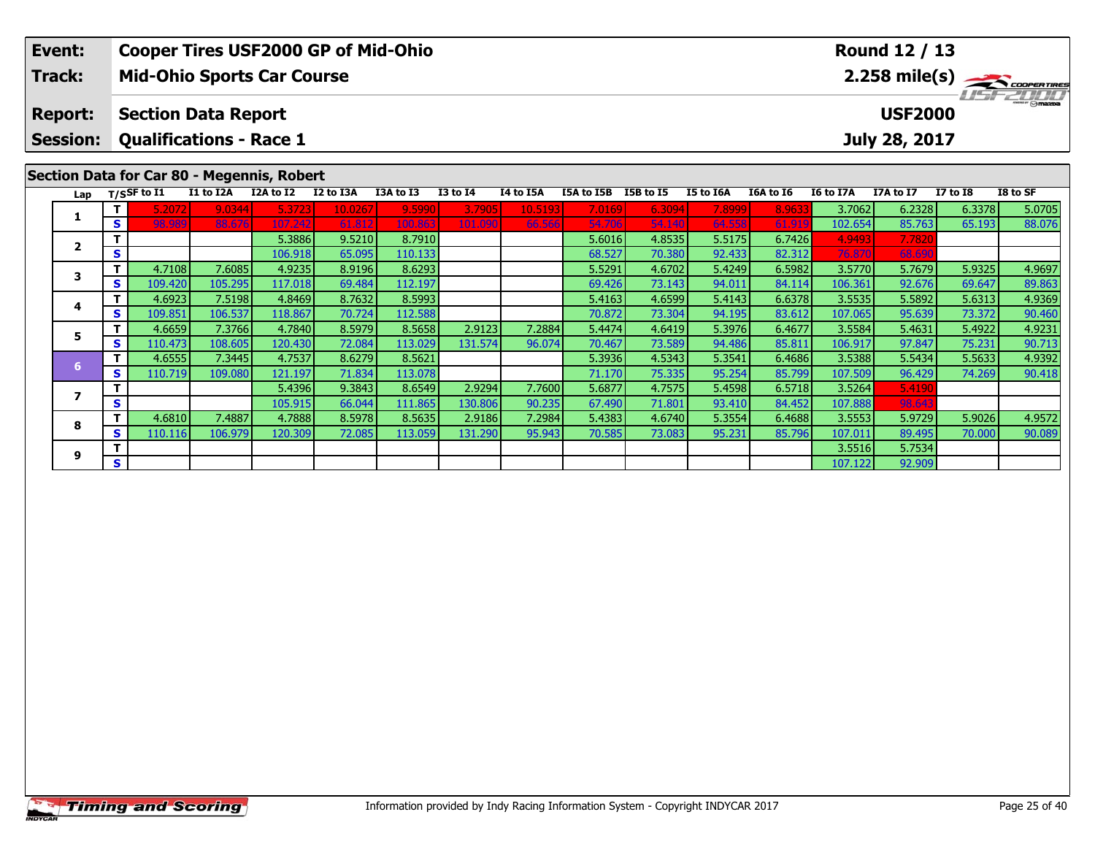| Event:                                     | <b>Cooper Tires USF2000 GP of Mid-Ohio</b>                                      |           |           |           |           |          |           |                             |  |           |           |           | Round 12 / 13  |          |                  |
|--------------------------------------------|---------------------------------------------------------------------------------|-----------|-----------|-----------|-----------|----------|-----------|-----------------------------|--|-----------|-----------|-----------|----------------|----------|------------------|
| <b>Track:</b>                              | $2.258$ mile(s) $\rightarrow$ COOPER TIRES<br><b>Mid-Ohio Sports Car Course</b> |           |           |           |           |          |           |                             |  |           |           |           |                |          |                  |
| <b>Report:</b>                             | <b>Section Data Report</b>                                                      |           |           |           |           |          |           |                             |  |           |           |           | <b>USF2000</b> |          | <b>LISF 2000</b> |
| <b>Session:</b>                            | <b>Qualifications - Race 1</b>                                                  |           |           |           |           |          |           |                             |  |           |           |           | July 28, 2017  |          |                  |
|                                            |                                                                                 |           |           |           |           |          |           |                             |  |           |           |           |                |          |                  |
| Section Data for Car 80 - Megennis, Robert |                                                                                 |           |           |           |           |          |           |                             |  |           |           |           |                |          |                  |
| Lap                                        | $_{\rm T/SS}$ F to I1                                                           | I1 to I2A | I2A to I2 | I2 to I3A | I3A to I3 | I3 to I4 | I4 to I5A | <b>I5A to I5B</b> I5B to I5 |  | I5 to I6A | I6A to I6 | I6 to I7A | I7A to I7      | I7 to I8 | I8 to SF         |

**<sup>T</sup>** 5.3886 9.5210 8.7910 5.6016 4.8535 5.5175 6.7426 4.9493 7.7820 **<sup>S</sup>** 106.918 65.095 110.133 68.527 70.380 92.433 82.312 76.870 68.690

**<sup>T</sup>** 5.4396 9.3843 8.6549 2.9294 7.7600 5.6877 4.7575 5.4598 6.5718 3.5264 5.4190 **<sup>S</sup>** 105.915 66.044 111.865 130.806 90.235 67.490 71.801 93.410 84.452 107.888 98.643

**<sup>T</sup>** 3.5516 5.7534 **<sup>S</sup>** 107.122 92.909

**<sup>T</sup>** 5.2072 9.0344 5.3723 10.0267 9.5990 3.7905 10.5193 7.0169 6.3094 7.8999 8.9633 3.7062 6.2328 6.3378 5.0705 **<sup>S</sup>** 98.989 88.676 107.242 61.812 100.863 101.090 66.566 54.706 54.140 64.558 61.919 102.654 85.763 65.193 88.076

**<sup>T</sup>** 4.7108 7.6085 4.9235 8.9196 8.6293 5.5291 4.6702 5.4249 6.5982 3.5770 5.7679 5.9325 4.9697 **<sup>S</sup>** 109.420 105.295 117.018 69.484 112.197 69.426 73.143 94.011 84.114 106.361 92.676 69.647 89.863

**<sup>T</sup>** 4.6923 7.5198 4.8469 8.7632 8.5993 5.4163 4.6599 5.4143 6.6378 3.5535 5.5892 5.6313 4.9369 **<sup>S</sup>** 109.851 106.537 118.867 70.724 112.588 70.872 73.304 94.195 83.612 107.065 95.639 73.372 90.460

**<sup>T</sup>** 4.6659 7.3766 4.7840 8.5979 8.5658 2.9123 7.2884 5.4474 4.6419 5.3976 6.4677 3.5584 5.4631 5.4922 4.9231 **<sup>S</sup>** 110.473 108.605 120.430 72.084 113.029 131.574 96.074 70.467 73.589 94.486 85.811 106.917 97.847 75.231 90.713

**<sup>T</sup>** 4.6555 7.3445 4.7537 8.6279 8.5621 5.3936 4.5343 5.3541 6.4686 3.5388 5.5434 5.5633 4.9392 **<sup>S</sup>** 110.719 109.080 121.197 71.834 113.078 71.170 75.335 95.254 85.799 107.509 96.429 74.269 90.418

8 T 4.6810 7.4887 4.7888 8.5978 8.5635 2.9186 7.2984 5.4383 4.6740 5.3554 6.4688 3.5553 5.9729 5.9026 4.9572<br>8 S 110.116 106.979 120.309 72.085 113.059 131.290 95.943 70.585 73.083 95.231 85.796 107.011 89.495 70.000 90.08

|                | <b>Timing and Scoring</b> |
|----------------|---------------------------|
| <b>INDYCAR</b> |                           |

**1**

**2**

**3**

**4**

**5**

**6**

**7**

**8**

**9**

90.460

90.089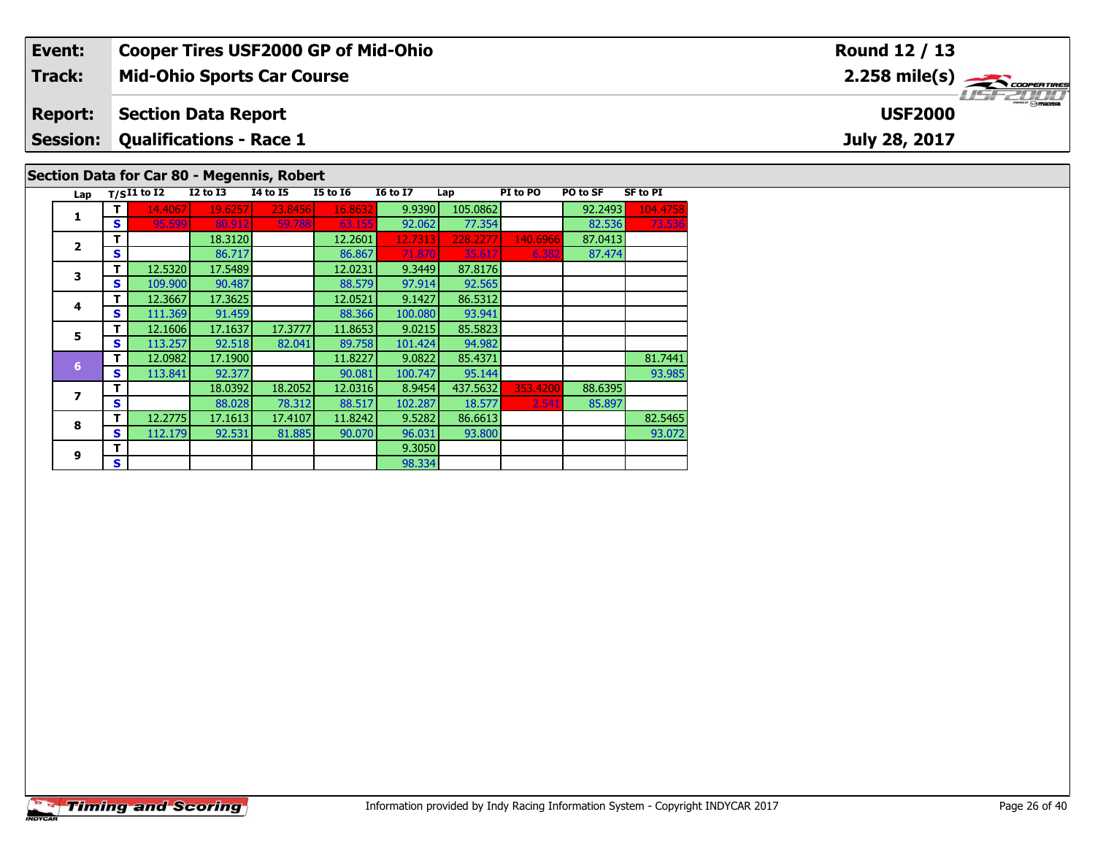| Event:         | <b>Cooper Tires USF2000 GP of Mid-Ohio</b> | Round 12 / 13                                                |  |  |  |  |  |  |  |  |  |
|----------------|--------------------------------------------|--------------------------------------------------------------|--|--|--|--|--|--|--|--|--|
| Track:         | <b>Mid-Ohio Sports Car Course</b>          | $2.258$ mile(s) $\rightarrow$ coorganges<br><b>LIST 2000</b> |  |  |  |  |  |  |  |  |  |
| <b>Report:</b> | Section Data Report                        | <b>USF2000</b>                                               |  |  |  |  |  |  |  |  |  |
|                | <b>Session: Qualifications - Race 1</b>    | July 28, 2017                                                |  |  |  |  |  |  |  |  |  |
|                | Section Data for Car 80 - Megennis, Robert |                                                              |  |  |  |  |  |  |  |  |  |

| T.<br>14.4067<br>19.6257<br>23.8456<br>16.8632<br>9.9390<br>105.0862<br>92.2493<br>1<br>77.354<br>S<br>92.062<br>82.536<br>95.599<br>80.912<br>59.788<br>63.155<br>18.3120<br>т<br>12.2601<br>12.7313<br>228.2277<br>87.0413<br>140.6966<br>$\overline{\mathbf{2}}$<br>S<br>86.867<br>86.717<br>87.474<br>71.870<br>35.617<br>6.382<br>12.5320<br>17.5489<br>12.0231<br>т<br>9.3449<br>87.8176<br>3<br>S<br>109.900<br>90.487<br>88.579<br>97.914<br>92.565<br>12.3667<br>т<br>12.0521<br>9.1427<br>86.5312<br>17.3625<br>4<br>111.369<br>91.459<br>88.366<br>100.080<br>93.941<br>S | SF to PI |
|--------------------------------------------------------------------------------------------------------------------------------------------------------------------------------------------------------------------------------------------------------------------------------------------------------------------------------------------------------------------------------------------------------------------------------------------------------------------------------------------------------------------------------------------------------------------------------------|----------|
|                                                                                                                                                                                                                                                                                                                                                                                                                                                                                                                                                                                      | 104.4758 |
|                                                                                                                                                                                                                                                                                                                                                                                                                                                                                                                                                                                      | 73.536   |
|                                                                                                                                                                                                                                                                                                                                                                                                                                                                                                                                                                                      |          |
|                                                                                                                                                                                                                                                                                                                                                                                                                                                                                                                                                                                      |          |
|                                                                                                                                                                                                                                                                                                                                                                                                                                                                                                                                                                                      |          |
|                                                                                                                                                                                                                                                                                                                                                                                                                                                                                                                                                                                      |          |
|                                                                                                                                                                                                                                                                                                                                                                                                                                                                                                                                                                                      |          |
|                                                                                                                                                                                                                                                                                                                                                                                                                                                                                                                                                                                      |          |
| 12.1606<br>17.3777<br>11.8653<br>9.0215<br>17.1637<br>85.5823<br>т<br>5                                                                                                                                                                                                                                                                                                                                                                                                                                                                                                              |          |
| 113.257<br>92.518<br>82.041<br>89.758<br>101.424<br>94.982<br>S                                                                                                                                                                                                                                                                                                                                                                                                                                                                                                                      |          |
| т<br>12.0982<br>17.1900<br>11.8227<br>9.0822<br>85.4371<br>$6\phantom{1}$                                                                                                                                                                                                                                                                                                                                                                                                                                                                                                            | 81.7441  |
| S<br>113.841<br>92.377<br>90.081<br>95.144<br>100.747                                                                                                                                                                                                                                                                                                                                                                                                                                                                                                                                | 93.985   |
| 18.0392<br>12.0316<br>т<br>18.2052<br>8.9454<br>437.5632<br>353,4200<br>88.6395<br>7                                                                                                                                                                                                                                                                                                                                                                                                                                                                                                 |          |
| 88.028<br>78.312<br>88.517<br>102.287<br>S<br>85.897<br>18.577<br>2.541                                                                                                                                                                                                                                                                                                                                                                                                                                                                                                              |          |
| т<br>12.2775<br>17.1613<br>17.4107<br>11.8242<br>9.5282<br>86.6613<br>8                                                                                                                                                                                                                                                                                                                                                                                                                                                                                                              | 82.5465  |
| 112.179<br>92.531<br>81.885<br>90.070<br>93.800<br>S<br>96.031                                                                                                                                                                                                                                                                                                                                                                                                                                                                                                                       | 93.072   |
| т<br>9.3050<br>9                                                                                                                                                                                                                                                                                                                                                                                                                                                                                                                                                                     |          |
| S<br>98.334                                                                                                                                                                                                                                                                                                                                                                                                                                                                                                                                                                          |          |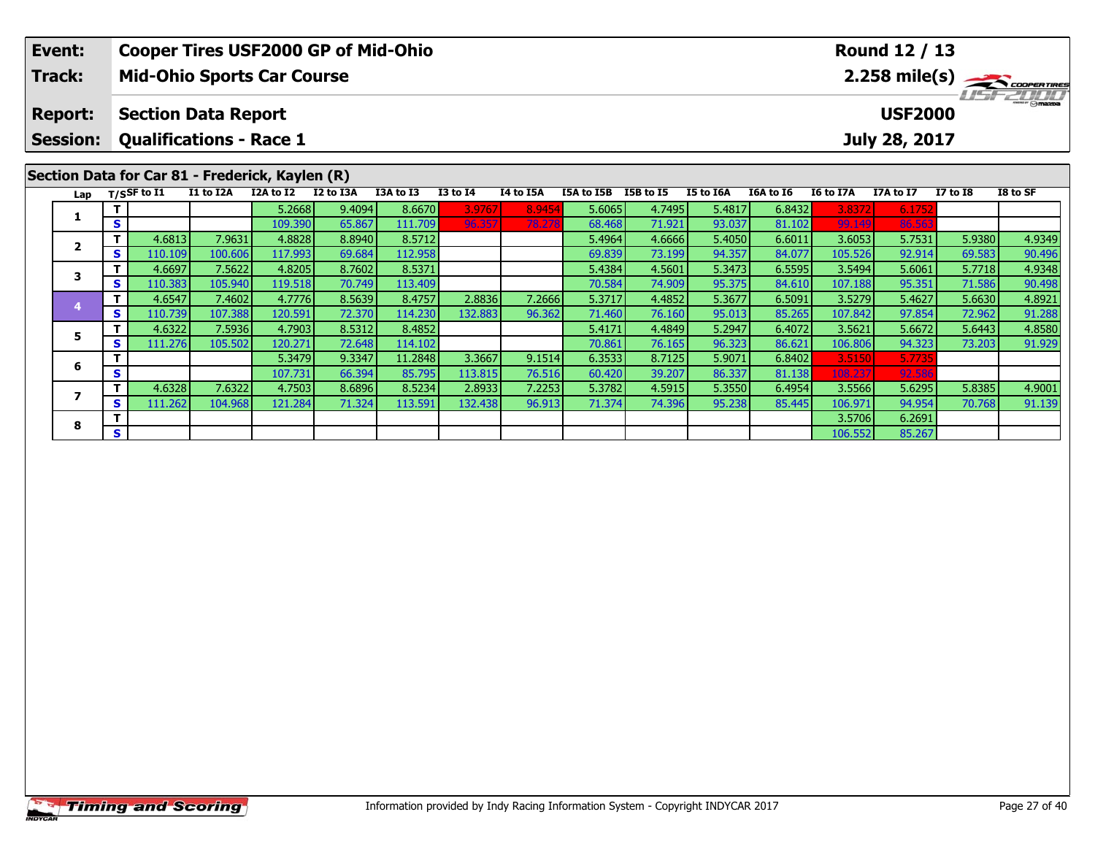|  | Event:<br>Track:                  |    |                             | <b>Mid-Ohio Sports Car Course</b>                            |                   | <b>Cooper Tires USF2000 GP of Mid-Ohio</b> |                   |              |           |                  |                  |                  |                  |                   | Round 12 / 13                   |                  | 2.258 mile(s)    |
|--|-----------------------------------|----|-----------------------------|--------------------------------------------------------------|-------------------|--------------------------------------------|-------------------|--------------|-----------|------------------|------------------|------------------|------------------|-------------------|---------------------------------|------------------|------------------|
|  | <b>Report:</b><br><b>Session:</b> |    |                             | <b>Section Data Report</b><br><b>Qualifications - Race 1</b> |                   |                                            |                   |              |           |                  |                  |                  |                  |                   | <b>USF2000</b><br>July 28, 2017 |                  |                  |
|  | Lap                               |    | $T/S$ SF to $\overline{11}$ | Section Data for Car 81 - Frederick, Kaylen (R)<br>I1 to I2A | I2A to I2         | I2 to I3A                                  | I3A to I3         | $I3$ to $I4$ | I4 to I5A | I5A to I5B       | I5B to I5        | I5 to I6A        | I6A to I6        | I6 to I7A         | I7A to I7                       | <b>I7 to I8</b>  | I8 to SF         |
|  |                                   |    |                             |                                                              | 5.2668            | 9.4094                                     | 8.6670            | 3.9767       | 8.9454    | 5.6065           | 4.7495           | 5.4817           | 6.8432           | 3.8372            | 6.1752                          |                  |                  |
|  |                                   | S  |                             |                                                              | 109.390           | 65.867                                     | 111.709           | 96.357       | 78.278    | 68.468           | 71.921           | 93.037           | 81.102           | 99.149            | 86.563                          |                  |                  |
|  | $\mathbf{2}$<br>3                 | S. | 4.6813<br>110.109           | 7.9631<br>100.606                                            | 4.8828<br>117.993 | 8.8940<br>69.684                           | 8.5712<br>112.958 |              |           | 5.4964<br>69.839 | 4.6666<br>73.199 | 5.4050<br>94.357 | 6.6011<br>84.077 | 3.6053<br>105.526 | 5.7531<br>92.914                | 5.9380<br>69.583 | 4.9349<br>90.496 |
|  |                                   |    | 4.6697                      | 7.5622                                                       | 4.8205            | 8.7602                                     | 8.5371            |              |           | 5.4384           | 4.5601           | 5.3473           | 6.5595           | 3.5494            | 5.6061                          | 5.7718           | 4.9348           |
|  |                                   | S. | 110.383                     | 105.940                                                      | 119.518           | 70.749                                     | 113.409           |              |           | 70.584           | 74.909           | 95.375           | 84.610           | 107.188           | 95.351                          | 71.586           | 90.498           |
|  |                                   |    | 4.6547                      | 7.4602                                                       | 4.7776            | 8.5639                                     | 8.4757            | 2.8836       | 7.2666    | 5.3717           | 4.4852           | 5.3677           | 6.5091           | 3.5279            | 5.4627                          | 5.6630           | 4.8921           |
|  | 5                                 | S. | 110.739                     | 107.388                                                      | 120.591           | 72.370                                     | 114.230           | 132.883      | 96.362    | 71.460           | 76.160           | 95.013           | 85.265           | 107.842           | 97.854                          | 72.962           | 91.288           |
|  |                                   |    | 4.6322                      | 7.5936                                                       | 4.7903            | 8.5312                                     | 8.4852            |              |           | 5.4171           | 4.4849           | 5.2947           | 6.4072           | 3.5621            | 5.6672                          | 5.6443           | 4.8580           |
|  |                                   | S. | 111.276                     | 105.502                                                      | 120.271           | 72.648                                     | 114.102           |              |           | 70.861           | 76.165           | 96.323           | 86.621           | 106.806           | 94.323                          | 73.203           | 91.929           |
|  | 6                                 |    |                             |                                                              | 5.3479            | 9.3347                                     | 11.2848           | 3.3667       | 9.1514    | 6.3533           | 8.7125           | 5.9071           | 6.8402           | 3.5150            | 5.7735                          |                  |                  |
|  |                                   | S. |                             |                                                              | 107.731           | 66.394                                     | 85.795            | 113.8151     | 76.516    | 60.420           | 39.207           | 86.337           | 81.138           | 108.237           | 92.586                          |                  |                  |

7 | T | 4.6328| 7.6322| 4.7503| 8.6896| 8.5234| 2.8933| 7.2253| 5.3782| 4.5915| 5.3550| 6.4954| 3.5566| 5.6295| 5.8385| 4.9001<br>7 | S | 111.262 104.968 121.284 | 71.324 113.591 132.438 | 96.913 | 71.374 | 74.396 | 95.238 |

**8 T** 3.5706 6.2691 **6.2691**<br> **S** 106.552 85.267

**7**

**8**

91.139

5.6295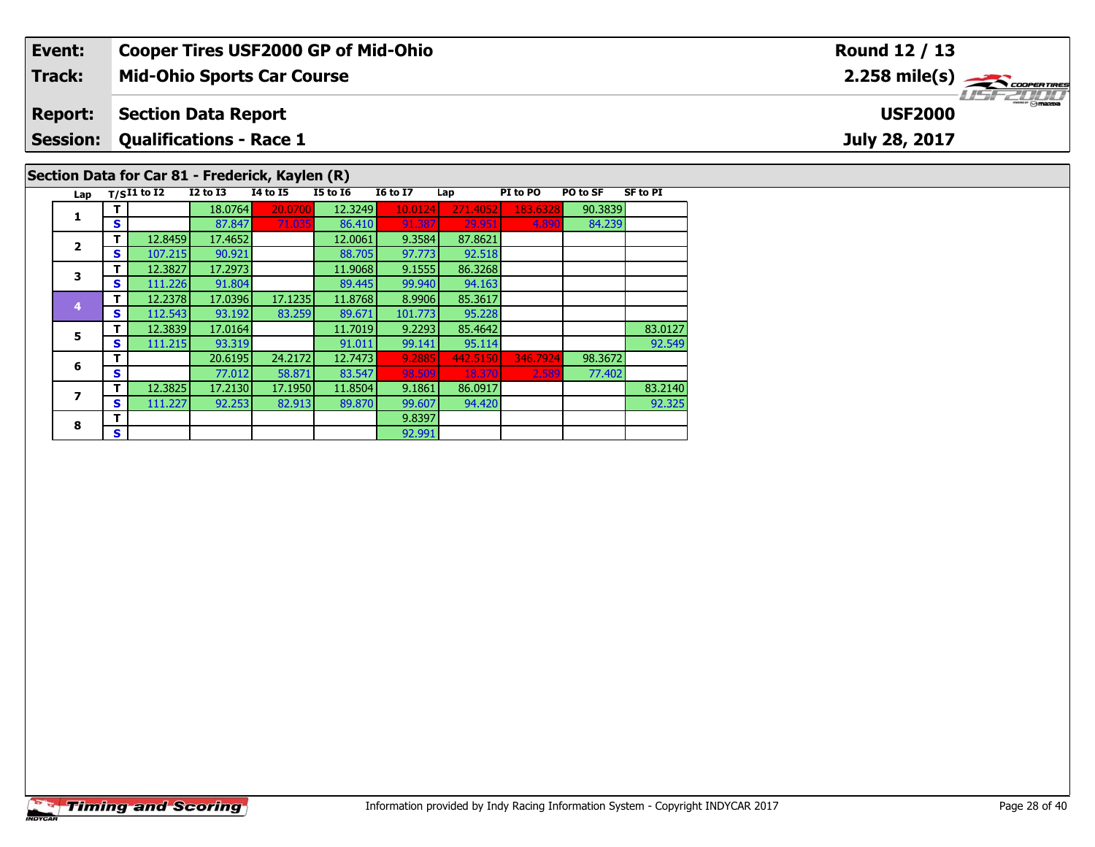| Event:          |     |                                |              |                                                 | <b>Cooper Tires USF2000 GP of Mid-Ohio</b> |                 |          |          |          |                 | Round 12 / 13                             |
|-----------------|-----|--------------------------------|--------------|-------------------------------------------------|--------------------------------------------|-----------------|----------|----------|----------|-----------------|-------------------------------------------|
| <b>Track:</b>   |     |                                |              | <b>Mid-Ohio Sports Car Course</b>               |                                            |                 |          |          |          |                 | $2.258$ mile(s) $\rightarrow$ Coorentines |
| <b>Report:</b>  |     | <b>Section Data Report</b>     |              |                                                 |                                            |                 |          |          |          |                 | $m = \bigcirc$ mazoa<br><b>USF2000</b>    |
| <b>Session:</b> |     | <b>Qualifications - Race 1</b> |              |                                                 |                                            |                 |          |          |          |                 | July 28, 2017                             |
|                 |     |                                |              | Section Data for Car 81 - Frederick, Kaylen (R) |                                            |                 |          |          |          |                 |                                           |
|                 |     | Lap $T/SI1$ to $I2$            | $I2$ to $I3$ | <b>I4 to I5</b>                                 | <b>I5 to 16</b>                            | <b>16 to 17</b> | Lap      | PI to PO | PO to SF | <b>SF to PI</b> |                                           |
|                 |     |                                | 18.0764      | 20.070                                          | 12.3249                                    | 10.0124         | 271.4052 | 183.6328 | 90.3839  |                 |                                           |
| л.              | S.  |                                | 87.847       | 71.035                                          | 86.410                                     | 91.387          | 29.951   | 4.890    | 84.239   |                 |                                           |
|                 |     | 12.8459                        | 17.4652      |                                                 | 12.0061                                    | 9.3584          | 87.8621  |          |          |                 |                                           |
| $\overline{2}$  | s l | 107.215                        | 90.921       |                                                 | 88.705                                     | 97.773          | 92.518   |          |          |                 |                                           |
|                 |     | 12.3827                        | 17.2973      |                                                 | 11.9068                                    | 9.1555          | 86.3268  |          |          |                 |                                           |

92.325

94.163<br>85.3617

95.228

**3**

**4**

**5**

**6**

**7**

**8**

**T** 12.3827 17.2973 11.9068 9.1555 86.3268<br>**S** 111.226 91.804 89.445 99.940 94.163

**<sup>T</sup>** 12.2378 17.0396 17.1235 11.8768 8.9906 85.3617 **<sup>S</sup>** 112.543 93.192 83.259 89.671 101.773 95.228

**R T** 9.8397

**T** 12.3839 17.0164 11.7019 9.2293 85.4642 83.0127<br> **S** 111.215 93.319 91.011 99.141 95.114 95.114 92.549

**<sup>T</sup>** 12.3825 17.2130 17.1950 11.8504 9.1861 86.0917 83.2140 **<sup>S</sup>** 111.227 92.253 82.913 89.870 99.607 94.420 92.325

92.991

**<sup>T</sup>** 20.6195 24.2172 12.7473 9.2885 442.5150 346.7924 98.3672 **<sup>S</sup>** 77.012 58.871 83.547 98.509 18.370 2.589 77.402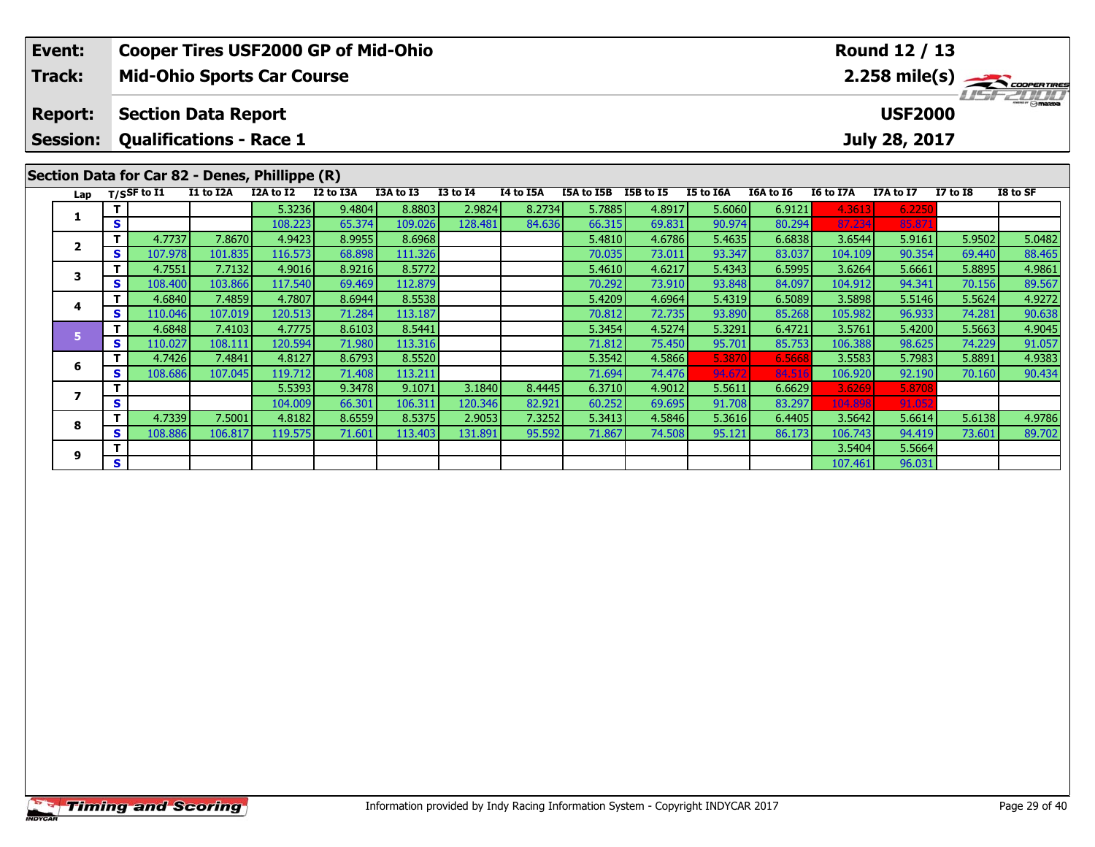| Event:                                                                                                    |   |                   | <b>Cooper Tires USF2000 GP of Mid-Ohio</b> |                   |                  |                   |                 |           |                  |                  |                  |                  |                   | <b>Round 12 / 13</b> |                  |                                                |
|-----------------------------------------------------------------------------------------------------------|---|-------------------|--------------------------------------------|-------------------|------------------|-------------------|-----------------|-----------|------------------|------------------|------------------|------------------|-------------------|----------------------|------------------|------------------------------------------------|
| <b>Track:</b>                                                                                             |   |                   | <b>Mid-Ohio Sports Car Course</b>          |                   |                  |                   |                 |           |                  |                  |                  |                  |                   |                      |                  | $2.258$ mile(s) $\frac{1}{2.258}$ coorer Tires |
| <b>Report:</b>                                                                                            |   |                   | <b>Section Data Report</b>                 |                   |                  |                   |                 |           |                  |                  |                  |                  |                   | <b>USF2000</b>       |                  |                                                |
|                                                                                                           |   |                   | <b>Qualifications - Race 1</b>             |                   |                  |                   |                 |           |                  |                  |                  |                  |                   | July 28, 2017        |                  |                                                |
| <b>Session:</b><br>Section Data for Car 82 - Denes, Phillippe (R)<br>Lap<br>1<br>S<br>т<br>$\overline{2}$ |   |                   |                                            |                   |                  |                   |                 |           |                  |                  |                  |                  |                   |                      |                  |                                                |
|                                                                                                           |   | T/SSF to I1       | I1 to I2A                                  | I2A to I2         | I2 to I3A        | I3A to I3         | <b>I3 to I4</b> | I4 to I5A | I5A to I5B       | I5B to I5        | I5 to I6A        | I6A to I6        | I6 to I7A         | I7A to I7            | <b>I7 to I8</b>  | I8 to SF                                       |
|                                                                                                           |   |                   |                                            | 5.3236            | 9.4804           | 8.8803            | 2.9824          | 8.2734    | 5.7885           | 4.8917           | 5.6060           | 6.9121           | 4.3613            | 6.2250               |                  |                                                |
| 3                                                                                                         |   |                   |                                            | 108.223           | 65.374           | 109.026           | 128.481         | 84.636    | 66.315           | 69.831           | 90.974           | 80.294           | 87.234            | 85.87                |                  |                                                |
|                                                                                                           |   | 4.7737            | 7.8670                                     | 4.9423            | 8.9955           | 8.6968            |                 |           | 5.4810           | 4.6786           | 5.4635           | 6.6838           | 3.6544            | 5.9161               | 5.9502           | 5.0482                                         |
|                                                                                                           | S | 107.978           | 101.835                                    | 116.573           | 68.898           | 111.326           |                 |           | 70.035           | 73.011           | 93.347           | 83.037           | 104.109           | 90.354               | 69.440           | 88.465                                         |
|                                                                                                           |   | 4.7551            | 7.7132                                     | 4.9016            | 8.9216           | 8.5772            |                 |           | 5.4610           | 4.6217           | 5.4343           | 6.5995           | 3.6264            | 5.6661               | 5.8895           | 4.9861                                         |
|                                                                                                           | S | 108.400           | 103.866                                    | 117.540           | 69.469           | 112.879           |                 |           | 70.292           | 73.910           | 93.848           | 84.097           | 104.912           | 94.341               | 70.156           | 89.567                                         |
| 4                                                                                                         |   | 4.6840            | 7.4859                                     | 4.7807            | 8.6944           | 8.5538            |                 |           | 5.4209           | 4.6964           | 5.4319           | 6.5089           | 3.5898            | 5.5146               | 5.5624           | 4.9272                                         |
|                                                                                                           | S | 110.046<br>4.6848 | 107.019<br>7.4103                          | 120.513<br>4.7775 | 71.284<br>8.6103 | 113.187<br>8.5441 |                 |           | 70.812<br>5.3454 | 72.735<br>4.5274 | 93.890<br>5.3291 | 85.268<br>6.4721 | 105.982<br>3.5761 | 96.933<br>5.4200     | 74.281<br>5.5663 | 90.638                                         |
| 5                                                                                                         | S | 110.027           | 108.111                                    | 120.594           | 71.980           | 113.316           |                 |           | 71.812           | 75.450           | 95.701           | 85.753           | 106.388           | 98.625               | 74.229           | 4.9045<br>91.057                               |
|                                                                                                           |   | 4.7426            | 7.4841                                     | 4.8127            | 8.6793           | 8.5520            |                 |           | 5.3542           | 4.5866           | 5.3870           | 6.5668           | 3.5583            | 5.7983               | 5.8891           | 4.9383                                         |
| 6                                                                                                         | S | 108.686           | 107.045                                    | 119.712           | 71.408           | 113.211           |                 |           | 71.694           | 74.476           | 94.672           | 84.51            | 106.920           | 92.190               | 70.160           | 90.434                                         |
|                                                                                                           |   |                   |                                            | 5.5393            | 9.3478           | 9.1071            | 3.1840          | 8.4445    | 6.3710           | 4.9012           | 5.5611           | 6.6629           | 3.6269            | 5.8708               |                  |                                                |
| $\overline{ }$                                                                                            | S |                   |                                            | 104.009           | 66.301           | 106.311           | 120.346         | 82.921    | 60.252           | 69.695           | 91.708           | 83.297           | 104.898           | 91.052               |                  |                                                |
|                                                                                                           |   | 4.7339            | 7.5001                                     | 4.8182            | 8.6559           | 8.5375            | 2.9053          | 7.3252    | 5.3413           | 4.5846           | 5.3616           | 6.4405           | 3.5642            | 5.6614               | 5.6138           | 4.9786                                         |
| 8                                                                                                         | S | 108.886           | 106.817                                    | 119.575           | 71.601           | 113.403           | 131.891         | 95.592    | 71.867           | 74.508           | 95.121           | 86.173           | 106.743           | 94.419               | 73.601           | 89.702                                         |

**<sup>T</sup>** 3.5404 5.5664 **<sup>S</sup>** 107.461 96.031

**9**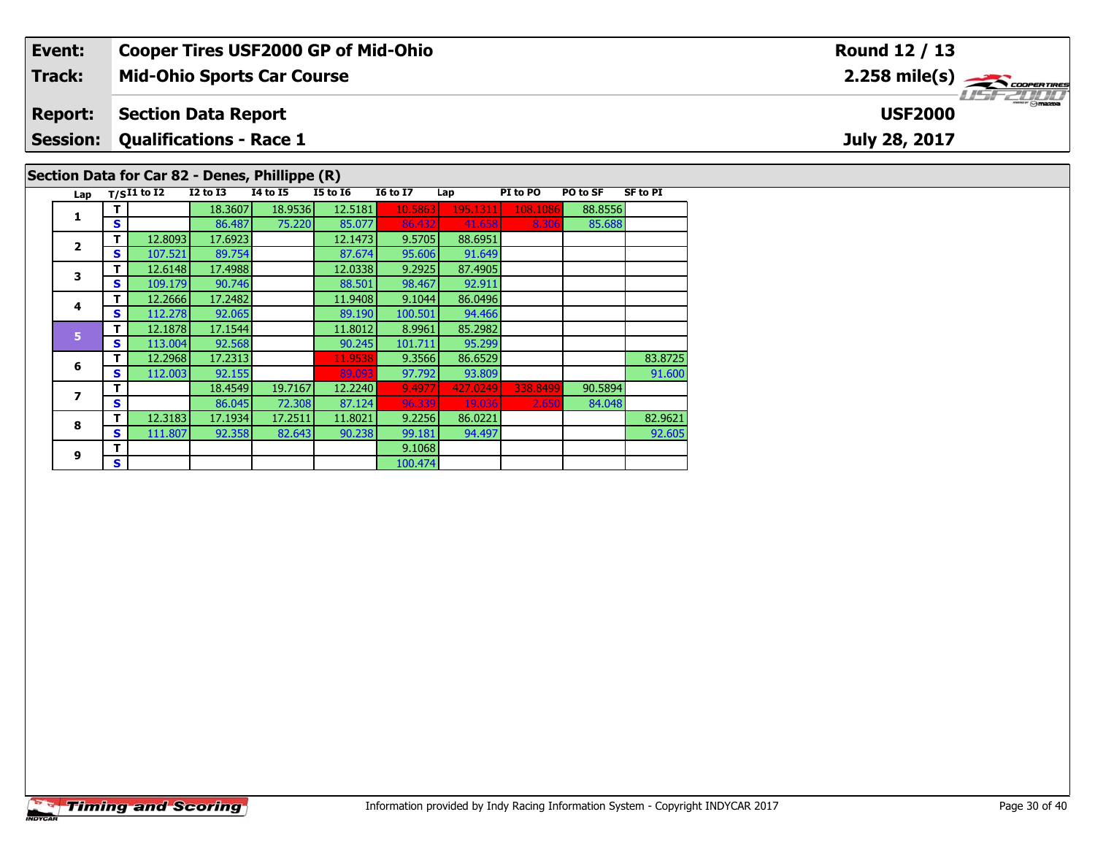| Event:          |   |               |                                | <b>Cooper Tires USF2000 GP of Mid-Ohio</b>     |                 |                 |          |          |          |                 | <b>Round 12 / 13</b>                                      |
|-----------------|---|---------------|--------------------------------|------------------------------------------------|-----------------|-----------------|----------|----------|----------|-----------------|-----------------------------------------------------------|
| Track:          |   |               |                                | <b>Mid-Ohio Sports Car Course</b>              |                 |                 |          |          |          |                 | $2.258$ mile(s) $\overbrace{\hspace{2.5cm}}$ coorer TIRES |
| <b>Report:</b>  |   |               | <b>Section Data Report</b>     |                                                |                 |                 |          |          |          |                 | <b>USF2000</b>                                            |
| <b>Session:</b> |   |               | <b>Qualifications - Race 1</b> |                                                |                 |                 |          |          |          |                 | July 28, 2017                                             |
|                 |   |               |                                | Section Data for Car 82 - Denes, Phillippe (R) |                 |                 |          |          |          |                 |                                                           |
| Lap             |   | $T/SI1$ to I2 | $I2$ to $I3$                   | <b>I4 to I5</b>                                | <b>I5 to I6</b> | <b>I6 to I7</b> | Lap      | PI to PO | PO to SF | <b>SF to PI</b> |                                                           |
|                 |   |               | 18.3607                        | 18.9536                                        | 12.5181         | 10.5863         | 195.1311 | 108.1086 | 88.8556  |                 |                                                           |
|                 | S |               | 86.487                         | 75.220                                         | 85.077          | 86.432          | 41.658   | 8.306    | 85.688   |                 |                                                           |
|                 |   | 12.8093       | 17.6923                        |                                                | 12.1473         | 9.5705          | 88.6951  |          |          |                 |                                                           |

| $\overline{2}$ |    | 12.8093 <b>I</b> | 17.09231 |         | 12.14731 | 9.57051 | <b>88.0951</b> |          |         |         |
|----------------|----|------------------|----------|---------|----------|---------|----------------|----------|---------|---------|
|                | S  | 107.521          | 89.754   |         | 87.674   | 95.606  | 91.649         |          |         |         |
| 3              | т  | 12.6148          | 17.4988  |         | 12.0338  | 9.2925  | 87.4905        |          |         |         |
|                | S  | 109.179          | 90.746   |         | 88.501   | 98.467  | 92.911         |          |         |         |
| 4              | т  | 12.2666          | 17.2482  |         | 11.9408  | 9.1044  | 86.0496        |          |         |         |
|                | S  | 112.278          | 92.065   |         | 89.190   | 100.501 | 94.466         |          |         |         |
| 5              | т  | 12.1878          | 17.1544  |         | 11.8012  | 8.9961  | 85.2982        |          |         |         |
|                | S  | 113.004          | 92.568   |         | 90.245   | 101.711 | 95.299         |          |         |         |
| 6              | т  | 12.2968          | 17.2313  |         | 11.9538  | 9.3566  | 86.6529        |          |         | 83.8725 |
|                | S  | 112.003          | 92.155   |         | 89.093   | 97.792  | 93.809         |          |         | 91.600  |
| 7              | т  |                  | 18.4549  | 19.7167 | 12.2240  | 9.4977  | 427.0249       | 338.8499 | 90.5894 |         |
|                | S  |                  | 86.045   | 72.308  | 87.124   | 96.339  | 19.036         | 2.650    | 84.048  |         |
| 8              | т  | 12.3183          | 17.1934  | 17.2511 | 11.8021  | 9.2256  | 86.0221        |          |         | 82.9621 |
|                | S  | 111.807          | 92.358   | 82.643  | 90.238   | 99.181  | 94.497         |          |         | 92.605  |
| 9              | т  |                  |          |         |          | 9.1068  |                |          |         |         |
|                | S. |                  |          |         |          | 100.474 |                |          |         |         |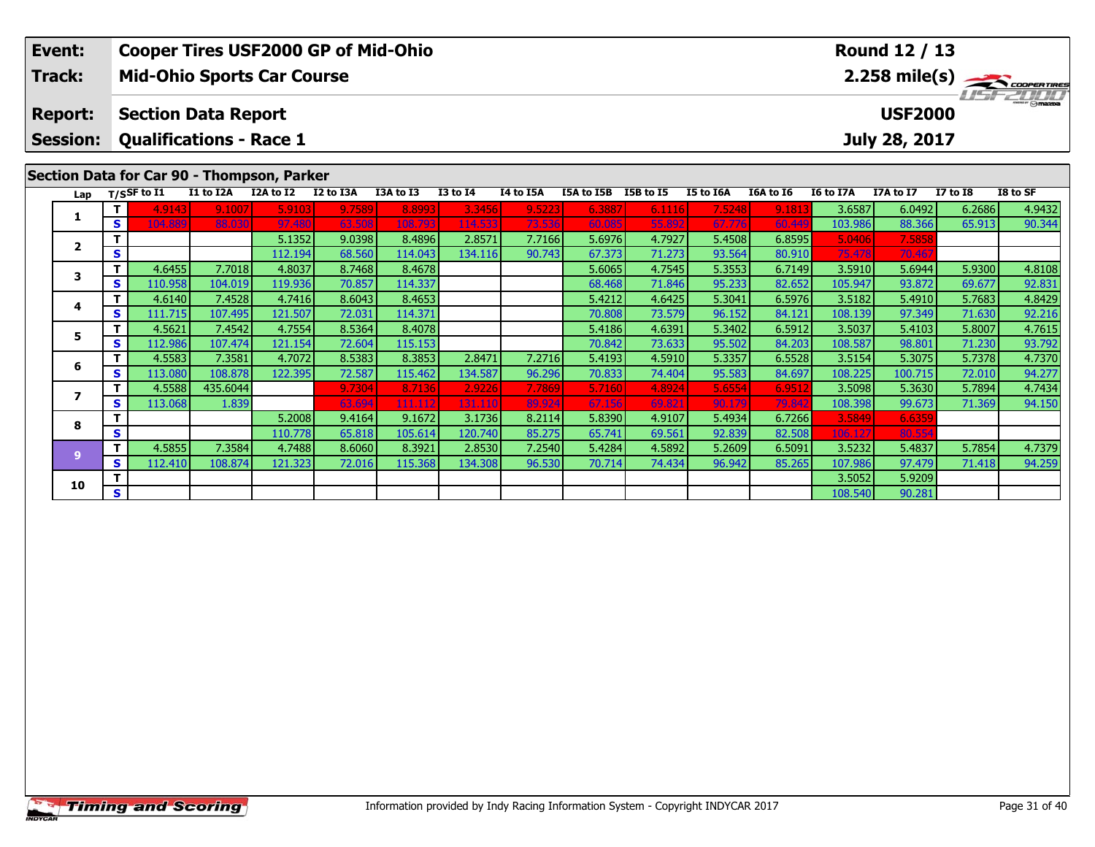| Event:          |                                 |        |                            | <b>Cooper Tires USF2000 GP of Mid-Ohio</b> |           |           |              |                  |            |           |                  |           |                  | Round 12 / 13  |                 |                                            |
|-----------------|---------------------------------|--------|----------------------------|--------------------------------------------|-----------|-----------|--------------|------------------|------------|-----------|------------------|-----------|------------------|----------------|-----------------|--------------------------------------------|
| <b>Track:</b>   |                                 |        |                            | <b>Mid-Ohio Sports Car Course</b>          |           |           |              |                  |            |           |                  |           |                  |                |                 | $2.258$ mile(s) $\rightarrow$ coorer Times |
| <b>Report:</b>  |                                 |        | <b>Section Data Report</b> |                                            |           |           |              |                  |            |           |                  |           |                  | <b>USF2000</b> |                 | $\frac{2\pi}{2}$ omazoa                    |
| <b>Session:</b> |                                 |        |                            | <b>Qualifications - Race 1</b>             |           |           |              |                  |            |           |                  |           |                  | July 28, 2017  |                 |                                            |
|                 |                                 |        |                            | Section Data for Car 90 - Thompson, Parker |           |           |              |                  |            |           |                  |           |                  |                |                 |                                            |
|                 | Lap $T/S$ SF to $\overline{11}$ |        | I1 to I2A                  | I2A to I2                                  | I2 to I3A | I3A to I3 | $I3$ to $I4$ | <b>I4 to I5A</b> | I5A to I5B | I5B to I5 | <b>I5 to I6A</b> | I6A to I6 | <b>I6 to I7A</b> | I7A to I7      | <b>I7 to I8</b> | I8 to SF                                   |
|                 |                                 | 4.9143 | 9.1007                     | 5.9103                                     | 9.7589    | 8.8993    | 3.3456       | 9.5223           | 6.3887     | 6.1116    | 7.5248           | 9.1813    | 3.6587           | 6.0492         | 6.2686          | 4.9432                                     |
| л.              | S                               |        | 88.030                     | 97.480                                     | 63.508    | 108.793   | 114.533      | 73.536           | 60,085     | 55.892    | 67.776           | 60.449    | 103.986          | 88.366         | 65.913          | 90.344                                     |

**<sup>T</sup>** 4.6455 7.7018 4.8037 8.7468 8.4678 5.6065 4.7545 5.3553 6.7149 3.5910 5.6944 5.9300 4.8108 **<sup>S</sup>** 110.958 104.019 119.936 70.857 114.337 68.468 71.846 95.233 82.652 105.947 93.872 69.677 92.831

**<sup>T</sup>** 4.6140 7.4528 4.7416 8.6043 8.4653 5.4212 4.6425 5.3041 6.5976 3.5182 5.4910 5.7683 4.8429 **<sup>S</sup>** 111.715 107.495 121.507 72.031 114.371 70.808 73.579 96.152 84.121 108.139 97.349 71.630 92.216

**<sup>T</sup>** 4.5621 7.4542 4.7554 8.5364 8.4078 5.4186 4.6391 5.3402 6.5912 3.5037 5.4103 5.8007 4.7615 **<sup>S</sup>** 112.986 107.474 121.154 72.604 115.153 70.842 73.633 95.502 84.203 108.587 98.801 71.230 93.792

**<sup>T</sup>** 4.5583 7.3581 4.7072 8.5383 8.3853 2.8471 7.2716 5.4193 4.5910 5.3357 6.5528 3.5154 5.3075 5.7378 4.7370 **<sup>S</sup>** 113.080 108.878 122.395 72.587 115.462 134.587 96.296 70.833 74.404 95.583 84.697 108.225 100.715 72.010 94.277

**<sup>T</sup>** 4.5588 435.6044 9.7304 8.7136 2.9226 7.7869 5.7160 4.8924 5.6554 6.9512 3.5098 5.3630 5.7894 4.7434 **<sup>S</sup>** 113.068 1.839 63.694 111.112 131.110 89.924 67.156 69.821 90.179 79.842 108.398 99.673 71.369 94.150

11 4.5855| 7.3584| 4.7488| 8.6060| 8.3921| 2.8530| 7.2540| 5.4284| 4.5892| 5.2609| 6.5091| 3.5232| 5.4837| 5.7854| 4.7379|<br>Start 112.410| 108.874| 121.323| 72.016| 115.368| 134.308| 96.530| 70.714| 74.434| 96.942| 85.265|

**<sup>T</sup>** 5.1352 9.0398 8.4896 2.8571 7.7166 5.6976 4.7927 5.4508 6.8595 5.0406 7.5858 **<sup>S</sup>** 112.194 68.560 114.043 134.116 90.743 67.373 71.273 93.564 80.910 75.478 70.467

**<sup>T</sup>** 5.2008 9.4164 9.1672 3.1736 8.2114 5.8390 4.9107 5.4934 6.7266 3.5849 6.6359 **<sup>S</sup>** 110.778 65.818 105.614 120.740 85.275 65.741 69.561 92.839 82.508 106.127 80.554

**O**  $\begin{array}{|c|c|c|c|c|c|}\hline \mathbf{S} & \mathbf{3.5052} & \mathbf{5.9209} \ \hline \mathbf{S} & \mathbf{108.540} & \mathbf{90.281} \ \hline \end{array}$ 

**2**

**3**

**4**

**5**

**6**

**7**

**8**

**9**

**10**

92.216

94.150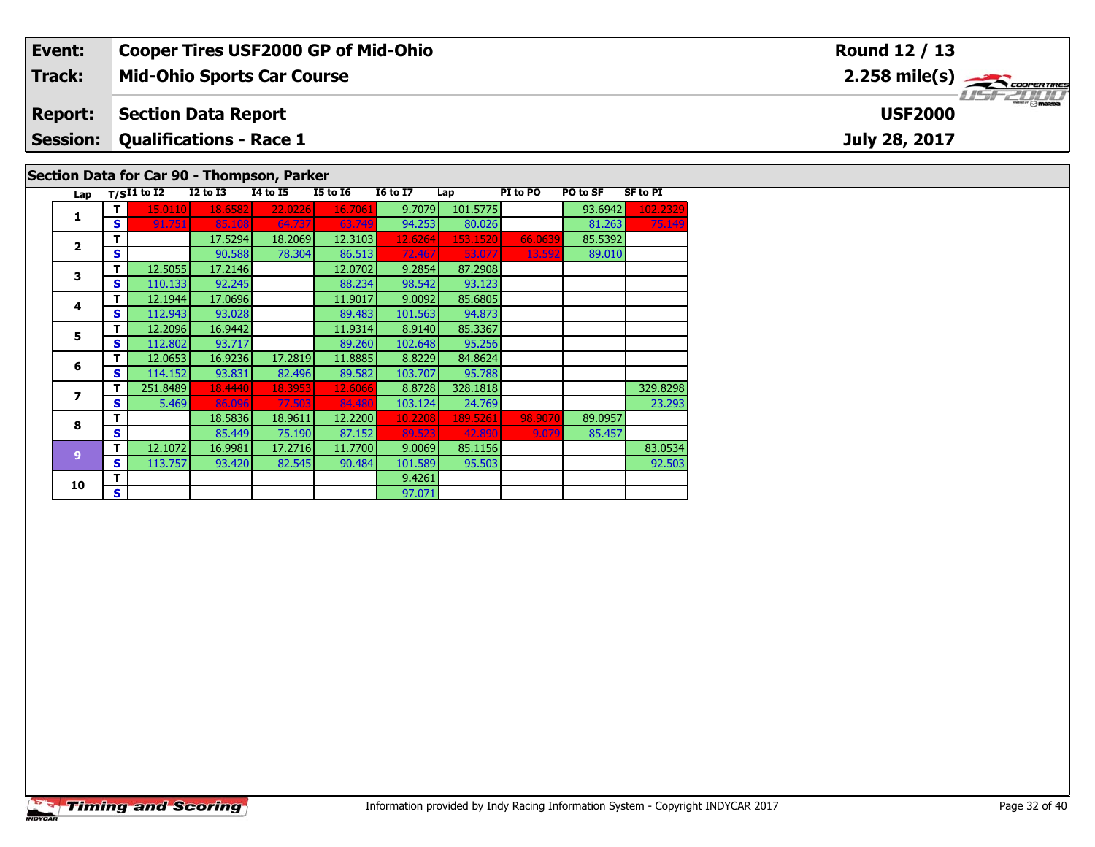| Event:         | <b>Cooper Tires USF2000 GP of Mid-Ohio</b> | Round 12 / 13                             |
|----------------|--------------------------------------------|-------------------------------------------|
| Track:         | <b>Mid-Ohio Sports Car Course</b>          | $2.258$ mile(s) $\leftarrow$ COOPER TIRES |
| <b>Report:</b> | Section Data Report                        | USF 2000<br><b>USF2000</b>                |
|                | <b>Session: Qualifications - Race 1</b>    | July 28, 2017                             |
|                | Section Data for Car 90 - Thompson, Parker |                                           |

## Lap  $T/SI1$  to I2 12 to I3 14 to I5 15 to I6 16 to I7 Lap PI to PO PO to SF SF to PI **1 <sup>T</sup>** 15.0110 18.6582 22.0226 16.7061 9.7079 101.5775 93.6942 102.2329 **<sup>S</sup>** 91.751 85.108 64.737 63.749 94.253 80.026 81.263 75.149**2T** 17.5294 18.2069 12.3103 12.6264 153.1520 66.0639 85.5392<br>S S 90.588 78.304 86.513 72.467 53.077 13.592 89.010 89.010 **3T** 12.5055 17.2146 12.0702 9.2854 87.2908<br>**S** 110.133 92.245 88.234 98.542 93.123 **44 T** 12.1944 17.0696 11.9017 9.0092 85.6805<br>**S** 112.943 93.028 89.483 101.563 94.873 94.873 **5T** 12.2096 16.9442 11.9314 8.9140 85.3367<br>**S** 112.802 93.717 89.260 102.648 95.256 **6 <sup>T</sup>** 12.0653 16.9236 17.2819 11.8885 8.8229 84.8624 **<sup>S</sup>** 114.152 93.831 82.496 89.582 103.707 95.788**7 <sup>T</sup>** 251.8489 18.4440 18.3953 12.6066 8.8728 328.1818 329.8298 **<sup>S</sup>** 5.469 86.096 77.503 84.480 103.124 24.769 23.29323.293 **8T** 18.5836 18.9611 12.2200 10.2208 189.5261 98.9070 89.0957<br>**S S 85.449 75.190 87.152 89.523 42.890 9.079 85.457 9 <sup>T</sup>** 12.1072 16.9981 17.2716 11.7700 9.0069 85.1156 83.0534 **<sup>S</sup>** 113.757 93.420 82.545 90.484 101.589 95.503 92.50392.503 **10d T** 9.4261 **S** 97.071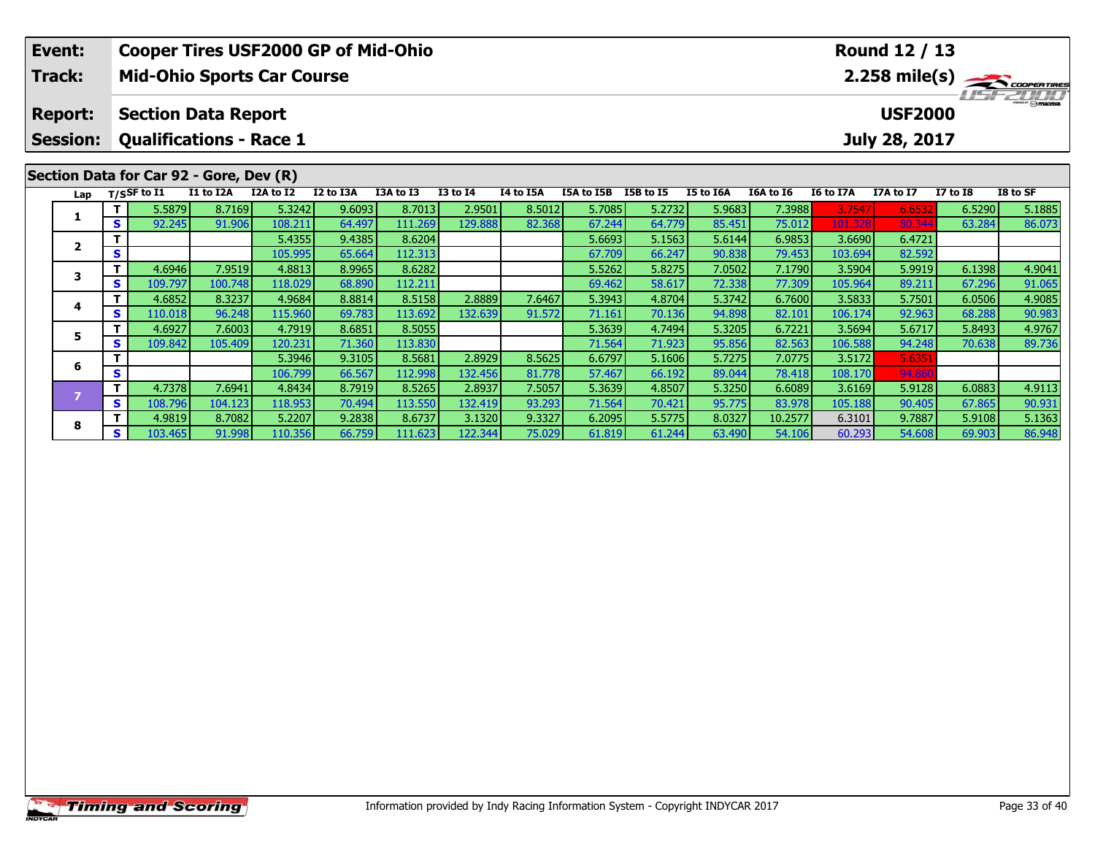| Event:          |         |                             | <b>Cooper Tires USF2000 GP of Mid-Ohio</b> |           |           |           |                 |           |            |           |           |           |           | <b>Round 12 / 13</b> |                 |                                         |
|-----------------|---------|-----------------------------|--------------------------------------------|-----------|-----------|-----------|-----------------|-----------|------------|-----------|-----------|-----------|-----------|----------------------|-----------------|-----------------------------------------|
| <b>Track:</b>   |         |                             | <b>Mid-Ohio Sports Car Course</b>          |           |           |           |                 |           |            |           |           |           |           |                      |                 | $2.258$ mile(s) $\frac{1}{2}\sqrt{100}$ |
| <b>Report:</b>  |         |                             | <b>Section Data Report</b>                 |           |           |           |                 |           |            |           |           |           |           | <b>USF2000</b>       |                 | <b>TEFZULL</b>                          |
| <b>Session:</b> |         |                             | <b>Qualifications - Race 1</b>             |           |           |           |                 |           |            |           |           |           |           | July 28, 2017        |                 |                                         |
|                 |         |                             | Section Data for Car 92 - Gore, Dev (R)    |           |           |           |                 |           |            |           |           |           |           |                      |                 |                                         |
| Lap             |         | $T/S$ SF to $\overline{11}$ | I1 to I2A                                  | I2A to I2 | I2 to I3A | I3A to I3 | <b>I3 to I4</b> | I4 to I5A | I5A to I5B | I5B to I5 | I5 to I6A | I6A to I6 | I6 to I7A | I7A to I7            | <b>I7 to I8</b> | I8 to SF                                |
|                 |         | 5.5879                      | 8.7169                                     | 5.3242    | 9.6093    | 8.7013    | 2.9501          | 8.5012    | 5.7085     | 5.2732    | 5.9683    | 7.3988    | 3.7547    | 6.6532               | 6.5290          | 5.1885                                  |
|                 | s.      | 92.245                      | 91.906                                     | 108.211   | 64.497    | 111.269   | 129.888         | 82.368    | 67.244     | 64.779    | 85.451    | 75.012    | 101.328   | 80.344               | 63.284          | 86.073                                  |
| $\mathbf{2}$    |         |                             |                                            | 5.4355    | 9.4385    | 8.6204    |                 |           | 5.6693     | 5.1563    | 5.6144    | 6.9853    | 3.6690    | 6.4721               |                 |                                         |
|                 | S       |                             |                                            | 105.995   | 65.664    | 112.313   |                 |           | 67.709     | 66.247    | 90.838    | 79.453    | 103.694   | 82.592               |                 |                                         |
| 3               |         | 4.6946                      | 7.9519                                     | 4.8813    | 8.9965    | 8.6282    |                 |           | 5.5262     | 5.8275    | 7.0502    | 7.1790    | 3.5904    | 5.9919               | 6.1398          | 4.9041                                  |
|                 | S       | 109.797                     | 100.748                                    | 118.029   | 68.890    | 112.211   |                 |           | 69.462     | 58.617    | 72.338    | 77.309    | 105.964   | 89.211               | 67.296          | 91.065                                  |
|                 |         | 4.6852                      | 8.3237                                     | 4.9684    | 8.8814    | 8.5158    | 2.8889          | 7.6467    | 5.3943     | 4.8704    | 5.3742    | 6.7600    | 3.5833    | 5.7501               | 6.0506          | 4.9085                                  |
| 4<br>S          |         | 110.018                     | 96.248                                     | 115.960   | 69.783    | 113.692   | 132.639         | 91.572    | 71.161     | 70.136    | 94.898    | 82.101    | 106.174   | 92.963               | 68.288          | 90.983                                  |
|                 |         | 4.6927                      | 7.6003                                     | 4.7919    | 8.6851    | 8.5055    |                 |           | 5.3639     | 4.7494    | 5.3205    | 6.7221    | 3.5694    | 5.6717               | 5.8493          | 4.9767                                  |
| 5<br>S          | 109.842 | 105.409                     | 120.231                                    | 71.360    | 113.830   |           |                 | 71.564    | 71.923     | 95.856    | 82.563    | 106.588   | 94.248    | 70.638               | 89.736          |                                         |

7 | T | 4.7378| 7.6941| 4.8434| 8.7919| 8.5265| 2.8937| 7.5057| 5.3639| 4.8507| 5.3250| 6.6089| 3.6169| 5.9128| 6.0883| 4.9113<br>- S | 108.796| 104.123| 118.953| 70.494| 113.550| 132.419| 93.293| 71.564| 70.421| 95.775| 83.9

8 T 4.9819 8.7082 5.2207 9.2838 8.6737 3.1320 9.3327 6.2095 5.5775 8.0327 10.2577 6.3101 9.7887 5.9108 5.1363<br>8 S 103.465 91.998 110.356 66.759 111.623 122.344 75.029 61.819 61.244 63.490 54.106 60.293 54.608 69.903 86.948

**<sup>T</sup>** 5.3946 9.3105 8.5681 2.8929 8.5625 6.6797 5.1606 5.7275 7.0775 3.5172 5.6351 **<sup>S</sup>** 106.799 66.567 112.998 132.456 81.778 57.467 66.192 89.044 78.418 108.170 94.860

**6**

**8**

 $\frac{90.931}{5.1363}$ 

86.948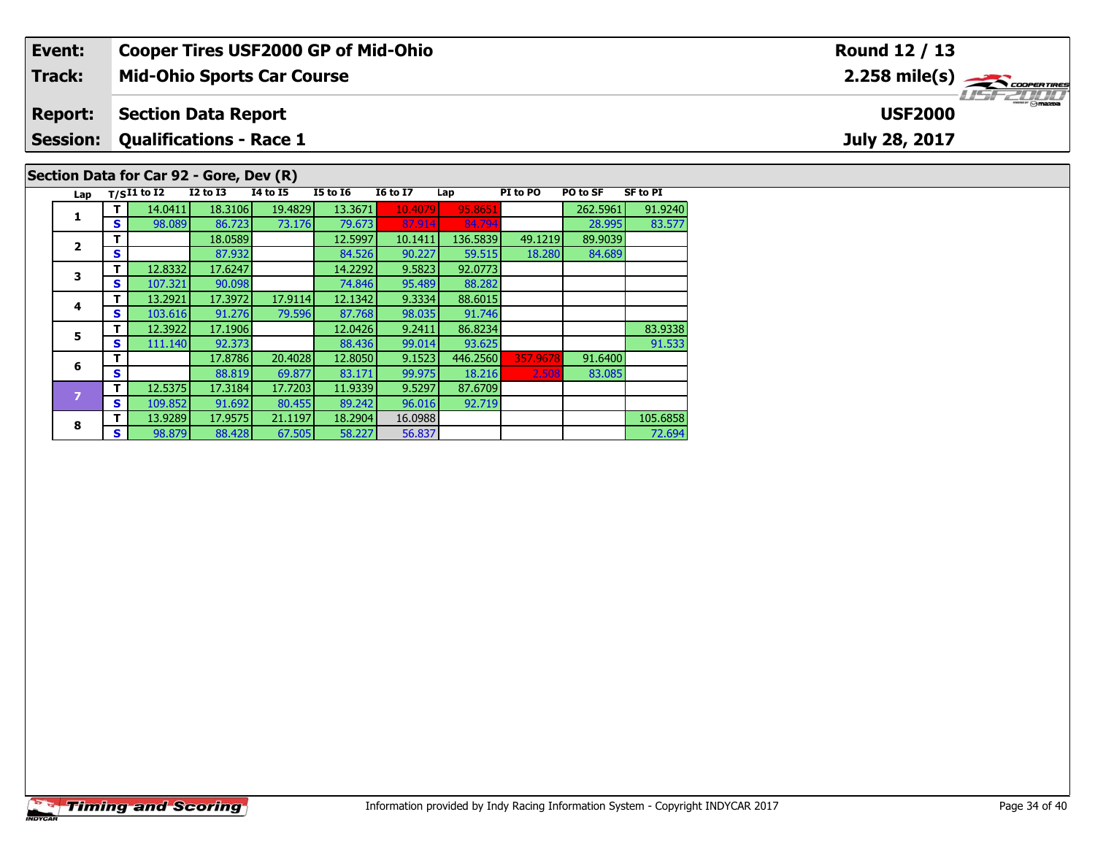| Event:         |     |                                         |              |                                   |                 | <b>Cooper Tires USF2000 GP of Mid-Ohio</b> |          |          |          |                 | Round 12 / 13           |
|----------------|-----|-----------------------------------------|--------------|-----------------------------------|-----------------|--------------------------------------------|----------|----------|----------|-----------------|-------------------------|
| <b>Track:</b>  |     |                                         |              | <b>Mid-Ohio Sports Car Course</b> |                 |                                            |          |          |          |                 | $2.258 \text{ mile(s)}$ |
| <b>Report:</b> |     | <b>Section Data Report</b>              |              |                                   |                 |                                            |          |          |          |                 | <b>USF2000</b>          |
|                |     | <b>Session: Qualifications - Race 1</b> |              |                                   |                 |                                            |          |          |          |                 | July 28, 2017           |
|                |     | Section Data for Car 92 - Gore, Dev (R) |              |                                   |                 |                                            |          |          |          |                 |                         |
|                |     | Lap $T/SI1$ to $\overline{I2}$          | $I2$ to $I3$ | <b>I4 to I5</b>                   | <b>I5 to I6</b> | <b>I6 to I7</b>                            | Lap      | PI to PO | PO to SF | <b>SF to PI</b> |                         |
|                |     | 14.0411                                 | 18.3106      | 19.4829                           | 13.3671         | 10.4079                                    | 95.8651  |          | 262.5961 | 91.9240         |                         |
|                | S I | 98.089                                  | 86.723       | 73.176                            | 79.673          | 87.914                                     | 84.794   |          | 28.995   | 83.577          |                         |
|                |     |                                         | 18.0589      |                                   | 12.5997         | 10.1411                                    | 136.5839 | 49.1219  | 89.9039  |                 |                         |
| $\overline{2}$ | S.  |                                         | 87.932       |                                   | 84.526          | 90.227                                     | 59.515   | 18.280   | 84.689   |                 |                         |

92.719

84.689

91.533

72.694

**3**

**4**

**5**

**6**

**8**

**T** 12.8332 17.6247 14.2292 9.5823 92.0773<br>**S** 107.321 90.098 74.846 95.489 88.282

**<sup>T</sup>** 13.2921 17.3972 17.9114 12.1342 9.3334 88.6015 **<sup>S</sup>** 103.616 91.276 79.596 87.768 98.035 91.746

**<sup>T</sup>** 12.5375 17.3184 17.7203 11.9339 9.5297 87.6709 **<sup>S</sup>** 109.852 91.692 80.455 89.242 96.016 92.719

**T** 12.3922 17.1906 12.0426 9.2411 86.8234 83.9338<br> **S** 111.140 92.373 88.436 99.014 93.625 91.533

**T** 13.9289 17.9575 21.1197 18.2904 16.0988 105.6858 105.6858 105.6858 105.6858<br>IS 98.879 88.428 67.505 58.227 56.837 7 72.694

**T** 17.8786 20.4028 12.8050 9.1523 446.2560 357.9678 91.6400<br>**S S 88.819 69.877 83.171 99.975 18.216 2.508 83.085**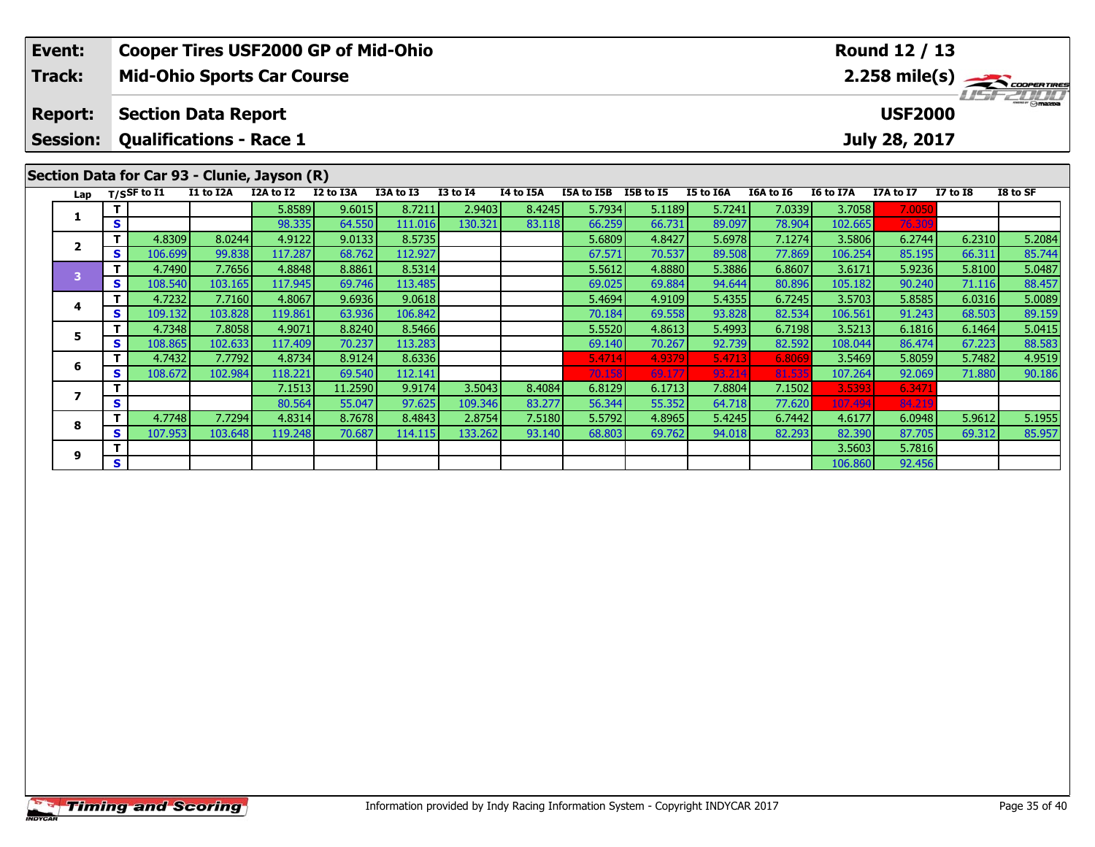|  | Event:                                                                             |   |                             | <b>Cooper Tires USF2000 GP of Mid-Ohio</b> |           |           |           |                 |           |            |           |           |           |                  | <b>Round 12 / 13</b> |                 |                                                |
|--|------------------------------------------------------------------------------------|---|-----------------------------|--------------------------------------------|-----------|-----------|-----------|-----------------|-----------|------------|-----------|-----------|-----------|------------------|----------------------|-----------------|------------------------------------------------|
|  | Track:<br><b>Report:</b><br><b>Session:</b>                                        |   |                             | <b>Mid-Ohio Sports Car Course</b>          |           |           |           |                 |           |            |           |           |           |                  |                      |                 | $2.258$ mile(s) $\frac{1}{2.258}$ coorer Tires |
|  |                                                                                    |   |                             | <b>Section Data Report</b>                 |           |           |           |                 |           |            |           |           |           |                  | <b>USF2000</b>       |                 |                                                |
|  |                                                                                    |   |                             | <b>Qualifications - Race 1</b>             |           |           |           |                 |           |            |           |           |           |                  | July 28, 2017        |                 |                                                |
|  | Section Data for Car 93 - Clunie, Jayson (R)<br>Lap<br>1<br>S<br>$\mathbf{2}$<br>s |   |                             |                                            |           |           |           |                 |           |            |           |           |           |                  |                      |                 |                                                |
|  |                                                                                    |   | $T/S$ SF to $\overline{11}$ | I1 to I2A                                  | I2A to I2 | I2 to I3A | I3A to I3 | <b>I3 to I4</b> | I4 to I5A | I5A to I5B | I5B to I5 | I5 to I6A | I6A to I6 | <b>I6 to I7A</b> | I7A to I7            | <b>I7 to I8</b> | I8 to SF                                       |
|  |                                                                                    |   |                             |                                            | 5.8589    | 9.6015    | 8.7211    | 2.9403          | 8.4245    | 5.7934     | 5.1189    | 5.7241    | 7.0339    | 3.7058           | 7.0050               |                 |                                                |
|  | 3                                                                                  |   |                             |                                            | 98.335    | 64.550    | 111.016   | 130.321         | 83.118    | 66.259     | 66.731    | 89.097    | 78.904    | 102.665          | 76.309               |                 |                                                |
|  |                                                                                    |   | 4.8309                      | 8.0244                                     | 4.9122    | 9.0133    | 8.5735    |                 |           | 5.6809     | 4.8427    | 5.6978    | 7.1274    | 3.5806           | 6.2744               | 6.2310          | 5.2084                                         |
|  |                                                                                    |   | 106.699                     | 99.838                                     | 117.287   | 68.762    | 112.927   |                 |           | 67.571     | 70.537    | 89.508    | 77.869    | 106.254          | 85.195               | 66.311          | 85.744                                         |
|  |                                                                                    |   | 4.7490                      | 7.7656                                     | 4.8848    | 8.8861    | 8.5314    |                 |           | 5.5612     | 4.8880    | 5.3886    | 6.8607    | 3.6171           | 5.9236               | 5.8100          | 5.0487                                         |
|  | 4<br>5.<br>6                                                                       | S | 108.540                     | 103.165                                    | 117.945   | 69.746    | 113.485   |                 |           | 69.025     | 69.884    | 94.644    | 80.896    | 105.182          | 90.240               | 71.116          | 88.457                                         |
|  |                                                                                    |   | 4.7232                      | 7.7160                                     | 4.8067    | 9.6936    | 9.0618    |                 |           | 5.4694     | 4.9109    | 5.4355    | 6.7245    | 3.5703           | 5.8585               | 6.0316          | 5.0089                                         |
|  |                                                                                    | s | 109.132                     | 103.828                                    | 119.861   | 63.936    | 106.842   |                 |           | 70.184     | 69.558    | 93.828    | 82.534    | 106.561          | 91.243               | 68.503          | 89.159                                         |
|  |                                                                                    |   | 4.7348                      | 7.8058                                     | 4.9071    | 8.8240    | 8.5466    |                 |           | 5.5520     | 4.8613    | 5.4993    | 6.7198    | 3.5213           | 6.1816               | 6.1464          | 5.0415                                         |
|  |                                                                                    | S | 108.865                     | 102.633                                    | 117.409   | 70.237    | 113.283   |                 |           | 69.140     | 70.267    | 92.739    | 82.592    | 108.044          | 86.474               | 67.223          | 88.583                                         |
|  |                                                                                    |   | 4.7432                      | 7.7792                                     | 4.8734    | 8.9124    | 8.6336    |                 |           | 5.4714     | 4.9379    | 5.4713    | 6.8069    | 3.5469           | 5.8059               | 5.7482          | 4.9519                                         |
|  |                                                                                    | s | 108,672                     | 102.984                                    | 118.221   | 69.540    | 112.141   |                 |           | 70.158     | 69.177    | 93.214    | 81.535    | 107.264          | 92.069               | 71.880          | 90.186                                         |
|  | 7                                                                                  |   |                             |                                            | 7.1513    | 11.2590   | 9.9174    | 3.5043          | 8.4084    | 6.8129     | 6.1713    | 7.8804    | 7.1502    | 3.5393           | 6.3471               |                 |                                                |
|  |                                                                                    | S |                             |                                            | 80.564    | 55.047    | 97.625    | 109.346         | 83,277    | 56.344     | 55.352    | 64.718    | 77.620    | 107.494          | 84.219               |                 |                                                |
|  | 8                                                                                  |   | 4.7748                      | 7.7294                                     | 4.8314    | 8.7678    | 8.4843    | 2.8754          | 7.5180    | 5.5792     | 4.8965    | 5.4245    | 6.7442    | 4.6177           | 6.0948               | 5.9612          | 5.1955                                         |
|  |                                                                                    | S | 107.953                     | 103.648                                    | 119.248   | 70.687    | 114.115   | 133.262         | 93.140    | 68.803     | 69.762    | 94.018    | 82.293    | 82.390           | 87.705               | 69.312          | 85.957                                         |

**<sup>T</sup>** 3.5603 5.7816 **<sup>S</sup>** 106.860 92.456

**9**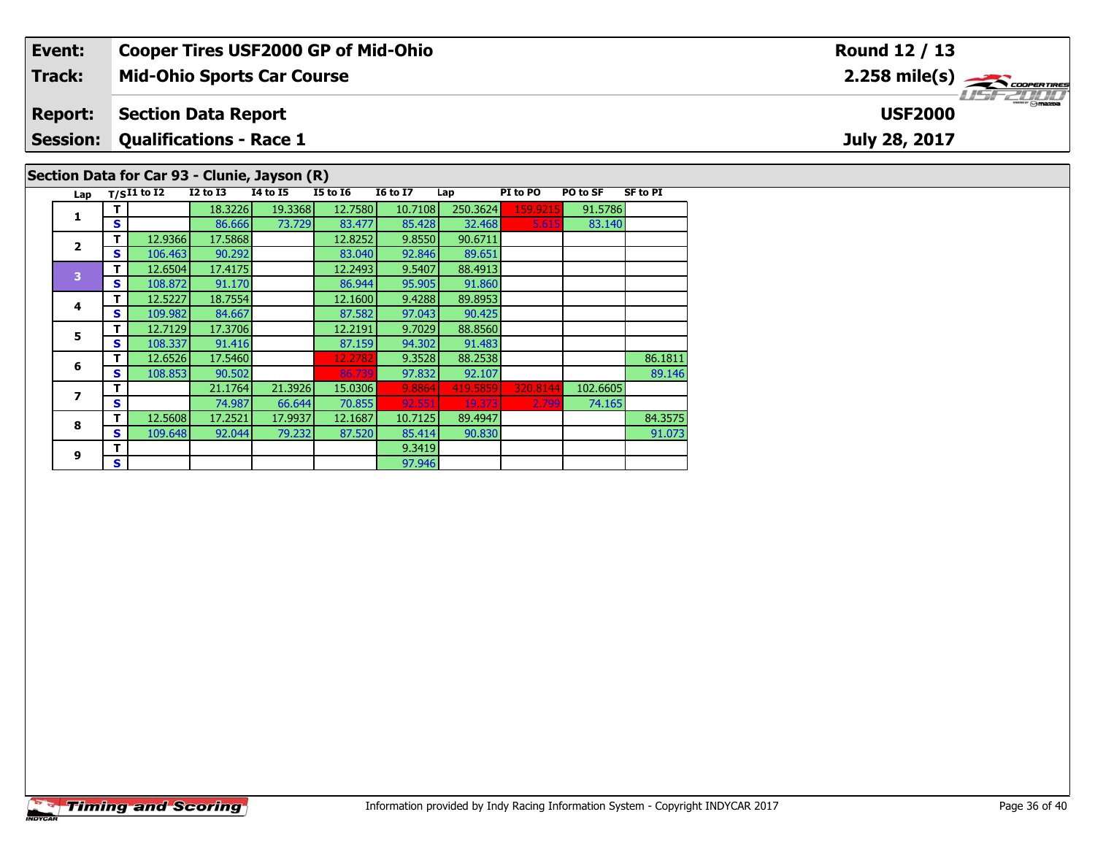| Event:          |   |                   |                                | <b>Cooper Tires USF2000 GP of Mid-Ohio</b>   |                 |                 |          |          |          |                 | Round 12 / 13                                             |
|-----------------|---|-------------------|--------------------------------|----------------------------------------------|-----------------|-----------------|----------|----------|----------|-----------------|-----------------------------------------------------------|
| <b>Track:</b>   |   |                   |                                | <b>Mid-Ohio Sports Car Course</b>            |                 |                 |          |          |          |                 | $2.258$ mile(s) $\overbrace{\hspace{2.5cm}}$ coorer Times |
| <b>Report:</b>  |   |                   | <b>Section Data Report</b>     |                                              |                 |                 |          |          |          |                 | <b>USF2000</b>                                            |
| <b>Session:</b> |   |                   | <b>Qualifications - Race 1</b> |                                              |                 |                 |          |          |          |                 | July 28, 2017                                             |
|                 |   |                   |                                | Section Data for Car 93 - Clunie, Jayson (R) |                 |                 |          |          |          |                 |                                                           |
|                 |   | Lap $T/SI1$ to I2 | $I2$ to $I3$                   | <b>I4 to I5</b>                              | <b>I5 to 16</b> | <b>16 to 17</b> | Lap      | PI to PO | PO to SF | <b>SF to PI</b> |                                                           |
|                 |   |                   | 18.3226                        | 19.3368                                      | 12.7580         | 10.7108         | 250.3624 | 159.9215 | 91.5786  |                 |                                                           |
|                 | s |                   | 86.666                         | 73.729                                       | 83.477          | 85.428          | 32.468   | 5.615    | 83.140   |                 |                                                           |
|                 |   | 12.9366           | 17.5868                        |                                              | 12.8252         | 9.8550          | 90.6711  |          |          |                 |                                                           |
| $\overline{2}$  |   | 106.463           | 90.292                         |                                              | 83.040          | 92.846          | 89.651   |          |          |                 |                                                           |

91.073

89.651<br>88.4913

91.860

90.425

91.483

**<sup>T</sup>** 12.6504 17.4175 12.2493 9.5407 88.4913 **<sup>S</sup>** 108.872 91.170 86.944 95.905 91.860

**4 T** 12.5227 18.7554 12.1600 9.4288 89.8953<br>**S** 109.982 84.667 87.582 97.043 90.425

**T** 12.7129 17.3706 12.2191 9.7029 88.8560<br> **S** 108.337 91.416 87.159 94.302 91.483

**<sup>T</sup>** 9.3419 **<sup>S</sup>** 97.946

**T** 12.6526 17.5460 12.2782 9.3528 88.2538 86.1811 86.1811<br> **S** 108.853 90.502 86.739 97.832 92.107 89.146

**<sup>T</sup>** 12.5608 17.2521 17.9937 12.1687 10.7125 89.4947 84.3575 **<sup>S</sup>** 109.648 92.044 79.232 87.520 85.414 90.830 91.073

97.946

**<sup>T</sup>** 21.1764 21.3926 15.0306 9.8864 419.5859 320.8144 102.6605 **<sup>S</sup>** 74.987 66.644 70.855 92.551 19.373 2.799 74.165

**4**

**5**

**6**

**7**

**8**

**9**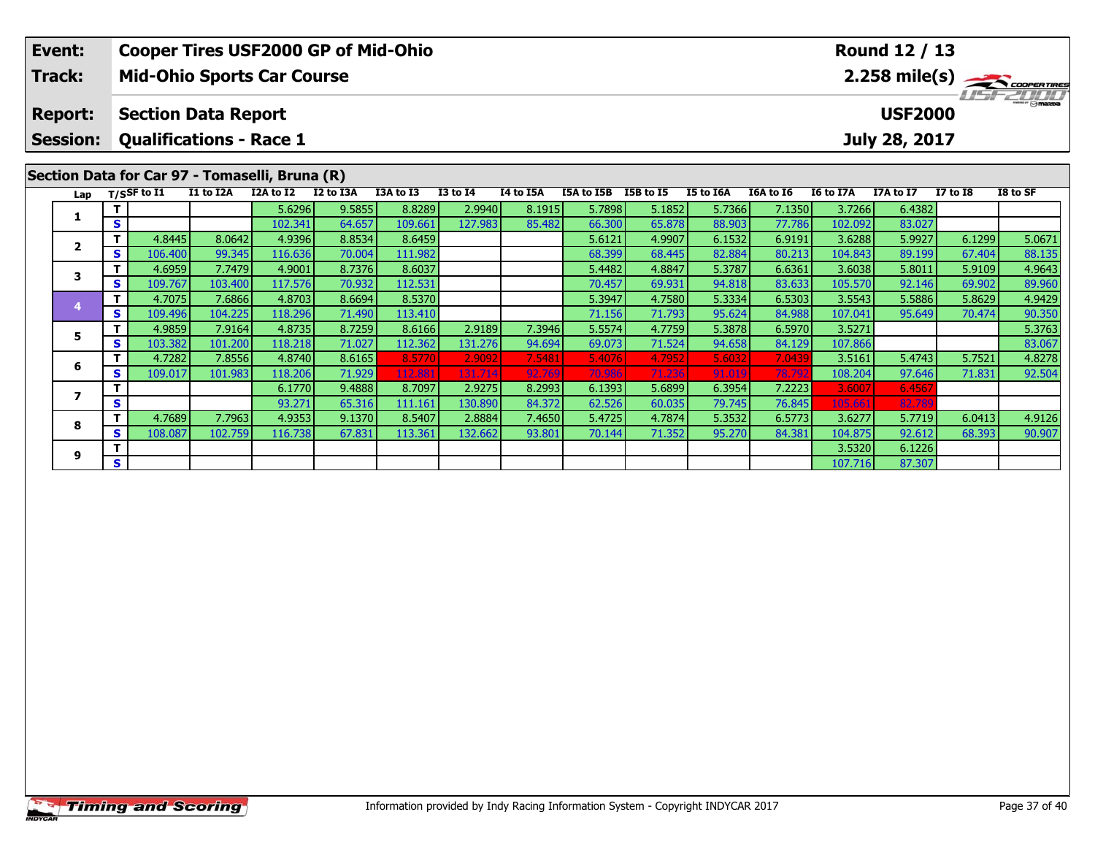| Event:                                         |              |                            |                                   |           | <b>Cooper Tires USF2000 GP of Mid-Ohio</b> |           |                 |           |            |           |           |           |                | Round 12 / 13 |                  |                                                  |
|------------------------------------------------|--------------|----------------------------|-----------------------------------|-----------|--------------------------------------------|-----------|-----------------|-----------|------------|-----------|-----------|-----------|----------------|---------------|------------------|--------------------------------------------------|
| Track:<br><b>Report:</b><br><b>Session:</b>    |              |                            | <b>Mid-Ohio Sports Car Course</b> |           |                                            |           |                 |           |            |           |           |           |                |               |                  | $2.258$ mile(s) $\frac{1}{2}\sqrt{1000^{\circ}}$ |
| Section Data for Car 97 - Tomaselli, Bruna (R) |              | <b>Section Data Report</b> |                                   |           |                                            |           |                 |           |            |           |           |           | <b>USF2000</b> |               | <b>THE COLOR</b> |                                                  |
|                                                |              |                            | <b>Qualifications - Race 1</b>    |           |                                            |           |                 |           |            |           |           |           |                | July 28, 2017 |                  |                                                  |
|                                                |              |                            |                                   |           |                                            |           |                 |           |            |           |           |           |                |               |                  |                                                  |
| Lap                                            |              | $T/S$ SF to $I1$           | I1 to I2A                         | I2A to I2 | I2 to I3A                                  | I3A to I3 | <b>I3 to I4</b> | I4 to I5A | I5A to I5B | I5B to I5 | I5 to I6A | I6A to I6 | I6 to I7A      | I7A to I7     | <b>I7 to 18</b>  | I8 to SF                                         |
|                                                |              |                            |                                   | 5.6296    | 9.5855                                     | 8.8289    | 2.9940          | 8.1915    | 5.7898     | 5.1852    | 5.7366    | 7.1350    | 3.7266         | 6.4382        |                  |                                                  |
| 1                                              | S            |                            |                                   | 102.341   | 64.657                                     | 109.661   | 127.983         | 85.482    | 66.300     | 65.878    | 88.903    | 77.786    | 102.092        | 83.027        |                  |                                                  |
| $\overline{2}$                                 | т            | 4.8445                     | 8.0642                            | 4.9396    | 8.8534                                     | 8.6459    |                 |           | 5.6121     | 4.9907    | 6.1532    | 6.9191    | 3.6288         | 5.9927        | 6.1299           | 5.0671                                           |
|                                                | S            | 106.400                    | 99.345                            | 116.636   | 70.004                                     | 111.982   |                 |           | 68.399     | 68.445    | 82.884    | 80.213    | 104.843        | 89.199        | 67.404           | 88.135                                           |
| 3                                              |              | 4.6959                     | 7.7479                            | 4.9001    | 8.7376                                     | 8.6037    |                 |           | 5.4482     | 4.8847    | 5.3787    | 6.6361    | 3.6038         | 5.8011        | 5.9109           | 4.9643                                           |
|                                                | S            | 109.767                    | 103.400                           | 117.576   | 70.932                                     | 112.531   |                 |           | 70.457     | 69.931    | 94.818    | 83.633    | 105.570        | 92.146        | 69.902           | 89.960                                           |
|                                                | т            | 4.7075                     | 7.6866                            | 4.8703    | 8.6694                                     | 8.5370    |                 |           | 5.3947     | 4.7580    | 5.3334    | 6.5303    | 3.5543         | 5.5886        | 5.8629           | 4.9429                                           |
|                                                | $\mathbf{s}$ | 109.496                    | 104.225                           | 118.296   | 71.490                                     | 113.410   |                 |           | 71.156     | 71.793    | 95.624    | 84.988    | 107.041        | 95.649        | 70.474           | 90.350                                           |
| 5                                              |              | 4.9859                     | 7.9164                            | 4.8735    | 8.7259                                     | 8.6166    | 2.9189          | 7.3946    | 5.5574     | 4.7759    | 5.3878    | 6.5970    | 3.5271         |               |                  | 5.3763                                           |
|                                                | s            | 103.382                    | 101.200                           | 118.218   | 71.027                                     | 112.362   | 131.276         | 94.694    | 69.073     | 71.524    | 94.658    | 84.129    | 107.866        |               |                  | 83.067                                           |
| 6                                              |              | 4.7282                     | 7.8556                            | 4.8740    | 8.6165                                     | 8.5770    | 2.9092          | 7.5481    | 5.4076     | 4.7952    | 5.6032    | 7.0439    | 3.5161         | 5.4743        | 5.7521           | 4.8278                                           |
|                                                | S            | 109.017                    | 101.983                           | 118.206   | 71.929                                     | 112.88    | 131.714         | 92.769    | 70.986     | 71.236    | 91.019    | 78.79     | 108.204        | 97.646        | 71.831           | 92.504                                           |
| $\overline{\phantom{a}}$                       |              |                            |                                   | 6.1770    | 9.4888                                     | 8.7097    | 2.9275          | 8.2993    | 6.1393     | 5.6899    | 6.3954    | 7.2223    | 3.6007         | 6.4567        |                  |                                                  |
|                                                | S            |                            |                                   | 93.271    | 65.316                                     | 111.161   | 130.890         | 84.372    | 62.526     | 60.035    | 79.745    | 76.845    | 105.661        | 82.78         |                  |                                                  |
| 8                                              |              | 4.7689                     | 7.7963                            | 4.9353    | 9.1370                                     | 8.5407    | 2.8884          | 7.4650    | 5.4725     | 4.7874    | 5.3532    | 6.5773    | 3.6277         | 5.7719        | 6.0413           | 4.9126                                           |
|                                                | S            | 108.087                    | 102.759                           | 116.738   | 67.831                                     | 113.361   | 132.662         | 93.801    | 70.144     | 71.352    | 95.270    | 84.381    | 104.875        | 92.612        | 68.393           | 90.907                                           |
| 9                                              |              |                            |                                   |           |                                            |           |                 |           |            |           |           |           | 3.5320         | 6.1226        |                  |                                                  |
|                                                | S            |                            |                                   |           |                                            |           |                 |           |            |           |           |           | 107.716        | 87.307        |                  |                                                  |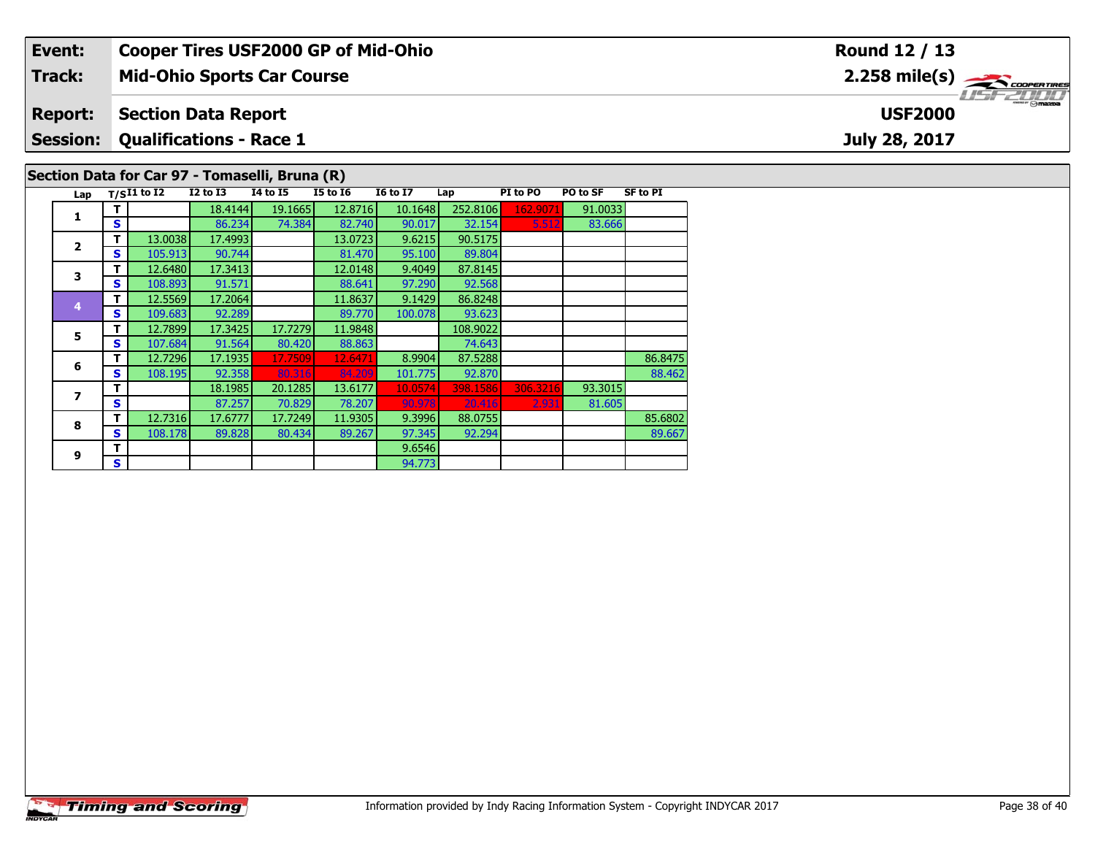|  | Event:<br><b>Cooper Tires USF2000 GP of Mid-Ohio</b> |    |               |                                |                                                |                 |                 |                                             |          | Round 12 / 13 |                 |  |
|--|------------------------------------------------------|----|---------------|--------------------------------|------------------------------------------------|-----------------|-----------------|---------------------------------------------|----------|---------------|-----------------|--|
|  | Track:                                               |    |               |                                | <b>Mid-Ohio Sports Car Course</b>              |                 |                 | $2.258$ mile(s) $\sum$ coorgarings          |          |               |                 |  |
|  | <b>Report:</b>                                       |    |               | <b>Section Data Report</b>     |                                                |                 |                 | $\overline{\Theta}$ mazpa<br><b>USF2000</b> |          |               |                 |  |
|  | <b>Session:</b>                                      |    |               | <b>Qualifications - Race 1</b> |                                                |                 | July 28, 2017   |                                             |          |               |                 |  |
|  |                                                      |    |               |                                | Section Data for Car 97 - Tomaselli, Bruna (R) |                 |                 |                                             |          |               |                 |  |
|  | Lap                                                  |    | $T/SI1$ to I2 | $I2$ to $I3$                   | <b>I4 to I5</b>                                | <b>I5 to I6</b> | <b>16 to 17</b> | Lap                                         | PI to PO | PO to SF      | <b>SF to PI</b> |  |
|  |                                                      |    |               | 18.4144                        | 19.1665                                        | 12.8716         | 10.1648         | 252.8106                                    | 162.9071 | 91.0033       |                 |  |
|  |                                                      | S. |               | 86.234                         | 74.384                                         | 82.740          | 90.017          | 32.154                                      | 5.512    | 83.666        |                 |  |
|  |                                                      |    | 13.0038       | 17.4993                        |                                                | 13.0723         | 9.6215          | 90.5175                                     |          |               |                 |  |
|  |                                                      | S. | 105.913       | 90.744                         |                                                | 81.470          | 95.100          | 89.804                                      |          |               |                 |  |
|  | 3                                                    |    | 12.6480       | 17.3413                        |                                                | 12.0148         | 9.4049          | 87.8145                                     |          |               |                 |  |
|  |                                                      |    | 108.893       | 91.571                         |                                                | 88.641          | 97.290          | 92.568                                      |          |               |                 |  |

89.667

86.8248

93.623

74.643<br>87.5288

**<sup>T</sup>** 12.5569 17.2064 11.8637 9.1429 86.8248 **<sup>S</sup>** 109.683 92.289 89.770 100.078 93.623

**T** 12.7899 17.3425 17.7279 11.9848 108.9022<br> **S** 107.684 91.564 80.420 88.863 74.643

**<sup>T</sup>** 9.6546 **<sup>S</sup>** 94.773

**T** 12.7296 17.1935 17.7509 12.6471 8.9904 87.5288 86.8475 86.8475<br> **S** 108.195 92.358 80.316 84.209 101.775 92.870 88.462

**<sup>T</sup>** 12.7316 17.6777 17.7249 11.9305 9.3996 88.0755 85.6802 **<sup>S</sup>** 108.178 89.828 80.434 89.267 97.345 92.294 89.667

94.773

**T** 18.1985 20.1285 13.6177 10.0574 398.1586 306.3216 93.3015<br>**S** 87.257 70.829 78.207 90.978 20.416 2.931 81.605

**5**

**6**

**7**

**8**

**9**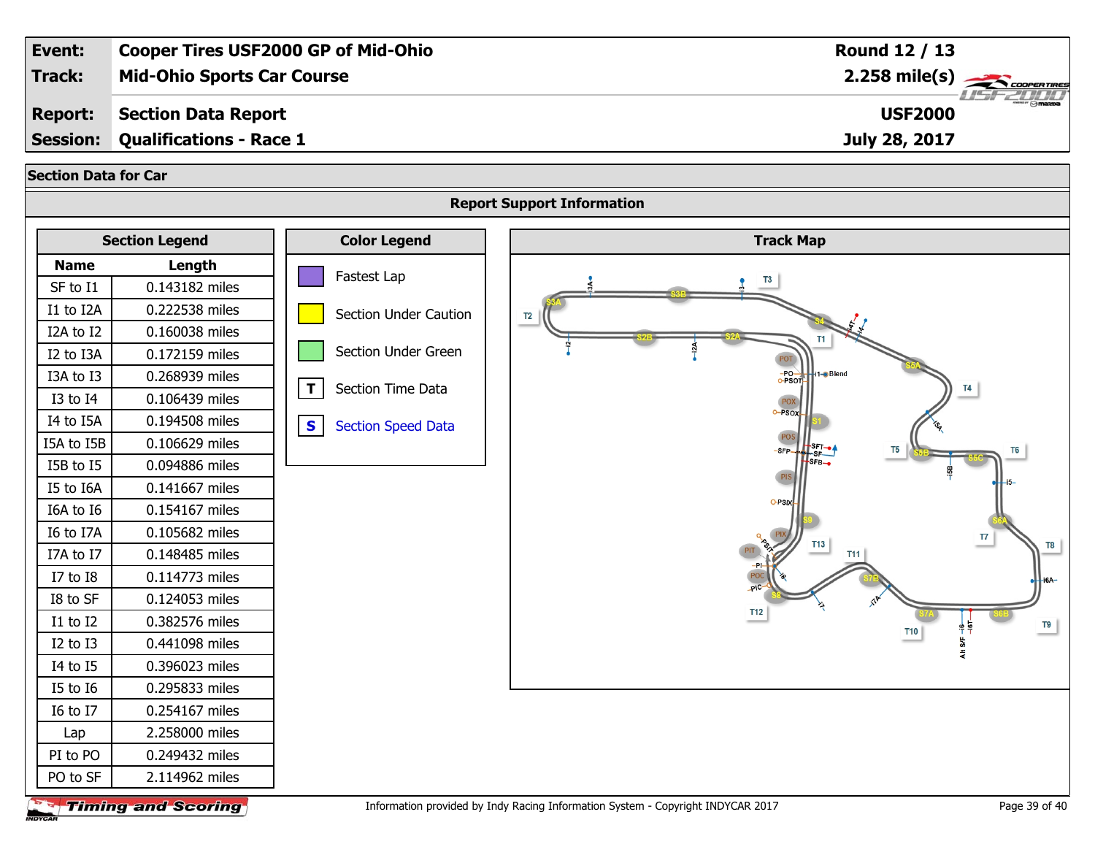